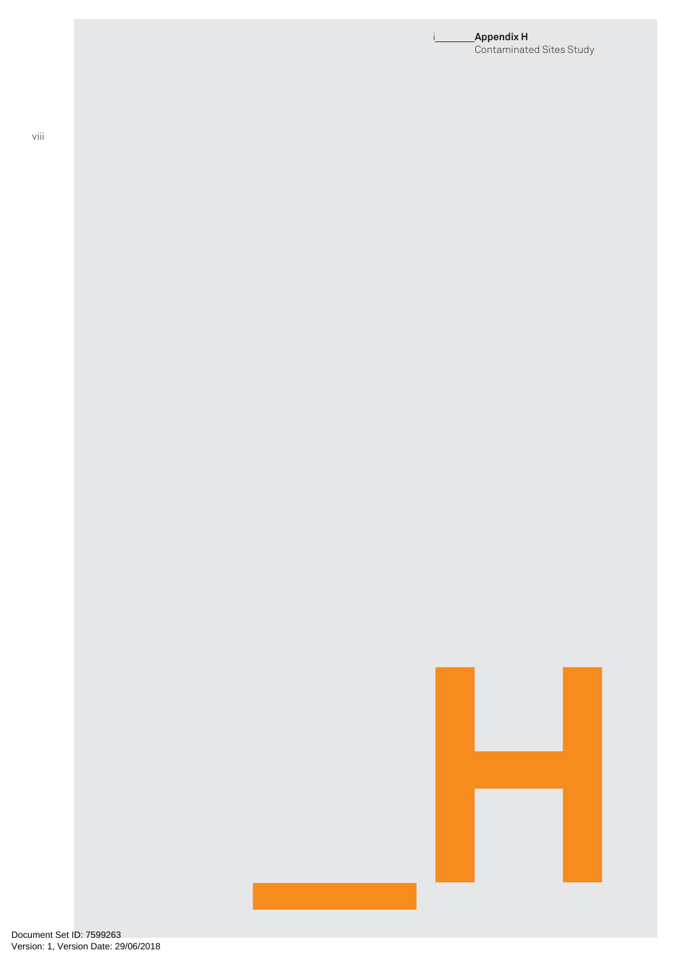#### i **Appendix H** Contaminated Sites Study

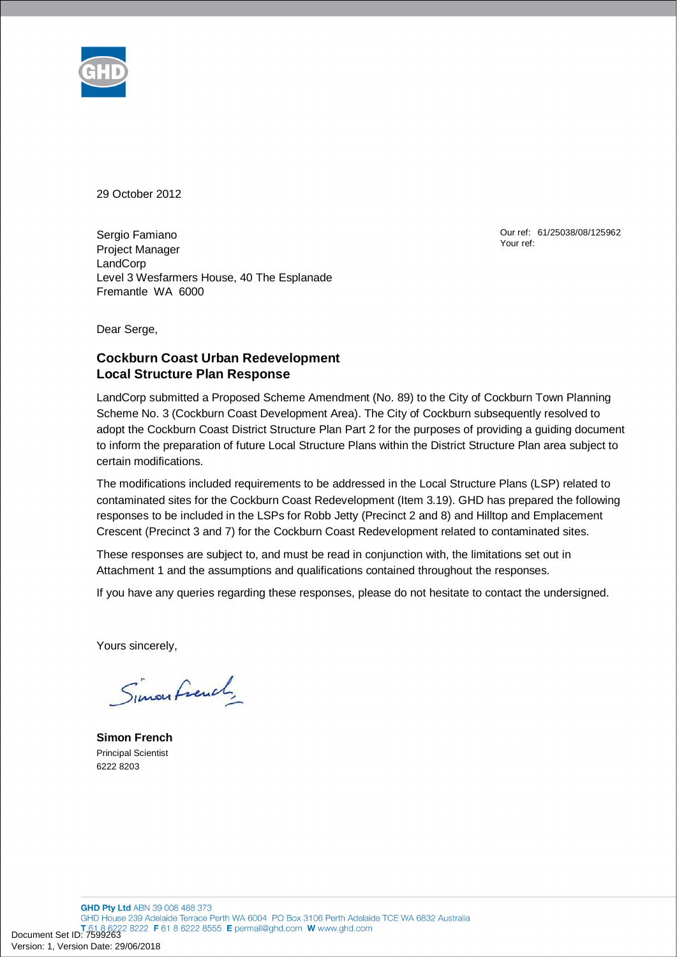

29 October 2012

Sergio Famiano Project Manager **LandCorp** Level 3 Wesfarmers House, 40 The Esplanade Fremantle WA 6000

Our ref: 61/25038/08/125962 Your ref:

Dear Serge,

## **Cockburn Coast Urban Redevelopment Local Structure Plan Response**

LandCorp submitted a Proposed Scheme Amendment (No. 89) to the City of Cockburn Town Planning Scheme No. 3 (Cockburn Coast Development Area). The City of Cockburn subsequently resolved to adopt the Cockburn Coast District Structure Plan Part 2 for the purposes of providing a guiding document to inform the preparation of future Local Structure Plans within the District Structure Plan area subject to certain modifications.

The modifications included requirements to be addressed in the Local Structure Plans (LSP) related to contaminated sites for the Cockburn Coast Redevelopment (Item 3.19). GHD has prepared the following responses to be included in the LSPs for Robb Jetty (Precinct 2 and 8) and Hilltop and Emplacement Crescent (Precinct 3 and 7) for the Cockburn Coast Redevelopment related to contaminated sites.

These responses are subject to, and must be read in conjunction with, the limitations set out in Attachment 1 and the assumptions and qualifications contained throughout the responses.

If you have any queries regarding these responses, please do not hesitate to contact the undersigned.

Yours sincerely,

Simon French

**Simon French**  Principal Scientist 6222 8203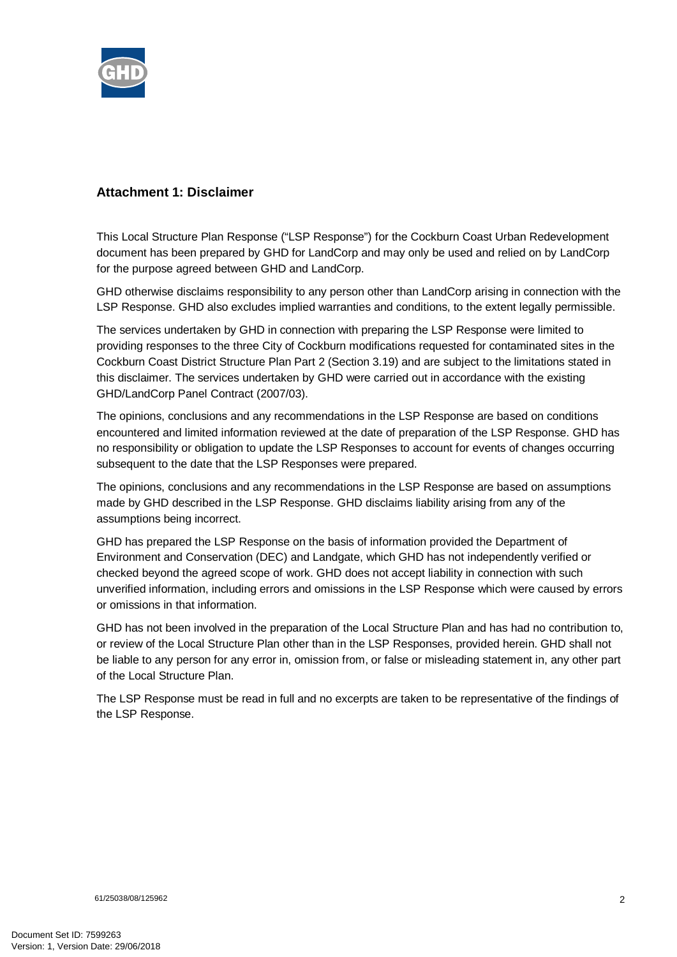

# **Attachment 1: Disclaimer**

This Local Structure Plan Response ("LSP Response") for the Cockburn Coast Urban Redevelopment document has been prepared by GHD for LandCorp and may only be used and relied on by LandCorp for the purpose agreed between GHD and LandCorp.

GHD otherwise disclaims responsibility to any person other than LandCorp arising in connection with the LSP Response. GHD also excludes implied warranties and conditions, to the extent legally permissible.

The services undertaken by GHD in connection with preparing the LSP Response were limited to providing responses to the three City of Cockburn modifications requested for contaminated sites in the Cockburn Coast District Structure Plan Part 2 (Section 3.19) and are subject to the limitations stated in this disclaimer. The services undertaken by GHD were carried out in accordance with the existing GHD/LandCorp Panel Contract (2007/03).

The opinions, conclusions and any recommendations in the LSP Response are based on conditions encountered and limited information reviewed at the date of preparation of the LSP Response. GHD has no responsibility or obligation to update the LSP Responses to account for events of changes occurring subsequent to the date that the LSP Responses were prepared.

The opinions, conclusions and any recommendations in the LSP Response are based on assumptions made by GHD described in the LSP Response. GHD disclaims liability arising from any of the assumptions being incorrect.

GHD has prepared the LSP Response on the basis of information provided the Department of Environment and Conservation (DEC) and Landgate, which GHD has not independently verified or checked beyond the agreed scope of work. GHD does not accept liability in connection with such unverified information, including errors and omissions in the LSP Response which were caused by errors or omissions in that information.

GHD has not been involved in the preparation of the Local Structure Plan and has had no contribution to, or review of the Local Structure Plan other than in the LSP Responses, provided herein. GHD shall not be liable to any person for any error in, omission from, or false or misleading statement in, any other part of the Local Structure Plan.

The LSP Response must be read in full and no excerpts are taken to be representative of the findings of the LSP Response.

61/25038/08/125962 2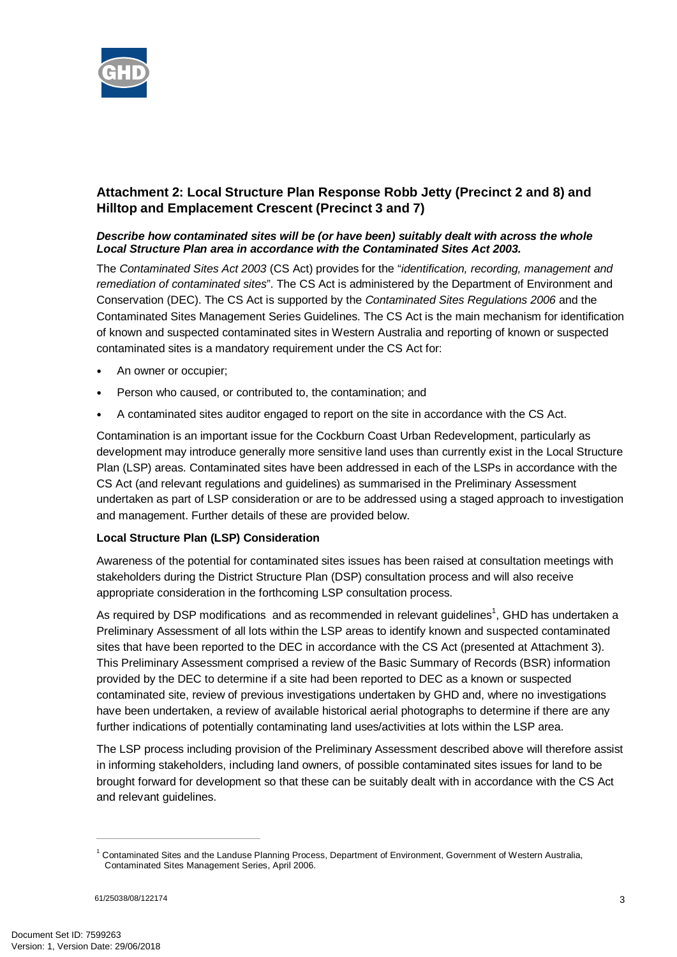

# **Attachment 2: Local Structure Plan Response Robb Jetty (Precinct 2 and 8) and Hilltop and Emplacement Crescent (Precinct 3 and 7)**

### *Describe how contaminated sites will be (or have been) suitably dealt with across the whole Local Structure Plan area in accordance with the Contaminated Sites Act 2003.*

The *Contaminated Sites Act 2003* (CS Act) provides for the "*identification, recording, management and remediation of contaminated sites*". The CS Act is administered by the Department of Environment and Conservation (DEC). The CS Act is supported by the *Contaminated Sites Regulations 2006* and the Contaminated Sites Management Series Guidelines. The CS Act is the main mechanism for identification of known and suspected contaminated sites in Western Australia and reporting of known or suspected contaminated sites is a mandatory requirement under the CS Act for:

- An owner or occupier;
- Person who caused, or contributed to, the contamination; and
- A contaminated sites auditor engaged to report on the site in accordance with the CS Act.

Contamination is an important issue for the Cockburn Coast Urban Redevelopment, particularly as development may introduce generally more sensitive land uses than currently exist in the Local Structure Plan (LSP) areas. Contaminated sites have been addressed in each of the LSPs in accordance with the CS Act (and relevant regulations and guidelines) as summarised in the Preliminary Assessment undertaken as part of LSP consideration or are to be addressed using a staged approach to investigation and management. Further details of these are provided below.

## **Local Structure Plan (LSP) Consideration**

Awareness of the potential for contaminated sites issues has been raised at consultation meetings with stakeholders during the District Structure Plan (DSP) consultation process and will also receive appropriate consideration in the forthcoming LSP consultation process.

As required by DSP modifications and as recommended in relevant guidelines<sup>1</sup>, GHD has undertaken a Preliminary Assessment of all lots within the LSP areas to identify known and suspected contaminated sites that have been reported to the DEC in accordance with the CS Act (presented at Attachment 3). This Preliminary Assessment comprised a review of the Basic Summary of Records (BSR) information provided by the DEC to determine if a site had been reported to DEC as a known or suspected contaminated site, review of previous investigations undertaken by GHD and, where no investigations have been undertaken, a review of available historical aerial photographs to determine if there are any further indications of potentially contaminating land uses/activities at lots within the LSP area.

The LSP process including provision of the Preliminary Assessment described above will therefore assist in informing stakeholders, including land owners, of possible contaminated sites issues for land to be brought forward for development so that these can be suitably dealt with in accordance with the CS Act and relevant guidelines.

<sup>&</sup>lt;sup>1</sup> Contaminated Sites and the Landuse Planning Process, Department of Environment, Government of Western Australia, Contaminated Sites Management Series, April 2006.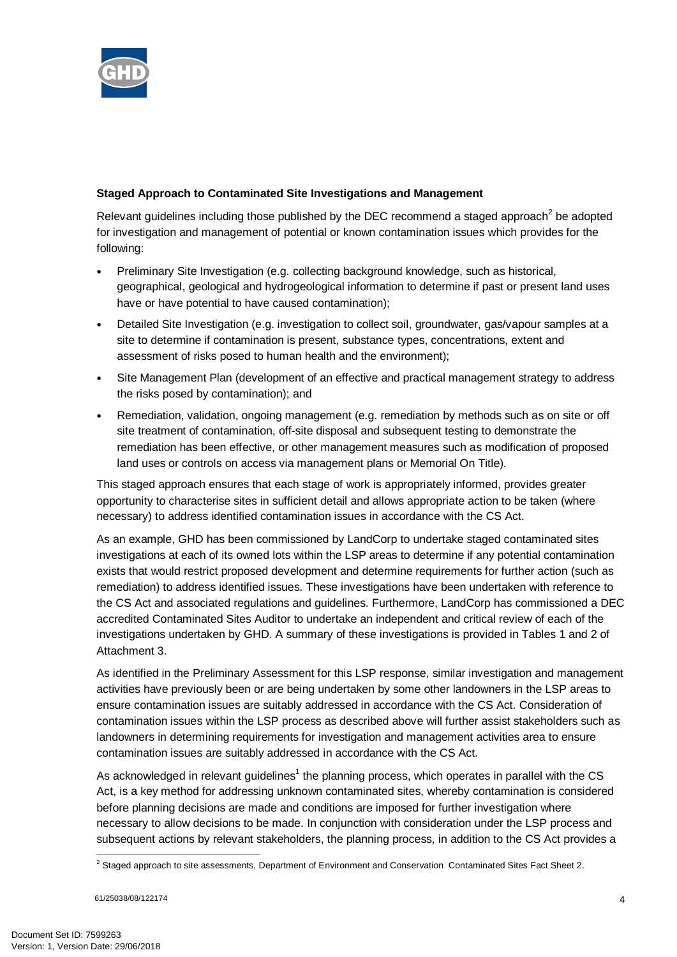

## **Staged Approach to Contaminated Site Investigations and Management**

Relevant guidelines including those published by the DEC recommend a staged approach<sup>2</sup> be adopted for investigation and management of potential or known contamination issues which provides for the following:

- Preliminary Site Investigation (e.g. collecting background knowledge, such as historical, geographical, geological and hydrogeological information to determine if past or present land uses have or have potential to have caused contamination);
- Detailed Site Investigation (e.g. investigation to collect soil, groundwater, gas/vapour samples at a site to determine if contamination is present, substance types, concentrations, extent and assessment of risks posed to human health and the environment);
- Site Management Plan (development of an effective and practical management strategy to address the risks posed by contamination); and
- Remediation, validation, ongoing management (e.g. remediation by methods such as on site or off site treatment of contamination, off-site disposal and subsequent testing to demonstrate the remediation has been effective, or other management measures such as modification of proposed land uses or controls on access via management plans or Memorial On Title).

This staged approach ensures that each stage of work is appropriately informed, provides greater opportunity to characterise sites in sufficient detail and allows appropriate action to be taken (where necessary) to address identified contamination issues in accordance with the CS Act.

As an example, GHD has been commissioned by LandCorp to undertake staged contaminated sites investigations at each of its owned lots within the LSP areas to determine if any potential contamination exists that would restrict proposed development and determine requirements for further action (such as remediation) to address identified issues. These investigations have been undertaken with reference to the CS Act and associated regulations and guidelines. Furthermore, LandCorp has commissioned a DEC accredited Contaminated Sites Auditor to undertake an independent and critical review of each of the investigations undertaken by GHD. A summary of these investigations is provided in Tables 1 and 2 of Attachment 3.

As identified in the Preliminary Assessment for this LSP response, similar investigation and management activities have previously been or are being undertaken by some other landowners in the LSP areas to ensure contamination issues are suitably addressed in accordance with the CS Act. Consideration of contamination issues within the LSP process as described above will further assist stakeholders such as landowners in determining requirements for investigation and management activities area to ensure contamination issues are suitably addressed in accordance with the CS Act.

As acknowledged in relevant guidelines<sup>1</sup> the planning process, which operates in parallel with the CS Act, is a key method for addressing unknown contaminated sites, whereby contamination is considered before planning decisions are made and conditions are imposed for further investigation where necessary to allow decisions to be made. In conjunction with consideration under the LSP process and subsequent actions by relevant stakeholders, the planning process, in addition to the CS Act provides a

 <sup>2</sup> Staged approach to site assessments, Department of Environment and Conservation Contaminated Sites Fact Sheet 2.

<sup>61/25038/08/122174</sup> 4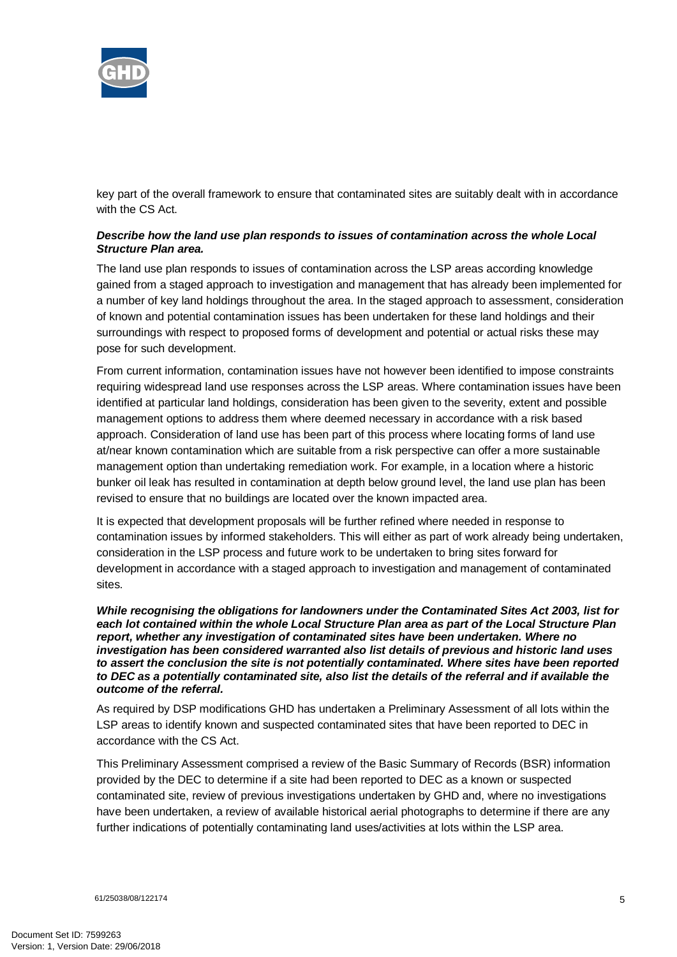

key part of the overall framework to ensure that contaminated sites are suitably dealt with in accordance with the CS Act.

### *Describe how the land use plan responds to issues of contamination across the whole Local Structure Plan area.*

The land use plan responds to issues of contamination across the LSP areas according knowledge gained from a staged approach to investigation and management that has already been implemented for a number of key land holdings throughout the area. In the staged approach to assessment, consideration of known and potential contamination issues has been undertaken for these land holdings and their surroundings with respect to proposed forms of development and potential or actual risks these may pose for such development.

From current information, contamination issues have not however been identified to impose constraints requiring widespread land use responses across the LSP areas. Where contamination issues have been identified at particular land holdings, consideration has been given to the severity, extent and possible management options to address them where deemed necessary in accordance with a risk based approach. Consideration of land use has been part of this process where locating forms of land use at/near known contamination which are suitable from a risk perspective can offer a more sustainable management option than undertaking remediation work. For example, in a location where a historic bunker oil leak has resulted in contamination at depth below ground level, the land use plan has been revised to ensure that no buildings are located over the known impacted area.

It is expected that development proposals will be further refined where needed in response to contamination issues by informed stakeholders. This will either as part of work already being undertaken, consideration in the LSP process and future work to be undertaken to bring sites forward for development in accordance with a staged approach to investigation and management of contaminated sites.

*While recognising the obligations for landowners under the Contaminated Sites Act 2003, list for each lot contained within the whole Local Structure Plan area as part of the Local Structure Plan report, whether any investigation of contaminated sites have been undertaken. Where no investigation has been considered warranted also list details of previous and historic land uses to assert the conclusion the site is not potentially contaminated. Where sites have been reported to DEC as a potentially contaminated site, also list the details of the referral and if available the outcome of the referral.* 

As required by DSP modifications GHD has undertaken a Preliminary Assessment of all lots within the LSP areas to identify known and suspected contaminated sites that have been reported to DEC in accordance with the CS Act.

This Preliminary Assessment comprised a review of the Basic Summary of Records (BSR) information provided by the DEC to determine if a site had been reported to DEC as a known or suspected contaminated site, review of previous investigations undertaken by GHD and, where no investigations have been undertaken, a review of available historical aerial photographs to determine if there are any further indications of potentially contaminating land uses/activities at lots within the LSP area.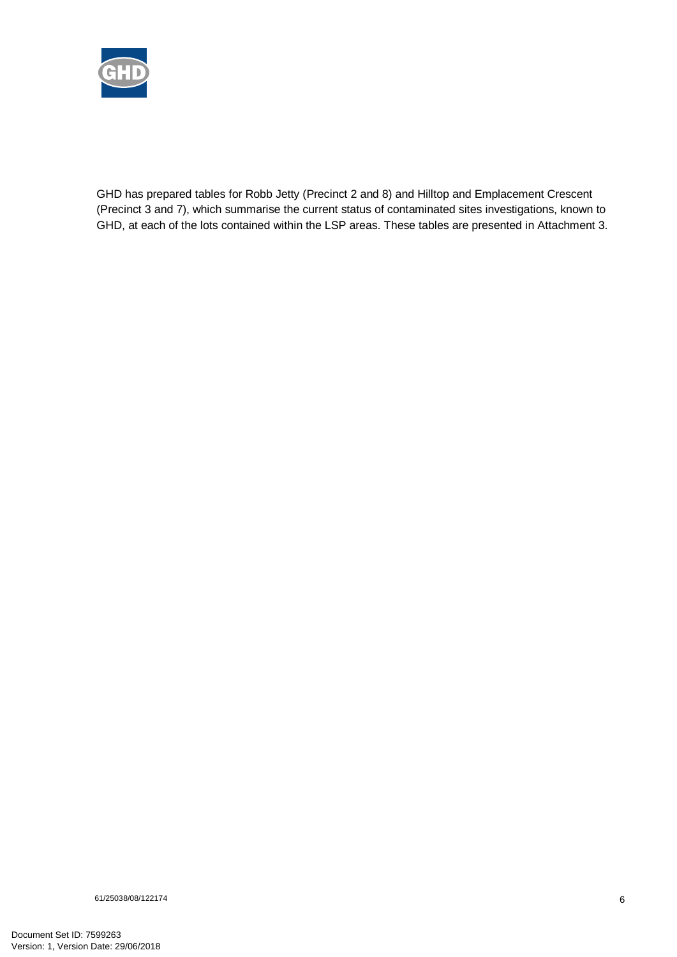

GHD has prepared tables for Robb Jetty (Precinct 2 and 8) and Hilltop and Emplacement Crescent (Precinct 3 and 7), which summarise the current status of contaminated sites investigations, known to GHD, at each of the lots contained within the LSP areas. These tables are presented in Attachment 3.

61/25038/08/122174 6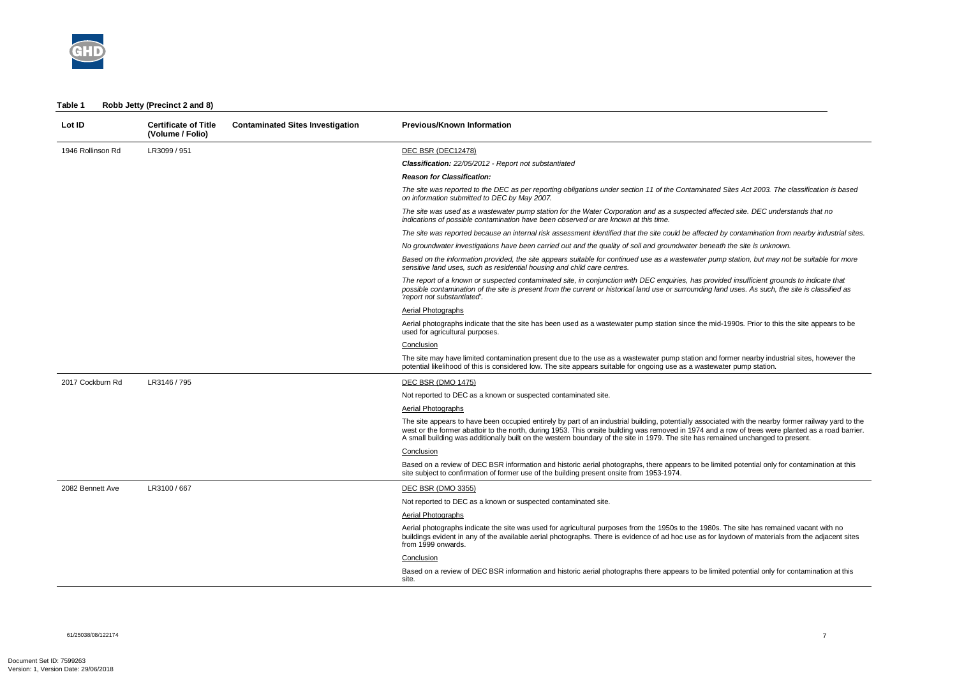

| Table 1 | Robb Jetty (Precinct 2 and 8) |  |
|---------|-------------------------------|--|
|---------|-------------------------------|--|

| Lot ID            | <b>Certificate of Title</b><br>(Volume / Folio) | <b>Contaminated Sites Investigation</b> | <b>Previous/Known Information</b>                                                                                                                                                                                                                                                                                                                                                                                                              |
|-------------------|-------------------------------------------------|-----------------------------------------|------------------------------------------------------------------------------------------------------------------------------------------------------------------------------------------------------------------------------------------------------------------------------------------------------------------------------------------------------------------------------------------------------------------------------------------------|
| 1946 Rollinson Rd | LR3099 / 951                                    |                                         | DEC BSR (DEC12478)                                                                                                                                                                                                                                                                                                                                                                                                                             |
|                   |                                                 |                                         | <b>Classification:</b> 22/05/2012 - Report not substantiated                                                                                                                                                                                                                                                                                                                                                                                   |
|                   |                                                 |                                         | <b>Reason for Classification:</b>                                                                                                                                                                                                                                                                                                                                                                                                              |
|                   |                                                 |                                         | The site was reported to the DEC as per reporting obligations under section 11 of the Contaminated Sites Act 2003. The classification is based<br>on information submitted to DEC by May 2007.                                                                                                                                                                                                                                                 |
|                   |                                                 |                                         | The site was used as a wastewater pump station for the Water Corporation and as a suspected affected site. DEC understands that no<br>indications of possible contamination have been observed or are known at this time.                                                                                                                                                                                                                      |
|                   |                                                 |                                         | The site was reported because an internal risk assessment identified that the site could be affected by contamination from nearby industrial sites.                                                                                                                                                                                                                                                                                            |
|                   |                                                 |                                         | No groundwater investigations have been carried out and the quality of soil and groundwater beneath the site is unknown.                                                                                                                                                                                                                                                                                                                       |
|                   |                                                 |                                         | Based on the information provided, the site appears suitable for continued use as a wastewater pump station, but may not be suitable for more<br>sensitive land uses, such as residential housing and child care centres.                                                                                                                                                                                                                      |
|                   |                                                 |                                         | The report of a known or suspected contaminated site, in conjunction with DEC enquiries, has provided insufficient grounds to indicate that<br>possible contamination of the site is present from the current or historical land use or surrounding land uses. As such, the site is classified as<br>'report not substantiated'.                                                                                                               |
|                   |                                                 |                                         | <b>Aerial Photographs</b>                                                                                                                                                                                                                                                                                                                                                                                                                      |
|                   |                                                 |                                         | Aerial photographs indicate that the site has been used as a wastewater pump station since the mid-1990s. Prior to this the site appears to be<br>used for agricultural purposes.                                                                                                                                                                                                                                                              |
|                   |                                                 |                                         | Conclusion                                                                                                                                                                                                                                                                                                                                                                                                                                     |
|                   |                                                 |                                         | The site may have limited contamination present due to the use as a wastewater pump station and former nearby industrial sites, however the<br>potential likelihood of this is considered low. The site appears suitable for ongoing use as a wastewater pump station.                                                                                                                                                                         |
| 2017 Cockburn Rd  | LR3146 / 795                                    |                                         | DEC BSR (DMO 1475)                                                                                                                                                                                                                                                                                                                                                                                                                             |
|                   |                                                 |                                         | Not reported to DEC as a known or suspected contaminated site.                                                                                                                                                                                                                                                                                                                                                                                 |
|                   |                                                 |                                         | <b>Aerial Photographs</b>                                                                                                                                                                                                                                                                                                                                                                                                                      |
|                   |                                                 |                                         | The site appears to have been occupied entirely by part of an industrial building, potentially associated with the nearby former railway yard to the<br>west or the former abattoir to the north, during 1953. This onsite building was removed in 1974 and a row of trees were planted as a road barrier.<br>A small building was additionally built on the western boundary of the site in 1979. The site has remained unchanged to present. |
|                   |                                                 |                                         | Conclusion                                                                                                                                                                                                                                                                                                                                                                                                                                     |
|                   |                                                 |                                         | Based on a review of DEC BSR information and historic aerial photographs, there appears to be limited potential only for contamination at this<br>site subject to confirmation of former use of the building present onsite from 1953-1974.                                                                                                                                                                                                    |
| 2082 Bennett Ave  | LR3100 / 667                                    |                                         | DEC BSR (DMO 3355)                                                                                                                                                                                                                                                                                                                                                                                                                             |
|                   |                                                 |                                         | Not reported to DEC as a known or suspected contaminated site.                                                                                                                                                                                                                                                                                                                                                                                 |
|                   |                                                 |                                         | <b>Aerial Photographs</b>                                                                                                                                                                                                                                                                                                                                                                                                                      |
|                   |                                                 |                                         | Aerial photographs indicate the site was used for agricultural purposes from the 1950s to the 1980s. The site has remained vacant with no<br>buildings evident in any of the available aerial photographs. There is evidence of ad hoc use as for laydown of materials from the adjacent sites<br>from 1999 onwards.                                                                                                                           |
|                   |                                                 |                                         | Conclusion                                                                                                                                                                                                                                                                                                                                                                                                                                     |
|                   |                                                 |                                         | Based on a review of DEC BSR information and historic aerial photographs there appears to be limited potential only for contamination at this<br>site.                                                                                                                                                                                                                                                                                         |

61/25038/08/122174<br>61/25038/08/122174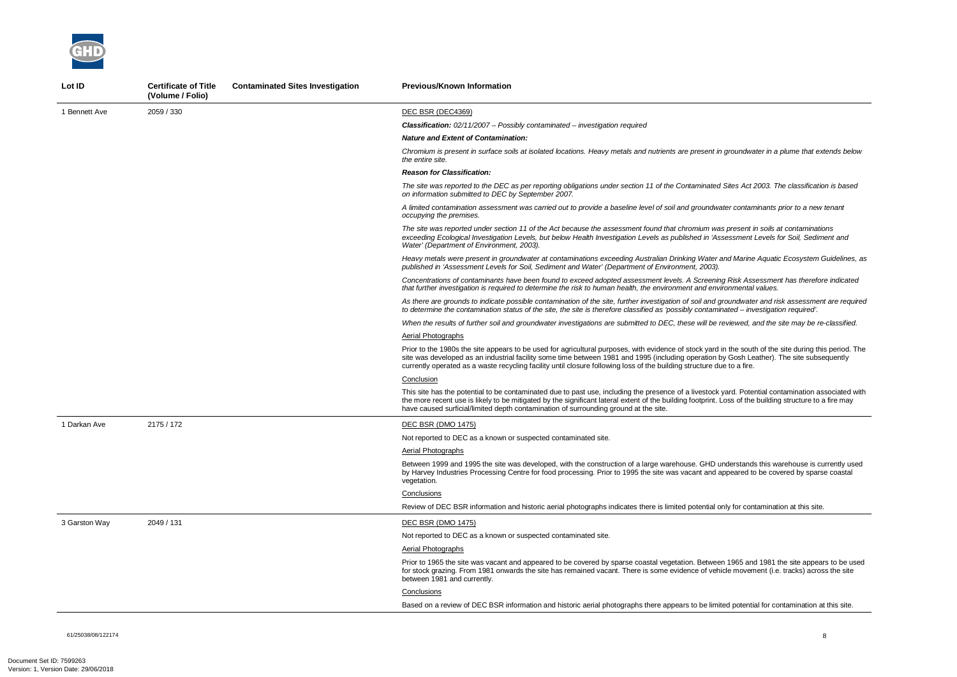61/25038/08/122174 8

*Chromium is present in surface soils at isolated locations. Heavy metals and nutrients are present in groundwater in a plume that extends below* 

*The site was reported to the DEC as per reporting obligations under section 11 of the Contaminated Sites Act 2003. The classification is based* 

*A limited contamination assessment was carried out to provide a baseline level of soil and groundwater contaminants prior to a new tenant* 

*Risk Assessment has therefore indicated that further investigation is required to determine the risk to human health, the environment and environmental values.* 

*The site was reported under section 11 of the Act because the assessment found that chromium was present in soils at contaminations exceeding Ecological Investigation Levels, but below Health Investigation Levels as published in 'Assessment Levels for Soil, Sediment and* 

*Heavy metals were present in groundwater at contaminations exceeding Australian Drinking Water and Marine Aquatic Ecosystem Guidelines, as* 

*As there are grounds to indicate possible contamination of the site, further investigation of soil and groundwater and risk assessment are required to determine the contamination status of the site, the site is therefore classified as 'possibly contaminated – investigation required'.* 



| Lot ID        | <b>Certificate of Title</b><br>(Volume / Folio) | <b>Contaminated Sites Investigation</b> | <b>Previous/Known Information</b>                                                                                                                                                                                                                                                                                                                            |
|---------------|-------------------------------------------------|-----------------------------------------|--------------------------------------------------------------------------------------------------------------------------------------------------------------------------------------------------------------------------------------------------------------------------------------------------------------------------------------------------------------|
| 1 Bennett Ave | 2059 / 330                                      |                                         | DEC BSR (DEC4369)                                                                                                                                                                                                                                                                                                                                            |
|               |                                                 |                                         | <b>Classification:</b> 02/11/2007 - Possibly contaminated - investigation required                                                                                                                                                                                                                                                                           |
|               |                                                 |                                         | <b>Nature and Extent of Contamination:</b>                                                                                                                                                                                                                                                                                                                   |
|               |                                                 |                                         | Chromium is present in surface soils at isolated locations. Heavy metals and nutrients are present in groundwa<br>the entire site.                                                                                                                                                                                                                           |
|               |                                                 |                                         | <b>Reason for Classification:</b>                                                                                                                                                                                                                                                                                                                            |
|               |                                                 |                                         | The site was reported to the DEC as per reporting obligations under section 11 of the Contaminated Sites Act 2<br>on information submitted to DEC by September 2007.                                                                                                                                                                                         |
|               |                                                 |                                         | A limited contamination assessment was carried out to provide a baseline level of soil and groundwater contan<br>occupying the premises.                                                                                                                                                                                                                     |
|               |                                                 |                                         | The site was reported under section 11 of the Act because the assessment found that chromium was present in<br>exceeding Ecological Investigation Levels, but below Health Investigation Levels as published in 'Assessment i<br>Water' (Department of Environment, 2003).                                                                                   |
|               |                                                 |                                         | Heavy metals were present in groundwater at contaminations exceeding Australian Drinking Water and Marine<br>published in 'Assessment Levels for Soil, Sediment and Water' (Department of Environment, 2003).                                                                                                                                                |
|               |                                                 |                                         | Concentrations of contaminants have been found to exceed adopted assessment levels. A Screening Risk Ass<br>that further investigation is required to determine the risk to human health, the environment and environmental                                                                                                                                  |
|               |                                                 |                                         | As there are grounds to indicate possible contamination of the site, further investigation of soil and groundwate<br>to determine the contamination status of the site, the site is therefore classified as 'possibly contaminated - inv                                                                                                                     |
|               |                                                 |                                         | When the results of further soil and groundwater investigations are submitted to DEC, these will be reviewed, a                                                                                                                                                                                                                                              |
|               |                                                 |                                         | <b>Aerial Photographs</b>                                                                                                                                                                                                                                                                                                                                    |
|               |                                                 |                                         | Prior to the 1980s the site appears to be used for agricultural purposes, with evidence of stock yard in the soutl<br>site was developed as an industrial facility some time between 1981 and 1995 (including operation by Gosh Le<br>currently operated as a waste recycling facility until closure following loss of the building structure due to a fire. |
|               |                                                 |                                         | Conclusion                                                                                                                                                                                                                                                                                                                                                   |
|               |                                                 |                                         | This site has the potential to be contaminated due to past use, including the presence of a livestock yard. Poter<br>the more recent use is likely to be mitigated by the significant lateral extent of the building footprint. Loss of the<br>have caused surficial/limited depth contamination of surrounding ground at the site.                          |
| 1 Darkan Ave  | 2175 / 172                                      |                                         | DEC BSR (DMO 1475)                                                                                                                                                                                                                                                                                                                                           |
|               |                                                 |                                         | Not reported to DEC as a known or suspected contaminated site.                                                                                                                                                                                                                                                                                               |
|               |                                                 |                                         | Aerial Photographs                                                                                                                                                                                                                                                                                                                                           |
|               |                                                 |                                         | Between 1999 and 1995 the site was developed, with the construction of a large warehouse. GHD understands<br>by Harvey Industries Processing Centre for food processing. Prior to 1995 the site was vacant and appeared to<br>vegetation.                                                                                                                    |
|               |                                                 |                                         | Conclusions                                                                                                                                                                                                                                                                                                                                                  |
|               |                                                 |                                         | Review of DEC BSR information and historic aerial photographs indicates there is limited potential only for cont                                                                                                                                                                                                                                             |
| 3 Garston Way | 2049 / 131                                      |                                         | <b>DEC BSR (DMO 1475)</b>                                                                                                                                                                                                                                                                                                                                    |
|               |                                                 |                                         | Not reported to DEC as a known or suspected contaminated site.                                                                                                                                                                                                                                                                                               |
|               |                                                 |                                         | Aerial Photographs                                                                                                                                                                                                                                                                                                                                           |
|               |                                                 |                                         | Prior to 1965 the site was vacant and appeared to be covered by sparse coastal vegetation. Between 1965 and<br>for stock grazing. From 1981 onwards the site has remained vacant. There is some evidence of vehicle movem<br>between 1981 and currently.                                                                                                     |
|               |                                                 |                                         | Conclusions                                                                                                                                                                                                                                                                                                                                                  |
|               |                                                 |                                         | Based on a review of DEC BSR information and historic aerial photographs there appears to be limited potentia                                                                                                                                                                                                                                                |

*When the results of further soil and groundwater investigations are submitted to DEC, these will be reviewed, and the site may be re-classified.* 

the south of the site during this period. The Gosh Leather). The site subsequently it o a fire.

ard. Potential contamination associated with bss of the building structure to a fire may

derstands this warehouse is currently used peared to be covered by sparse coastal

ly for contamination at this site.

1965 and 1981 the site appears to be used le movement (i.e. tracks) across the site

d potential for contamination at this site.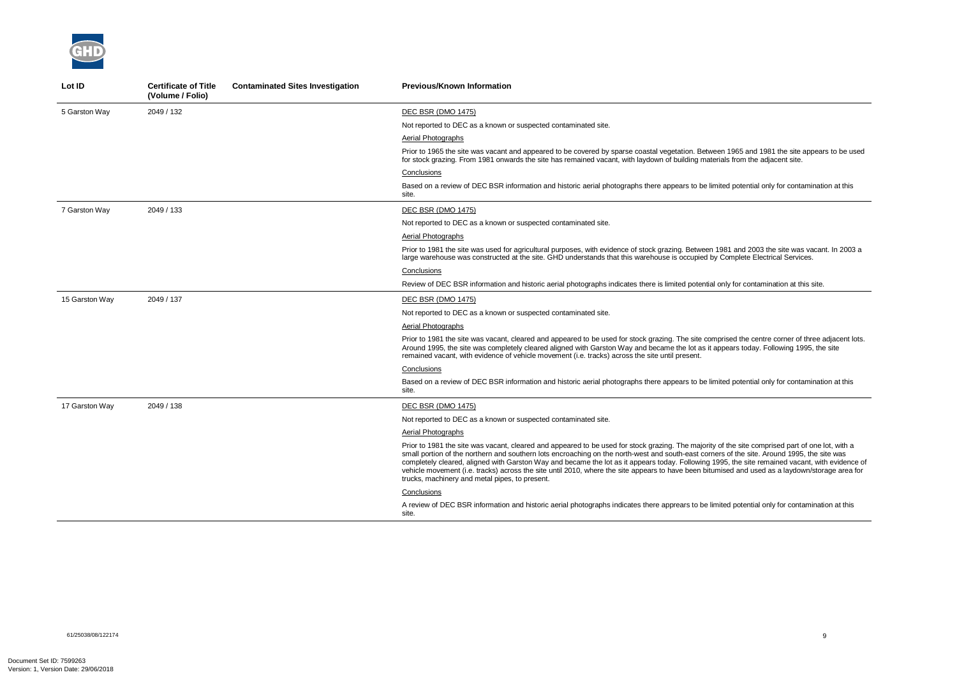

| Lot ID         | <b>Certificate of Title</b><br>(Volume / Folio) | <b>Contaminated Sites Investigation</b> | <b>Previous/Known Information</b>                                                                                                                                                                                                                                                                                                                                                                                                                                                |
|----------------|-------------------------------------------------|-----------------------------------------|----------------------------------------------------------------------------------------------------------------------------------------------------------------------------------------------------------------------------------------------------------------------------------------------------------------------------------------------------------------------------------------------------------------------------------------------------------------------------------|
| 5 Garston Way  | 2049 / 132                                      |                                         | <b>DEC BSR (DMO 1475)</b>                                                                                                                                                                                                                                                                                                                                                                                                                                                        |
|                |                                                 |                                         | Not reported to DEC as a known or suspected contaminated site.                                                                                                                                                                                                                                                                                                                                                                                                                   |
|                |                                                 |                                         | Aerial Photographs                                                                                                                                                                                                                                                                                                                                                                                                                                                               |
|                |                                                 |                                         | Prior to 1965 the site was vacant and appeared to be covered by sparse coastal vegetation. Between<br>for stock grazing. From 1981 onwards the site has remained vacant, with laydown of building material                                                                                                                                                                                                                                                                       |
|                |                                                 |                                         | Conclusions                                                                                                                                                                                                                                                                                                                                                                                                                                                                      |
|                |                                                 |                                         | Based on a review of DEC BSR information and historic aerial photographs there appears to be limite<br>site.                                                                                                                                                                                                                                                                                                                                                                     |
| 7 Garston Way  | 2049 / 133                                      |                                         | DEC BSR (DMO 1475)                                                                                                                                                                                                                                                                                                                                                                                                                                                               |
|                |                                                 |                                         | Not reported to DEC as a known or suspected contaminated site.                                                                                                                                                                                                                                                                                                                                                                                                                   |
|                |                                                 |                                         | Aerial Photographs                                                                                                                                                                                                                                                                                                                                                                                                                                                               |
|                |                                                 |                                         | Prior to 1981 the site was used for agricultural purposes, with evidence of stock grazing. Between 198<br>large warehouse was constructed at the site. GHD understands that this warehouse is occupied by Co                                                                                                                                                                                                                                                                     |
|                |                                                 |                                         | Conclusions                                                                                                                                                                                                                                                                                                                                                                                                                                                                      |
|                |                                                 |                                         | Review of DEC BSR information and historic aerial photographs indicates there is limited potential on                                                                                                                                                                                                                                                                                                                                                                            |
| 15 Garston Way | 2049 / 137                                      |                                         | <b>DEC BSR (DMO 1475)</b>                                                                                                                                                                                                                                                                                                                                                                                                                                                        |
|                |                                                 |                                         | Not reported to DEC as a known or suspected contaminated site.                                                                                                                                                                                                                                                                                                                                                                                                                   |
|                |                                                 |                                         | Aerial Photographs                                                                                                                                                                                                                                                                                                                                                                                                                                                               |
|                |                                                 |                                         | Prior to 1981 the site was vacant, cleared and appeared to be used for stock grazing. The site compri-<br>Around 1995, the site was completely cleared aligned with Garston Way and became the lot as it appe<br>remained vacant, with evidence of vehicle movement (i.e. tracks) across the site until present.                                                                                                                                                                 |
|                |                                                 |                                         | Conclusions                                                                                                                                                                                                                                                                                                                                                                                                                                                                      |
|                |                                                 |                                         | Based on a review of DEC BSR information and historic aerial photographs there appears to be limite<br>site.                                                                                                                                                                                                                                                                                                                                                                     |
| 17 Garston Way | 2049 / 138                                      |                                         | <b>DEC BSR (DMO 1475)</b>                                                                                                                                                                                                                                                                                                                                                                                                                                                        |
|                |                                                 |                                         | Not reported to DEC as a known or suspected contaminated site.                                                                                                                                                                                                                                                                                                                                                                                                                   |
|                |                                                 |                                         | <b>Aerial Photographs</b>                                                                                                                                                                                                                                                                                                                                                                                                                                                        |
|                |                                                 |                                         | Prior to 1981 the site was vacant, cleared and appeared to be used for stock grazing. The majority of<br>small portion of the northern and southern lots encroaching on the north-west and south-east corners<br>completely cleared, aligned with Garston Way and became the lot as it appears today. Following 1995<br>vehicle movement (i.e. tracks) across the site until 2010, where the site appears to have been bitumis<br>trucks, machinery and metal pipes, to present. |
|                |                                                 |                                         | Conclusions                                                                                                                                                                                                                                                                                                                                                                                                                                                                      |
|                |                                                 |                                         | A review of DEC BSR information and historic aerial photographs indicates there apprears to be limite<br>site.                                                                                                                                                                                                                                                                                                                                                                   |

nd 1965 and 1981 the site appears to be used als from the adjacent site.

ed potential only for contamination at this

P81 and 2003 the site was vacant. In 2003 a large was complete Electrical Services.

Iy for contamination at this site.

ised the centre corner of three adjacent lots. bears today. Following 1995, the site

ed potential only for contamination at this

f the site comprised part of one lot, with a s of the site. Around 1995, the site was 15, the site remained vacant, with evidence of vehicle movements the site where the site of the site of the site of the site and used as a laydown/storage area for

ed potential only for contamination at this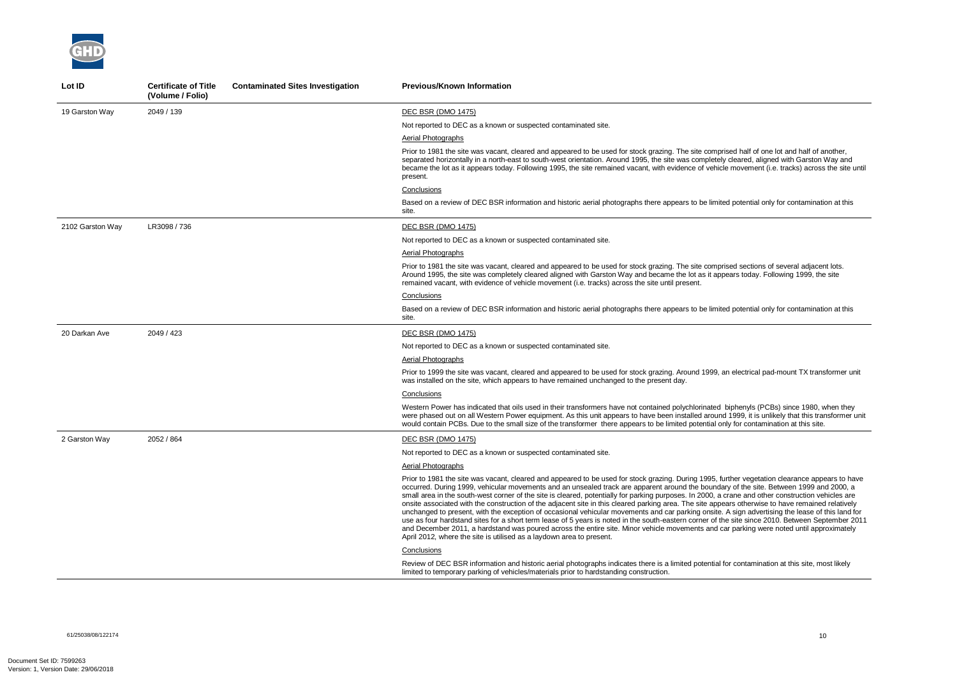

| Lot ID           | <b>Certificate of Title</b><br>(Volume / Folio) | <b>Contaminated Sites Investigation</b> | <b>Previous/Known Information</b>                                                                                                                                                                                                                                                                                                                                                                                                                                                                                                                                                                                                                                                                                                                                                                                                     |
|------------------|-------------------------------------------------|-----------------------------------------|---------------------------------------------------------------------------------------------------------------------------------------------------------------------------------------------------------------------------------------------------------------------------------------------------------------------------------------------------------------------------------------------------------------------------------------------------------------------------------------------------------------------------------------------------------------------------------------------------------------------------------------------------------------------------------------------------------------------------------------------------------------------------------------------------------------------------------------|
| 19 Garston Way   | 2049 / 139                                      |                                         | <b>DEC BSR (DMO 1475)</b>                                                                                                                                                                                                                                                                                                                                                                                                                                                                                                                                                                                                                                                                                                                                                                                                             |
|                  |                                                 |                                         | Not reported to DEC as a known or suspected contaminated site.                                                                                                                                                                                                                                                                                                                                                                                                                                                                                                                                                                                                                                                                                                                                                                        |
|                  |                                                 |                                         | Aerial Photographs                                                                                                                                                                                                                                                                                                                                                                                                                                                                                                                                                                                                                                                                                                                                                                                                                    |
|                  |                                                 |                                         | Prior to 1981 the site was vacant, cleared and appeared to be used for stock grazing. The site compris<br>separated horizontally in a north-east to south-west orientation. Around 1995, the site was completely<br>became the lot as it appears today. Following 1995, the site remained vacant, with evidence of vehicle<br>present.                                                                                                                                                                                                                                                                                                                                                                                                                                                                                                |
|                  |                                                 |                                         | Conclusions                                                                                                                                                                                                                                                                                                                                                                                                                                                                                                                                                                                                                                                                                                                                                                                                                           |
|                  |                                                 |                                         | Based on a review of DEC BSR information and historic aerial photographs there appears to be limite<br>site.                                                                                                                                                                                                                                                                                                                                                                                                                                                                                                                                                                                                                                                                                                                          |
| 2102 Garston Way | LR3098 / 736                                    |                                         | <b>DEC BSR (DMO 1475)</b>                                                                                                                                                                                                                                                                                                                                                                                                                                                                                                                                                                                                                                                                                                                                                                                                             |
|                  |                                                 |                                         | Not reported to DEC as a known or suspected contaminated site.                                                                                                                                                                                                                                                                                                                                                                                                                                                                                                                                                                                                                                                                                                                                                                        |
|                  |                                                 |                                         | Aerial Photographs                                                                                                                                                                                                                                                                                                                                                                                                                                                                                                                                                                                                                                                                                                                                                                                                                    |
|                  |                                                 |                                         | Prior to 1981 the site was vacant, cleared and appeared to be used for stock grazing. The site compris<br>Around 1995, the site was completely cleared aligned with Garston Way and became the lot as it appe<br>remained vacant, with evidence of vehicle movement (i.e. tracks) across the site until present.                                                                                                                                                                                                                                                                                                                                                                                                                                                                                                                      |
|                  |                                                 |                                         | Conclusions                                                                                                                                                                                                                                                                                                                                                                                                                                                                                                                                                                                                                                                                                                                                                                                                                           |
|                  |                                                 |                                         | Based on a review of DEC BSR information and historic aerial photographs there appears to be limite<br>site.                                                                                                                                                                                                                                                                                                                                                                                                                                                                                                                                                                                                                                                                                                                          |
| 20 Darkan Ave    | 2049 / 423                                      |                                         | <b>DEC BSR (DMO 1475)</b>                                                                                                                                                                                                                                                                                                                                                                                                                                                                                                                                                                                                                                                                                                                                                                                                             |
|                  |                                                 |                                         | Not reported to DEC as a known or suspected contaminated site.                                                                                                                                                                                                                                                                                                                                                                                                                                                                                                                                                                                                                                                                                                                                                                        |
|                  |                                                 |                                         | Aerial Photographs                                                                                                                                                                                                                                                                                                                                                                                                                                                                                                                                                                                                                                                                                                                                                                                                                    |
|                  |                                                 |                                         | Prior to 1999 the site was vacant, cleared and appeared to be used for stock grazing. Around 1999, ar<br>was installed on the site, which appears to have remained unchanged to the present day.                                                                                                                                                                                                                                                                                                                                                                                                                                                                                                                                                                                                                                      |
|                  |                                                 |                                         | Conclusions                                                                                                                                                                                                                                                                                                                                                                                                                                                                                                                                                                                                                                                                                                                                                                                                                           |
|                  |                                                 |                                         | Western Power has indicated that oils used in their transformers have not contained polychlorinated b<br>were phased out on all Western Power equipment. As this unit appears to have been installed around<br>would contain PCBs. Due to the small size of the transformer there appears to be limited potential on                                                                                                                                                                                                                                                                                                                                                                                                                                                                                                                  |
| 2 Garston Way    | 2052 / 864                                      |                                         | <b>DEC BSR (DMO 1475)</b>                                                                                                                                                                                                                                                                                                                                                                                                                                                                                                                                                                                                                                                                                                                                                                                                             |
|                  |                                                 |                                         | Not reported to DEC as a known or suspected contaminated site.                                                                                                                                                                                                                                                                                                                                                                                                                                                                                                                                                                                                                                                                                                                                                                        |
|                  |                                                 |                                         | <b>Aerial Photographs</b>                                                                                                                                                                                                                                                                                                                                                                                                                                                                                                                                                                                                                                                                                                                                                                                                             |
|                  |                                                 |                                         | Prior to 1981 the site was vacant, cleared and appeared to be used for stock grazing. During 1995, fur-<br>occurred. During 1999, vehicular movements and an unsealed track are apparent around the boundar<br>small area in the south-west corner of the site is cleared, potentially for parking purposes. In 2000, a c<br>onsite associated with the construction of the adjacent site in this cleared parking area. The site appea<br>unchanged to present, with the exception of occasional vehicular movements and car parking onsite.<br>use as four hardstand sites for a short term lease of 5 years is noted in the south-eastern corner of the<br>and December 2011, a hardstand was poured across the entire site. Minor vehicle movements and ca<br>April 2012, where the site is utilised as a laydown area to present. |
|                  |                                                 |                                         | Conclusions                                                                                                                                                                                                                                                                                                                                                                                                                                                                                                                                                                                                                                                                                                                                                                                                                           |
|                  |                                                 |                                         | Review of DEC BSR information and historic aerial photographs indicates there is a limited potential for<br>limited to temporary parking of vehicles/materials prior to hardstanding construction.                                                                                                                                                                                                                                                                                                                                                                                                                                                                                                                                                                                                                                    |

sed half of one lot and half of another, deared, aligned with Garston Way and  $\overline{e}$  movement (i.e. tracks) across the site until

ed potential only for contamination at this

sed sections of several adjacent lots. ears today. Following 1999, the site

d potential only for contamination at this

n electrical pad-mount TX transformer unit

biphenyls (PCBs) since 1980, when they 1999, it is unlikely that this transformer unit ly for contamination at this site.

rther vegetation clearance appears to have ry of the site. Between 1999 and 2000, a  $\frac{1}{2}$  rane and other construction vehicles are ars otherwise to have remained relatively A sign advertising the lease of this land for e site since 2010. Between September 2011 ar parking were noted until approximately

or contamination at this site, most likely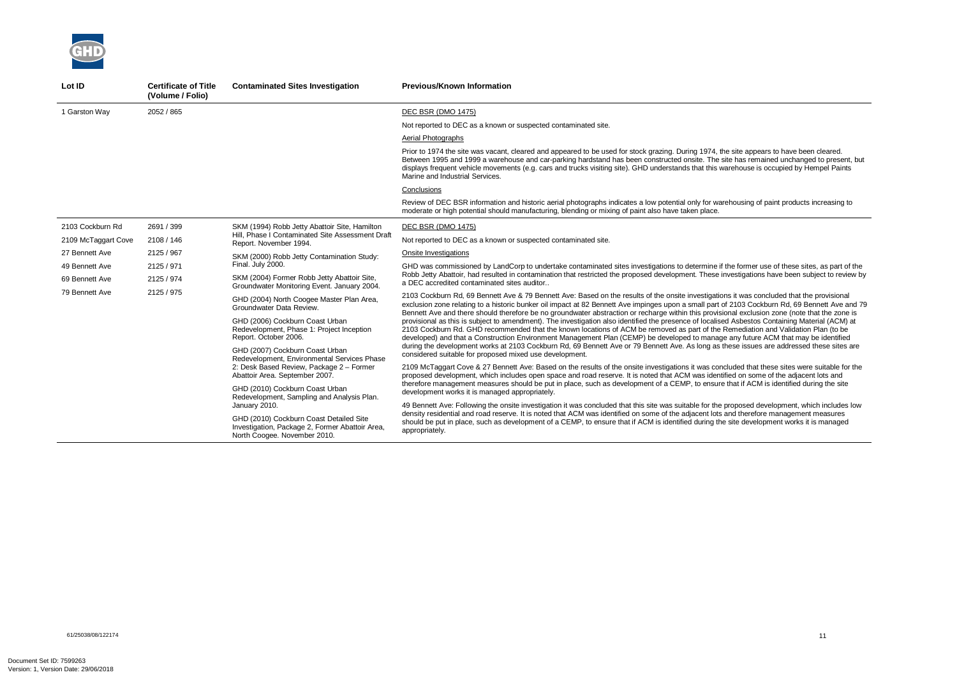the former use of these sites, as part of the Robb Jetty Abattoir, had resulted in contamination that restricted the proposed development. These investigations have been subject to review by

ns it was concluded that the provisional f 2103 Cockburn Rd, 69 Bennett Ave and 79 Benzo dischment Ave groundwater abstraction or received the strategies or  $\frac{1}{2}$ ed Asbestos Containing Material (ACM) at Remediation and Validation Plan (to be any future ACM that may be identified hese issues are addressed these sites are

cluded that these sites were suitable for the ified on some of the adjacent lots and that if ACM is identified during the site

proposed development, which includes low and therefore management measures site development works it is managed



| Lot ID              | <b>Certificate of Title</b><br>(Volume / Folio) | <b>Contaminated Sites Investigation</b>                                                                                    | <b>Previous/Known Information</b>                                                                                                                                                                                                                                                                                                                       |
|---------------------|-------------------------------------------------|----------------------------------------------------------------------------------------------------------------------------|---------------------------------------------------------------------------------------------------------------------------------------------------------------------------------------------------------------------------------------------------------------------------------------------------------------------------------------------------------|
| 1 Garston Way       | 2052 / 865                                      |                                                                                                                            | DEC BSR (DMO 1475)                                                                                                                                                                                                                                                                                                                                      |
|                     |                                                 |                                                                                                                            | Not reported to DEC as a known or suspected contaminated site.                                                                                                                                                                                                                                                                                          |
|                     |                                                 |                                                                                                                            | Aerial Photographs                                                                                                                                                                                                                                                                                                                                      |
|                     |                                                 |                                                                                                                            | Prior to 1974 the site was vacant, cleared and appeared to be used for stock grazing. During 1974, the<br>Between 1995 and 1999 a warehouse and car-parking hardstand has been constructed onsite. The si<br>displays frequent vehicle movements (e.g. cars and trucks visiting site). GHD understands that this way<br>Marine and Industrial Services. |
|                     |                                                 |                                                                                                                            | Conclusions                                                                                                                                                                                                                                                                                                                                             |
|                     |                                                 |                                                                                                                            | Review of DEC BSR information and historic aerial photographs indicates a low potential only for ware<br>moderate or high potential should manufacturing, blending or mixing of paint also have taken place.                                                                                                                                            |
| 2103 Cockburn Rd    | 2691 / 399                                      | SKM (1994) Robb Jetty Abattoir Site, Hamilton                                                                              | <b>DEC BSR (DMO 1475)</b>                                                                                                                                                                                                                                                                                                                               |
| 2109 McTaggart Cove | 2108 / 146                                      | Hill, Phase I Contaminated Site Assessment Draft<br>Report. November 1994.                                                 | Not reported to DEC as a known or suspected contaminated site.                                                                                                                                                                                                                                                                                          |
| 27 Bennett Ave      | 2125 / 967                                      | SKM (2000) Robb Jetty Contamination Study:                                                                                 | Onsite Investigations                                                                                                                                                                                                                                                                                                                                   |
| 49 Bennett Ave      | 2125 / 971                                      | Final. July 2000.                                                                                                          | GHD was commissioned by LandCorp to undertake contaminated sites investigations to determine if t<br>Robb Jetty Abattoir, had resulted in contamination that restricted the proposed development. These in<br>a DEC accredited contaminated sites auditor                                                                                               |
| 69 Bennett Ave      | 2125 / 974                                      | SKM (2004) Former Robb Jetty Abattoir Site,<br>Groundwater Monitoring Event. January 2004.                                 |                                                                                                                                                                                                                                                                                                                                                         |
| 79 Bennett Ave      | 2125 / 975                                      | GHD (2004) North Coogee Master Plan Area,<br>Groundwater Data Review.                                                      | 2103 Cockburn Rd, 69 Bennett Ave & 79 Bennett Ave: Based on the results of the onsite investigatior<br>exclusion zone relating to a historic bunker oil impact at 82 Bennett Ave impinges upon a small part of<br>Bennett Ave and there should therefore be no groundwater abstraction or recharge within this provision                                |
|                     |                                                 | GHD (2006) Cockburn Coast Urban<br>Redevelopment, Phase 1: Project Inception<br>Report. October 2006.                      | provisional as this is subject to amendment). The investigation also identified the presence of localise<br>2103 Cockburn Rd. GHD recommended that the known locations of ACM be removed as part of the F<br>developed) and that a Construction Environment Management Plan (CEMP) be developed to manage                                               |
|                     |                                                 | GHD (2007) Cockburn Coast Urban<br>Redevelopment, Environmental Services Phase                                             | during the development works at 2103 Cockburn Rd, 69 Bennett Ave or 79 Bennett Ave. As long as th<br>considered suitable for proposed mixed use development.                                                                                                                                                                                            |
|                     |                                                 | 2: Desk Based Review, Package 2 - Former<br>Abattoir Area. September 2007.                                                 | 2109 McTaggart Cove & 27 Bennett Ave: Based on the results of the onsite investigations it was conc<br>proposed development, which includes open space and road reserve. It is noted that ACM was identif                                                                                                                                               |
|                     |                                                 | GHD (2010) Cockburn Coast Urban<br>Redevelopment, Sampling and Analysis Plan.                                              | therefore management measures should be put in place, such as development of a CEMP, to ensure<br>development works it is managed appropriately.                                                                                                                                                                                                        |
|                     |                                                 | January 2010.                                                                                                              | 49 Bennett Ave: Following the onsite investigation it was concluded that this site was suitable for the p                                                                                                                                                                                                                                               |
|                     |                                                 | GHD (2010) Cockburn Coast Detailed Site<br>Investigation, Package 2, Former Abattoir Area,<br>North Coogee. November 2010. | density residential and road reserve. It is noted that ACM was identified on some of the adjacent lots a<br>should be put in place, such as development of a CEMP, to ensure that if ACM is identified during the<br>appropriately.                                                                                                                     |

he site appears to have been cleared. site has remained unchanged to present, but varehouse is occupied by Hempel Paints

rehousing of paint products increasing to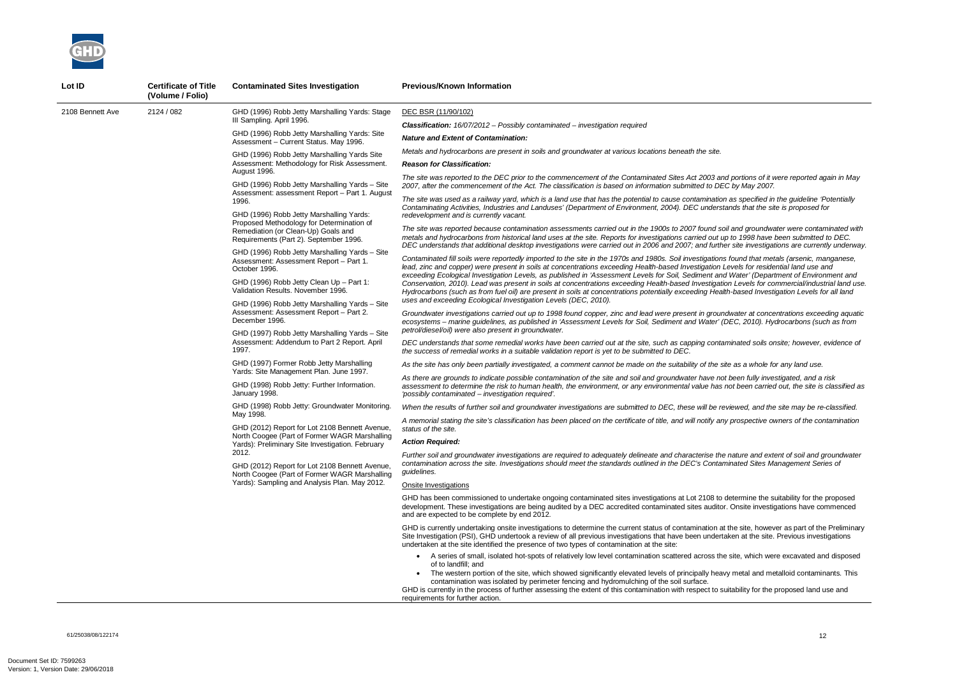*The site was reported to the DEC prior to the commencement of the Contaminated Sites Act 2003 and portions of it were reported again in May 2007, after the commencement of the Act. The classification is based on information submitted to DEC by May 2007.* 

*The site was used as a railway yard, which is a land use that has the potential to cause contamination as specified in the guideline 'Potentially Contaminating Activities, Industries and Landuses' (Department of Environment, 2004). DEC understands that the site is proposed for* 

*The site was reported because contamination assessments carried out in the 1900s to 2007 found soil and groundwater were contaminated with metals and hydrocarbons from historical land uses at the site. Reports for investigations carried out up to 1998 have been submitted to DEC. DEC understands that additional desktop investigations were carried out in 2006 and 2007; and further site investigations are currently underway.* 

*Contaminated fill soils were reportedly imported to the site in the 1970s and 1980s. Soil investigations found that metals (arsenic, manganese, lead, zinc and copper) were present in soils at concentrations exceeding Health-based Investigation Levels for residential land use and exceeding Ecological Investigation Levels, as published in 'Assessment Levels for Soil, Sediment and Water' (Department of Environment and Conservation, 2010). Lead was present in soils at concentrations exceeding Health-based Investigation Levels for commercial/industrial land use. Hydrocarbons (such as from fuel oil) are present in soils at concentrations potentially exceeding Health-based Investigation Levels for all land* 



| Lot ID           | <b>Certificate of Title</b><br>(Volume / Folio) | <b>Contaminated Sites Investigation</b>                                                                                                                                                                                                                                                                                                                                                                                                                                                                                                        | <b>Previous/Known Information</b>                                                                                                                                                                                                                                                                                                                                                                                                                                        |
|------------------|-------------------------------------------------|------------------------------------------------------------------------------------------------------------------------------------------------------------------------------------------------------------------------------------------------------------------------------------------------------------------------------------------------------------------------------------------------------------------------------------------------------------------------------------------------------------------------------------------------|--------------------------------------------------------------------------------------------------------------------------------------------------------------------------------------------------------------------------------------------------------------------------------------------------------------------------------------------------------------------------------------------------------------------------------------------------------------------------|
| 2108 Bennett Ave | 2124 / 082                                      | GHD (1996) Robb Jetty Marshalling Yards: Stage                                                                                                                                                                                                                                                                                                                                                                                                                                                                                                 | DEC BSR (11/90/102)                                                                                                                                                                                                                                                                                                                                                                                                                                                      |
|                  |                                                 | III Sampling. April 1996.                                                                                                                                                                                                                                                                                                                                                                                                                                                                                                                      | <b>Classification:</b> 16/07/2012 - Possibly contaminated - investigation required                                                                                                                                                                                                                                                                                                                                                                                       |
|                  |                                                 | GHD (1996) Robb Jetty Marshalling Yards: Site<br>Assessment - Current Status. May 1996.                                                                                                                                                                                                                                                                                                                                                                                                                                                        | <b>Nature and Extent of Contamination:</b>                                                                                                                                                                                                                                                                                                                                                                                                                               |
|                  |                                                 | GHD (1996) Robb Jetty Marshalling Yards Site                                                                                                                                                                                                                                                                                                                                                                                                                                                                                                   | Metals and hydrocarbons are present in soils and groundwater at various locations beneath the site.                                                                                                                                                                                                                                                                                                                                                                      |
|                  |                                                 | Assessment: Methodology for Risk Assessment.                                                                                                                                                                                                                                                                                                                                                                                                                                                                                                   | <b>Reason for Classification:</b>                                                                                                                                                                                                                                                                                                                                                                                                                                        |
|                  |                                                 | August 1996.<br>GHD (1996) Robb Jetty Marshalling Yards - Site<br>Assessment: assessment Report - Part 1. August                                                                                                                                                                                                                                                                                                                                                                                                                               | The site was reported to the DEC prior to the commencement of the Contaminated Sites Act 2003 and<br>2007, after the commencement of the Act. The classification is based on information submitted to DEC                                                                                                                                                                                                                                                                |
|                  |                                                 | 1996.<br>GHD (1996) Robb Jetty Marshalling Yards:                                                                                                                                                                                                                                                                                                                                                                                                                                                                                              | The site was used as a railway yard, which is a land use that has the potential to cause contamination<br>Contaminating Activities, Industries and Landuses' (Department of Environment, 2004). DEC understa<br>redevelopment and is currently vacant.                                                                                                                                                                                                                   |
|                  |                                                 | Proposed Methodology for Determination of<br>Remediation (or Clean-Up) Goals and<br>Requirements (Part 2). September 1996.                                                                                                                                                                                                                                                                                                                                                                                                                     | The site was reported because contamination assessments carried out in the 1900s to 2007 found soi.<br>metals and hydrocarbons from historical land uses at the site. Reports for investigations carried out up                                                                                                                                                                                                                                                          |
|                  |                                                 | GHD (1996) Robb Jetty Marshalling Yards - Site<br>Assessment: Assessment Report - Part 1.<br>October 1996.                                                                                                                                                                                                                                                                                                                                                                                                                                     | DEC understands that additional desktop investigations were carried out in 2006 and 2007; and furthe<br>Contaminated fill soils were reportedly imported to the site in the 1970s and 1980s. Soil investigations<br>lead, zinc and copper) were present in soils at concentrations exceeding Health-based Investigation Lo                                                                                                                                               |
|                  |                                                 | GHD (1996) Robb Jetty Clean Up - Part 1:<br>Validation Results. November 1996.                                                                                                                                                                                                                                                                                                                                                                                                                                                                 | exceeding Ecological Investigation Levels, as published in 'Assessment Levels for Soil, Sediment and<br>Conservation, 2010). Lead was present in soils at concentrations exceeding Health-based Investigatio<br>Hydrocarbons (such as from fuel oil) are present in soils at concentrations potentially exceeding Health                                                                                                                                                 |
|                  | December 1996.                                  | GHD (1996) Robb Jetty Marshalling Yards - Site<br>Assessment: Assessment Report - Part 2.                                                                                                                                                                                                                                                                                                                                                                                                                                                      | uses and exceeding Ecological Investigation Levels (DEC, 2010).<br>Groundwater investigations carried out up to 1998 found copper, zinc and lead were present in ground<br>ecosystems - marine guidelines, as published in 'Assessment Levels for Soil, Sediment and Water' (D                                                                                                                                                                                           |
|                  |                                                 | GHD (1997) Robb Jetty Marshalling Yards - Site                                                                                                                                                                                                                                                                                                                                                                                                                                                                                                 | petrol/diesel/oil) were also present in groundwater.                                                                                                                                                                                                                                                                                                                                                                                                                     |
|                  |                                                 | Assessment: Addendum to Part 2 Report. April<br>1997.<br>GHD (1997) Former Robb Jetty Marshalling<br>Yards: Site Management Plan. June 1997.<br>GHD (1998) Robb Jetty: Further Information.<br>January 1998.<br>GHD (1998) Robb Jetty: Groundwater Monitoring.<br>May 1998.<br>GHD (2012) Report for Lot 2108 Bennett Avenue,<br>North Coogee (Part of Former WAGR Marshalling<br>Yards): Preliminary Site Investigation. February<br>2012.<br>GHD (2012) Report for Lot 2108 Bennett Avenue,<br>North Coogee (Part of Former WAGR Marshalling | DEC understands that some remedial works have been carried out at the site, such as capping contan<br>the success of remedial works in a suitable validation report is yet to be submitted to DEC.                                                                                                                                                                                                                                                                       |
|                  |                                                 |                                                                                                                                                                                                                                                                                                                                                                                                                                                                                                                                                | As the site has only been partially investigated, a comment cannot be made on the suitability of the site                                                                                                                                                                                                                                                                                                                                                                |
|                  |                                                 |                                                                                                                                                                                                                                                                                                                                                                                                                                                                                                                                                | As there are grounds to indicate possible contamination of the site and soil and groundwater have not<br>assessment to determine the risk to human health, the environment, or any environmental value has n<br>'possibly contaminated - investigation required'.                                                                                                                                                                                                        |
|                  |                                                 |                                                                                                                                                                                                                                                                                                                                                                                                                                                                                                                                                | When the results of further soil and groundwater investigations are submitted to DEC, these will be rev                                                                                                                                                                                                                                                                                                                                                                  |
|                  |                                                 |                                                                                                                                                                                                                                                                                                                                                                                                                                                                                                                                                | A memorial stating the site's classification has been placed on the certificate of title, and will notify any<br>status of the site.                                                                                                                                                                                                                                                                                                                                     |
|                  |                                                 |                                                                                                                                                                                                                                                                                                                                                                                                                                                                                                                                                | <b>Action Required:</b>                                                                                                                                                                                                                                                                                                                                                                                                                                                  |
|                  |                                                 |                                                                                                                                                                                                                                                                                                                                                                                                                                                                                                                                                | Further soil and groundwater investigations are required to adequately delineate and characterise the<br>contamination across the site. Investigations should meet the standards outlined in the DEC's Contam<br>guidelines.                                                                                                                                                                                                                                             |
|                  |                                                 | Yards): Sampling and Analysis Plan. May 2012.                                                                                                                                                                                                                                                                                                                                                                                                                                                                                                  | Onsite Investigations                                                                                                                                                                                                                                                                                                                                                                                                                                                    |
|                  |                                                 |                                                                                                                                                                                                                                                                                                                                                                                                                                                                                                                                                | GHD has been commissioned to undertake ongoing contaminated sites investigations at Lot 2108 to d<br>development. These investigations are being audited by a DEC accredited contaminated sites auditor.<br>and are expected to be complete by end 2012.                                                                                                                                                                                                                 |
|                  |                                                 |                                                                                                                                                                                                                                                                                                                                                                                                                                                                                                                                                | GHD is currently undertaking onsite investigations to determine the current status of contamination at t<br>Site Investigation (PSI), GHD undertook a review of all previous investigations that have been undertal<br>undertaken at the site identified the presence of two types of contamination at the site:                                                                                                                                                         |
|                  |                                                 |                                                                                                                                                                                                                                                                                                                                                                                                                                                                                                                                                | • A series of small, isolated hot-spots of relatively low level contamination scattered across the<br>of to landfill; and<br>The western portion of the site, which showed significantly elevated levels of principally heavy<br>contamination was isolated by perimeter fencing and hydromulching of the soil surface.<br>GHD is currently in the process of further assessing the extent of this contamination with respect to sui<br>requirements for further action. |

*Groundwater investigations carried out up to 1998 found copper, zinc and lead were present in groundwater at concentrations exceeding aquatic ecosystems – marine guidelines, as published in 'Assessment Levels for Soil, Sediment and Water' (DEC, 2010). Hydrocarbons (such as from* 

*DEC understands that some remedial works have been carried out at the site, such as capping contaminated soils onsite; however, evidence of* 

*As the site has only been partially investigated, a comment cannot be made on the suitability of the site as a whole for any land use.* 

*As there are grounds to indicate possible contamination of the site and soil and groundwater have not been fully investigated, and a risk assessment to determine the risk to human health, the environment, or any environmental value has not been carried out, the site is classified as* 

*When the results of further soil and groundwater investigations are submitted to DEC, these will be reviewed, and the site may be re-classified.* 

*A memorial stating the site's classification has been placed on the certificate of title, and will notify any prospective owners of the contamination* 

*Further soil and groundwater investigations are required to adequately delineate and characterise the nature and extent of soil and groundwater contamination across the site. Investigations should meet the standards outlined in the DEC's Contaminated Sites Management Series of* 

determine the suitability for the proposed . Onsite investigations have commenced

the site, however as part of the Preliminary aken at the site. Previous investigations in

site, which were excavated and disposed

y metal and metalloid contaminants. This

iitability for the proposed land use and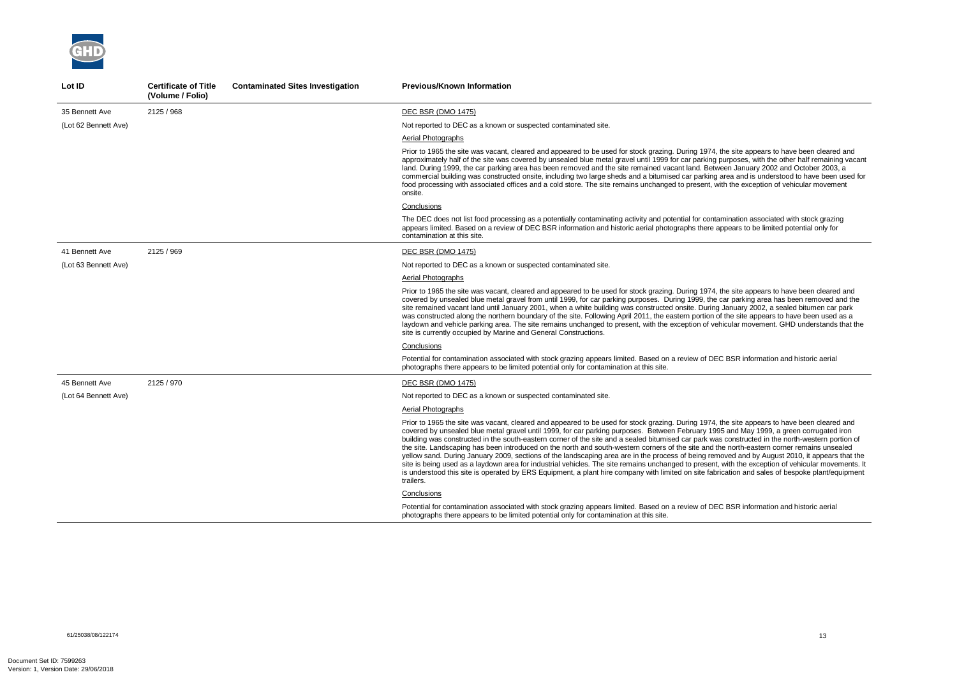

| Lot ID               | <b>Certificate of Title</b><br>(Volume / Folio) | <b>Contaminated Sites Investigation</b> | <b>Previous/Known Information</b>                                                                                                                                                                                                                                                                                                                                                                                                                                                                                                                                                                                                                                                                                                                                                                                                                                                                                                                                                                                                                                  |
|----------------------|-------------------------------------------------|-----------------------------------------|--------------------------------------------------------------------------------------------------------------------------------------------------------------------------------------------------------------------------------------------------------------------------------------------------------------------------------------------------------------------------------------------------------------------------------------------------------------------------------------------------------------------------------------------------------------------------------------------------------------------------------------------------------------------------------------------------------------------------------------------------------------------------------------------------------------------------------------------------------------------------------------------------------------------------------------------------------------------------------------------------------------------------------------------------------------------|
| 35 Bennett Ave       | 2125 / 968                                      |                                         | <b>DEC BSR (DMO 1475)</b>                                                                                                                                                                                                                                                                                                                                                                                                                                                                                                                                                                                                                                                                                                                                                                                                                                                                                                                                                                                                                                          |
| (Lot 62 Bennett Ave) |                                                 |                                         | Not reported to DEC as a known or suspected contaminated site.                                                                                                                                                                                                                                                                                                                                                                                                                                                                                                                                                                                                                                                                                                                                                                                                                                                                                                                                                                                                     |
|                      |                                                 |                                         | Aerial Photographs                                                                                                                                                                                                                                                                                                                                                                                                                                                                                                                                                                                                                                                                                                                                                                                                                                                                                                                                                                                                                                                 |
|                      |                                                 |                                         | Prior to 1965 the site was vacant, cleared and appeared to be used for stock grazing. During 1974, the site appears to have been cleared and<br>approximately half of the site was covered by unsealed blue metal gravel until 1999 for car parking purposes, with the other half remaining vacant<br>land. During 1999, the car parking area has been removed and the site remained vacant land. Between January 2002 and October 2003, a<br>commercial building was constructed onsite, including two large sheds and a bitumised car parking area and is understood to have been used for<br>food processing with associated offices and a cold store. The site remains unchanged to present, with the exception of vehicular movement<br>onsite.                                                                                                                                                                                                                                                                                                               |
|                      |                                                 |                                         | Conclusions                                                                                                                                                                                                                                                                                                                                                                                                                                                                                                                                                                                                                                                                                                                                                                                                                                                                                                                                                                                                                                                        |
|                      |                                                 |                                         | The DEC does not list food processing as a potentially contaminating activity and potential for contamination associated with stock grazing<br>appears limited. Based on a review of DEC BSR information and historic aerial photographs there appears to be limited potential only for<br>contamination at this site.                                                                                                                                                                                                                                                                                                                                                                                                                                                                                                                                                                                                                                                                                                                                             |
| 41 Bennett Ave       | 2125 / 969                                      |                                         | <b>DEC BSR (DMO 1475)</b>                                                                                                                                                                                                                                                                                                                                                                                                                                                                                                                                                                                                                                                                                                                                                                                                                                                                                                                                                                                                                                          |
| (Lot 63 Bennett Ave) |                                                 |                                         | Not reported to DEC as a known or suspected contaminated site.                                                                                                                                                                                                                                                                                                                                                                                                                                                                                                                                                                                                                                                                                                                                                                                                                                                                                                                                                                                                     |
|                      |                                                 |                                         | <b>Aerial Photographs</b>                                                                                                                                                                                                                                                                                                                                                                                                                                                                                                                                                                                                                                                                                                                                                                                                                                                                                                                                                                                                                                          |
|                      |                                                 |                                         | Prior to 1965 the site was vacant, cleared and appeared to be used for stock grazing. During 1974, the site appears to have been cleared and<br>covered by unsealed blue metal gravel from until 1999, for car parking purposes. During 1999, the car parking area has been removed and the<br>site remained vacant land until January 2001, when a white building was constructed onsite. During January 2002, a sealed bitumen car park<br>was constructed along the northern boundary of the site. Following April 2011, the eastern portion of the site appears to have been used as a<br>laydown and vehicle parking area. The site remains unchanged to present, with the exception of vehicular movement. GHD understands that the<br>site is currently occupied by Marine and General Constructions.                                                                                                                                                                                                                                                       |
|                      |                                                 |                                         | Conclusions                                                                                                                                                                                                                                                                                                                                                                                                                                                                                                                                                                                                                                                                                                                                                                                                                                                                                                                                                                                                                                                        |
|                      |                                                 |                                         | Potential for contamination associated with stock grazing appears limited. Based on a review of DEC BSR information and historic aerial<br>photographs there appears to be limited potential only for contamination at this site.                                                                                                                                                                                                                                                                                                                                                                                                                                                                                                                                                                                                                                                                                                                                                                                                                                  |
| 45 Bennett Ave       | 2125 / 970                                      |                                         | DEC BSR (DMO 1475)                                                                                                                                                                                                                                                                                                                                                                                                                                                                                                                                                                                                                                                                                                                                                                                                                                                                                                                                                                                                                                                 |
| (Lot 64 Bennett Ave) |                                                 |                                         | Not reported to DEC as a known or suspected contaminated site.                                                                                                                                                                                                                                                                                                                                                                                                                                                                                                                                                                                                                                                                                                                                                                                                                                                                                                                                                                                                     |
|                      |                                                 |                                         | <b>Aerial Photographs</b>                                                                                                                                                                                                                                                                                                                                                                                                                                                                                                                                                                                                                                                                                                                                                                                                                                                                                                                                                                                                                                          |
|                      |                                                 |                                         | Prior to 1965 the site was vacant, cleared and appeared to be used for stock grazing. During 1974, the site appears to have been cleared and<br>covered by unsealed blue metal gravel until 1999, for car parking purposes. Between February 1995 and May 1999, a green corrugated iron<br>building was constructed in the south-eastern corner of the site and a sealed bitumised car park was constructed in the north-western portion of<br>the site. Landscaping has been introduced on the north and south-western corners of the site and the north-eastern corner remains unsealed<br>yellow sand. During January 2009, sections of the landscaping area are in the process of being removed and by August 2010, it appears that the<br>site is being used as a laydown area for industrial vehicles. The site remains unchanged to present, with the exception of vehicular movements. It<br>is understood this site is operated by ERS Equipment, a plant hire company with limited on site fabrication and sales of bespoke plant/equipment<br>trailers. |
|                      |                                                 |                                         | Conclusions                                                                                                                                                                                                                                                                                                                                                                                                                                                                                                                                                                                                                                                                                                                                                                                                                                                                                                                                                                                                                                                        |
|                      |                                                 |                                         | Potential for contamination associated with stock grazing appears limited. Based on a review of DEC BSR information and historic aerial<br>photographs there appears to be limited potential only for contamination at this site.                                                                                                                                                                                                                                                                                                                                                                                                                                                                                                                                                                                                                                                                                                                                                                                                                                  |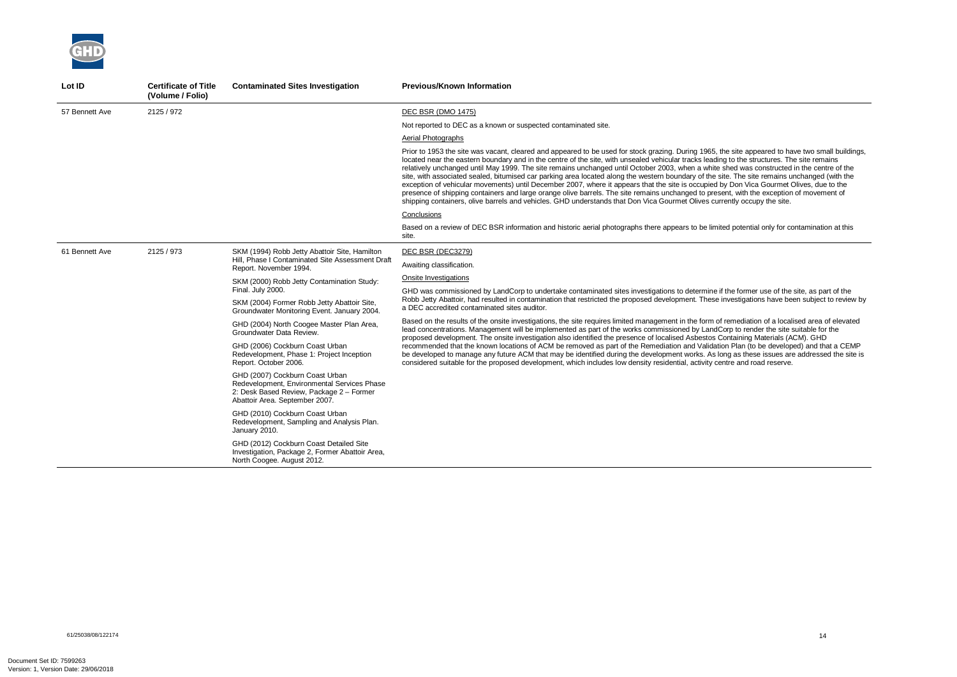

| Lot ID         | <b>Certificate of Title</b><br>(Volume / Folio) | <b>Contaminated Sites Investigation</b>                                                                                                                      | <b>Previous/Known Information</b>                                                                                                                                                                                                                                                                                                                                                                                                                                                                                                                                                                                                                                                                                                                                                                                                                                                                                                                                                                                |
|----------------|-------------------------------------------------|--------------------------------------------------------------------------------------------------------------------------------------------------------------|------------------------------------------------------------------------------------------------------------------------------------------------------------------------------------------------------------------------------------------------------------------------------------------------------------------------------------------------------------------------------------------------------------------------------------------------------------------------------------------------------------------------------------------------------------------------------------------------------------------------------------------------------------------------------------------------------------------------------------------------------------------------------------------------------------------------------------------------------------------------------------------------------------------------------------------------------------------------------------------------------------------|
| 57 Bennett Ave | 2125 / 972                                      |                                                                                                                                                              | <b>DEC BSR (DMO 1475)</b>                                                                                                                                                                                                                                                                                                                                                                                                                                                                                                                                                                                                                                                                                                                                                                                                                                                                                                                                                                                        |
|                |                                                 |                                                                                                                                                              | Not reported to DEC as a known or suspected contaminated site.                                                                                                                                                                                                                                                                                                                                                                                                                                                                                                                                                                                                                                                                                                                                                                                                                                                                                                                                                   |
|                |                                                 |                                                                                                                                                              | Aerial Photographs                                                                                                                                                                                                                                                                                                                                                                                                                                                                                                                                                                                                                                                                                                                                                                                                                                                                                                                                                                                               |
|                |                                                 |                                                                                                                                                              | Prior to 1953 the site was vacant, cleared and appeared to be used for stock grazing. During 1965, the site appeared to have two small buildir<br>located near the eastern boundary and in the centre of the site, with unsealed vehicular tracks leading to the structures. The site remains<br>relatively unchanged until May 1999. The site remains unchanged until October 2003, when a white shed was constructed in the centre of the<br>site, with associated sealed, bitumised car parking area located along the western boundary of the site. The site remains unchanged (with the<br>exception of vehicular movements) until December 2007, where it appears that the site is occupied by Don Vica Gourmet Olives, due to the<br>presence of shipping containers and large orange olive barrels. The site remains unchanged to present, with the exception of movement of<br>shipping containers, olive barrels and vehicles. GHD understands that Don Vica Gourmet Olives currently occupy the site. |
|                |                                                 |                                                                                                                                                              | Conclusions                                                                                                                                                                                                                                                                                                                                                                                                                                                                                                                                                                                                                                                                                                                                                                                                                                                                                                                                                                                                      |
|                |                                                 |                                                                                                                                                              | Based on a review of DEC BSR information and historic aerial photographs there appears to be limited potential only for contamination at this<br>site.                                                                                                                                                                                                                                                                                                                                                                                                                                                                                                                                                                                                                                                                                                                                                                                                                                                           |
| 61 Bennett Ave | 2125 / 973                                      | SKM (1994) Robb Jetty Abattoir Site, Hamilton<br>Hill, Phase I Contaminated Site Assessment Draft<br>Report. November 1994.                                  | DEC BSR (DEC3279)                                                                                                                                                                                                                                                                                                                                                                                                                                                                                                                                                                                                                                                                                                                                                                                                                                                                                                                                                                                                |
|                |                                                 |                                                                                                                                                              | Awaiting classification.                                                                                                                                                                                                                                                                                                                                                                                                                                                                                                                                                                                                                                                                                                                                                                                                                                                                                                                                                                                         |
|                |                                                 | SKM (2000) Robb Jetty Contamination Study:                                                                                                                   | Onsite Investigations                                                                                                                                                                                                                                                                                                                                                                                                                                                                                                                                                                                                                                                                                                                                                                                                                                                                                                                                                                                            |
|                |                                                 | Final. July 2000.                                                                                                                                            | GHD was commissioned by LandCorp to undertake contaminated sites investigations to determine if the former use of the site, as part of the                                                                                                                                                                                                                                                                                                                                                                                                                                                                                                                                                                                                                                                                                                                                                                                                                                                                       |
|                |                                                 | SKM (2004) Former Robb Jetty Abattoir Site,<br>Groundwater Monitoring Event. January 2004.                                                                   | Robb Jetty Abattoir, had resulted in contamination that restricted the proposed development. These investigations have been subject to review<br>a DEC accredited contaminated sites auditor.                                                                                                                                                                                                                                                                                                                                                                                                                                                                                                                                                                                                                                                                                                                                                                                                                    |
|                |                                                 | GHD (2004) North Coogee Master Plan Area,<br>Groundwater Data Review.                                                                                        | Based on the results of the onsite investigations, the site requires limited management in the form of remediation of a localised area of elevate<br>lead concentrations. Management will be implemented as part of the works commissioned by LandCorp to render the site suitable for the<br>proposed development. The onsite investigation also identified the presence of localised Asbestos Containing Materials (ACM). GHD                                                                                                                                                                                                                                                                                                                                                                                                                                                                                                                                                                                  |
|                |                                                 | GHD (2006) Cockburn Coast Urban<br>Redevelopment, Phase 1: Project Inception<br>Report. October 2006.                                                        | recommended that the known locations of ACM be removed as part of the Remediation and Validation Plan (to be developed) and that a CEM<br>be developed to manage any future ACM that may be identified during the development works. As long as these issues are addressed the site<br>considered suitable for the proposed development, which includes low density residential, activity centre and road reserve.                                                                                                                                                                                                                                                                                                                                                                                                                                                                                                                                                                                               |
|                |                                                 | GHD (2007) Cockburn Coast Urban<br>Redevelopment, Environmental Services Phase<br>2: Desk Based Review, Package 2 - Former<br>Abattoir Area. September 2007. |                                                                                                                                                                                                                                                                                                                                                                                                                                                                                                                                                                                                                                                                                                                                                                                                                                                                                                                                                                                                                  |
|                |                                                 | GHD (2010) Cockburn Coast Urban<br>Redevelopment, Sampling and Analysis Plan.<br>January 2010.                                                               |                                                                                                                                                                                                                                                                                                                                                                                                                                                                                                                                                                                                                                                                                                                                                                                                                                                                                                                                                                                                                  |
|                |                                                 | GHD (2012) Cockburn Coast Detailed Site<br>Investigation, Package 2, Former Abattoir Area,<br>North Coogee. August 2012.                                     |                                                                                                                                                                                                                                                                                                                                                                                                                                                                                                                                                                                                                                                                                                                                                                                                                                                                                                                                                                                                                  |

e site appeared to have two small buildings, to the structures. The site remains relatively unchanged unchanged unchanged unchanged until  $\frac{1}{2}$  and  $\frac{1}{2}$  which is negatively beginned was constructed in the centre of the presence orange in the shipping containers and the site remains unchanged to present of  $n$ ently occupy the site.

the former use of the site, as part of the Robb Jetty Abattoir, had responsive that restricted the proposed investigations have been subject to review by

emediation of a localised area of elevated n Plan (to be developed) and that a CEMP  $n$ g as these issues are addressed the site is consideration include the proposed development, which is and road reserve.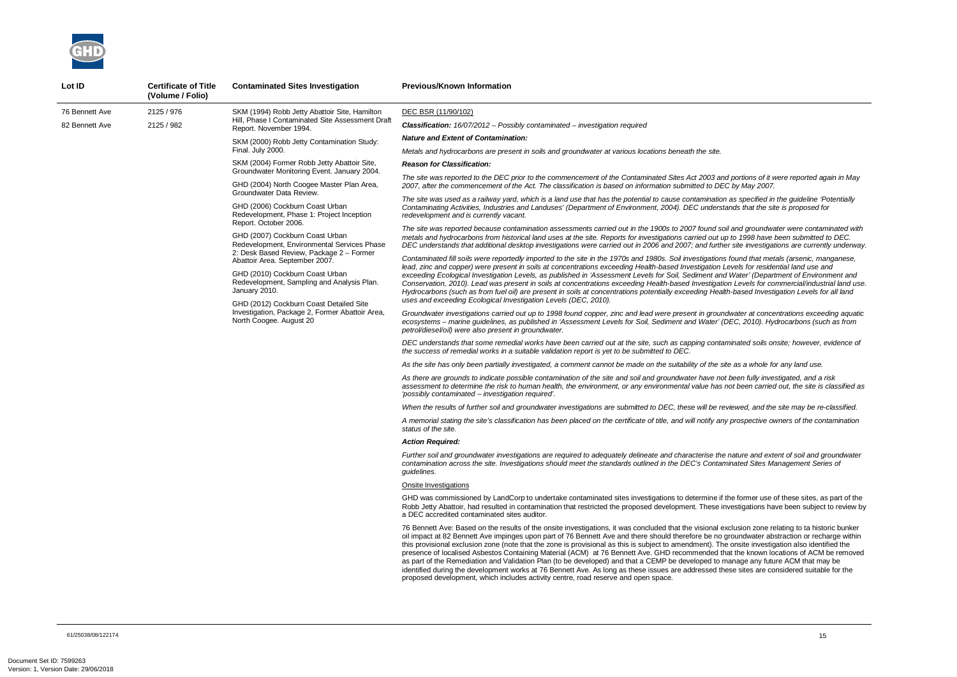*The site was reported to the DEC prior to the commencement of the Contaminated Sites Act 2003 and portions of it were reported again in May 2007, after the commencement of the Act. The classification is based on information submitted to DEC by May 2007.* 

*The site was used as a railway yard, which is a land use that has the potential to cause contamination as specified in the guideline 'Potentially Contaminating Activities, Industries and Landuses' (Department of Environment, 2004). DEC understands that the site is proposed for* 

*The site was reported because contamination assessments carried out in the 1900s to 2007 found soil and groundwater were contaminated with metals and hydrocarbons from historical land uses at the site. Reports for investigations carried out up to 1998 have been submitted to DEC. DEC understands that additional desktop investigations were carried out in 2006 and 2007; and further site investigations are currently underway.* 

*Contaminated fill soils were reportedly imported to the site in the 1970s and 1980s. Soil investigations found that metals (arsenic, manganese, lead, zinc and copper) were present in soils at concentrations exceeding Health-based Investigation Levels for residential land use and exceeding Ecological Investigation Levels, as published in 'Assessment Levels for Soil, Sediment and Water' (Department of Environment and Conservation, 2010). Lead was present in soils at concentrations exceeding Health-based Investigation Levels for commercial/industrial land use. Hydrocarbons (such as from fuel oil) are present in soils at concentrations potentially exceeding Health-based Investigation Levels for all land* 



| Lot ID         | <b>Certificate of Title</b><br>(Volume / Folio) | <b>Contaminated Sites Investigation</b>                                                                                                                                                                                 | <b>Previous/Known Information</b>                                                                                                                                                                                                                                                                                                                                                                                                                                                                                                                                                                                                                                                                                                    |                                                                                                                                                                                                               |
|----------------|-------------------------------------------------|-------------------------------------------------------------------------------------------------------------------------------------------------------------------------------------------------------------------------|--------------------------------------------------------------------------------------------------------------------------------------------------------------------------------------------------------------------------------------------------------------------------------------------------------------------------------------------------------------------------------------------------------------------------------------------------------------------------------------------------------------------------------------------------------------------------------------------------------------------------------------------------------------------------------------------------------------------------------------|---------------------------------------------------------------------------------------------------------------------------------------------------------------------------------------------------------------|
| 76 Bennett Ave | 2125 / 976                                      | SKM (1994) Robb Jetty Abattoir Site, Hamilton<br>Hill, Phase I Contaminated Site Assessment Draft<br>Report. November 1994.                                                                                             | DEC BSR (11/90/102)                                                                                                                                                                                                                                                                                                                                                                                                                                                                                                                                                                                                                                                                                                                  |                                                                                                                                                                                                               |
| 82 Bennett Ave | 2125 / 982                                      |                                                                                                                                                                                                                         | <b>Classification:</b> 16/07/2012 - Possibly contaminated - investigation required                                                                                                                                                                                                                                                                                                                                                                                                                                                                                                                                                                                                                                                   |                                                                                                                                                                                                               |
|                |                                                 | SKM (2000) Robb Jetty Contamination Study:                                                                                                                                                                              | <b>Nature and Extent of Contamination:</b>                                                                                                                                                                                                                                                                                                                                                                                                                                                                                                                                                                                                                                                                                           |                                                                                                                                                                                                               |
|                |                                                 | Final. July 2000.                                                                                                                                                                                                       | Metals and hydrocarbons are present in soils and groundwater at various locations beneath the site.                                                                                                                                                                                                                                                                                                                                                                                                                                                                                                                                                                                                                                  |                                                                                                                                                                                                               |
|                |                                                 | SKM (2004) Former Robb Jetty Abattoir Site,<br>Groundwater Monitoring Event. January 2004.                                                                                                                              | <b>Reason for Classification:</b>                                                                                                                                                                                                                                                                                                                                                                                                                                                                                                                                                                                                                                                                                                    |                                                                                                                                                                                                               |
|                |                                                 | GHD (2004) North Coogee Master Plan Area,<br>Groundwater Data Review.                                                                                                                                                   | The site was reported to the DEC prior to the commencement of the Contaminated Sites Act 2003 and<br>2007, after the commencement of the Act. The classification is based on information submitted to DEC                                                                                                                                                                                                                                                                                                                                                                                                                                                                                                                            |                                                                                                                                                                                                               |
|                |                                                 | GHD (2006) Cockburn Coast Urban<br>Redevelopment, Phase 1: Project Inception<br>Report. October 2006.                                                                                                                   | The site was used as a railway yard, which is a land use that has the potential to cause contamination<br>Contaminating Activities, Industries and Landuses' (Department of Environment, 2004). DEC understa<br>redevelopment and is currently vacant.                                                                                                                                                                                                                                                                                                                                                                                                                                                                               |                                                                                                                                                                                                               |
|                |                                                 | GHD (2007) Cockburn Coast Urban<br>Redevelopment, Environmental Services Phase                                                                                                                                          | The site was reported because contamination assessments carried out in the 1900s to 2007 found soi.<br>metals and hydrocarbons from historical land uses at the site. Reports for investigations carried out up<br>DEC understands that additional desktop investigations were carried out in 2006 and 2007; and furthe                                                                                                                                                                                                                                                                                                                                                                                                              |                                                                                                                                                                                                               |
|                |                                                 | 2: Desk Based Review, Package 2 - Former<br>Abattoir Area. September 2007.<br>GHD (2010) Cockburn Coast Urban<br>Redevelopment, Sampling and Analysis Plan.<br>January 2010.<br>GHD (2012) Cockburn Coast Detailed Site | Contaminated fill soils were reportedly imported to the site in the 1970s and 1980s. Soil investigations<br>lead, zinc and copper) were present in soils at concentrations exceeding Health-based Investigation Lo<br>exceeding Ecological Investigation Levels, as published in 'Assessment Levels for Soil, Sediment and<br>Conservation, 2010). Lead was present in soils at concentrations exceeding Health-based Investigatio<br>Hydrocarbons (such as from fuel oil) are present in soils at concentrations potentially exceeding Healtl<br>uses and exceeding Ecological Investigation Levels (DEC, 2010).                                                                                                                    |                                                                                                                                                                                                               |
|                |                                                 | Investigation, Package 2, Former Abattoir Area,<br>North Coogee. August 20                                                                                                                                              | Groundwater investigations carried out up to 1998 found copper, zinc and lead were present in ground<br>ecosystems - marine guidelines, as published in 'Assessment Levels for Soil, Sediment and Water' (D<br>petrol/diesel/oil) were also present in groundwater.                                                                                                                                                                                                                                                                                                                                                                                                                                                                  |                                                                                                                                                                                                               |
|                |                                                 |                                                                                                                                                                                                                         |                                                                                                                                                                                                                                                                                                                                                                                                                                                                                                                                                                                                                                                                                                                                      | DEC understands that some remedial works have been carried out at the site, such as capping contan<br>the success of remedial works in a suitable validation report is yet to be submitted to DEC.            |
|                |                                                 |                                                                                                                                                                                                                         | As the site has only been partially investigated, a comment cannot be made on the suitability of the site                                                                                                                                                                                                                                                                                                                                                                                                                                                                                                                                                                                                                            |                                                                                                                                                                                                               |
|                |                                                 |                                                                                                                                                                                                                         | As there are grounds to indicate possible contamination of the site and soil and groundwater have not<br>assessment to determine the risk to human health, the environment, or any environmental value has n<br>'possibly contaminated – investigation required'.                                                                                                                                                                                                                                                                                                                                                                                                                                                                    |                                                                                                                                                                                                               |
|                |                                                 |                                                                                                                                                                                                                         | When the results of further soil and groundwater investigations are submitted to DEC, these will be rev                                                                                                                                                                                                                                                                                                                                                                                                                                                                                                                                                                                                                              |                                                                                                                                                                                                               |
|                |                                                 |                                                                                                                                                                                                                         | A memorial stating the site's classification has been placed on the certificate of title, and will notify any<br>status of the site.                                                                                                                                                                                                                                                                                                                                                                                                                                                                                                                                                                                                 |                                                                                                                                                                                                               |
|                |                                                 |                                                                                                                                                                                                                         | <b>Action Required:</b>                                                                                                                                                                                                                                                                                                                                                                                                                                                                                                                                                                                                                                                                                                              |                                                                                                                                                                                                               |
|                |                                                 |                                                                                                                                                                                                                         | quidelines.                                                                                                                                                                                                                                                                                                                                                                                                                                                                                                                                                                                                                                                                                                                          | Further soil and groundwater investigations are required to adequately delineate and characterise the<br>contamination across the site. Investigations should meet the standards outlined in the DEC's Contam |
|                |                                                 |                                                                                                                                                                                                                         | <b>Onsite Investigations</b>                                                                                                                                                                                                                                                                                                                                                                                                                                                                                                                                                                                                                                                                                                         |                                                                                                                                                                                                               |
|                |                                                 |                                                                                                                                                                                                                         | GHD was commissioned by LandCorp to undertake contaminated sites investigations to determine if the<br>Robb Jetty Abattoir, had resulted in contamination that restricted the proposed development. These in<br>a DEC accredited contaminated sites auditor.                                                                                                                                                                                                                                                                                                                                                                                                                                                                         |                                                                                                                                                                                                               |
|                |                                                 |                                                                                                                                                                                                                         | 76 Bennett Ave: Based on the results of the onsite investigations, it was concluded that the visional ex<br>oil impact at 82 Bennett Ave impinges upon part of 76 Bennett Ave and there should therefore be no g<br>this provisional exclusion zone (note that the zone is provisional as this is subject to amendment). The<br>presence of localised Asbestos Containing Material (ACM) at 76 Bennett Ave. GHD recommended that<br>as part of the Remediation and Validation Plan (to be developed) and that a CEMP be developed to m<br>identified during the development works at 76 Bennett Ave. As long as these issues are addressed the<br>proposed development, which includes activity centre, road reserve and open space. |                                                                                                                                                                                                               |
|                |                                                 |                                                                                                                                                                                                                         |                                                                                                                                                                                                                                                                                                                                                                                                                                                                                                                                                                                                                                                                                                                                      |                                                                                                                                                                                                               |

*Groundwater investigations carried out up to 1998 found copper, zinc and lead were present in groundwater at concentrations exceeding aquatic ecosystems – marine guidelines, as published in 'Assessment Levels for Soil, Sediment and Water' (DEC, 2010). Hydrocarbons (such as from* 

*DEC understands that some remedial works have been carried out at the site, such as capping contaminated soils onsite; however, evidence of* 

*As the site has only been partially investigated, a comment cannot be made on the suitability of the site as a whole for any land use.* 

*As there are grounds to indicate possible contamination of the site and soil and groundwater have not been fully investigated, and a risk assessment to determine the risk to human health, the environment, or any environmental value has not been carried out, the site is classified as* 

*When the results of further soil and groundwater investigations are submitted to DEC, these will be reviewed, and the site may be re-classified.* 

*A memorial stating the site's classification has been placed on the certificate of title, and will notify any prospective owners of the contamination* 

*Further soil and groundwater investigations are required to adequately delineate and characterise the nature and extent of soil and groundwater contamination across the site. Investigations should meet the standards outlined in the DEC's Contaminated Sites Management Series of* 

he former use of these sites, as part of the vestigations have been subject to review by

 $x$ clusion zone relating to ta historic bunker groundwater abstraction or recharge within of provision also identified the zonsite investigation also identified the at the known locations of ACM be removed anage any future ACM that may be ese sites are considered suitable for the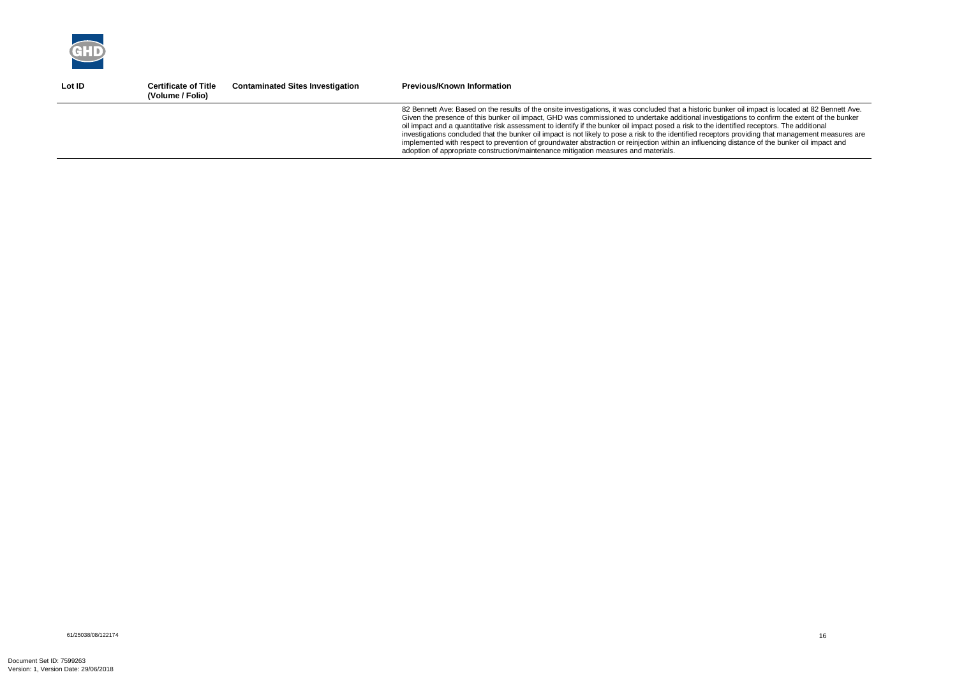

| Lot ID | <b>Certificate of Title</b><br>(Volume / Folio) | <b>Contaminated Sites Investigation</b> | <b>Previous/Known Information</b>                                                                                                                                                                                                                                                                                                                                                                                                                                                                                                                                                                                                                                                                                                                                                                                                                 |
|--------|-------------------------------------------------|-----------------------------------------|---------------------------------------------------------------------------------------------------------------------------------------------------------------------------------------------------------------------------------------------------------------------------------------------------------------------------------------------------------------------------------------------------------------------------------------------------------------------------------------------------------------------------------------------------------------------------------------------------------------------------------------------------------------------------------------------------------------------------------------------------------------------------------------------------------------------------------------------------|
|        |                                                 |                                         | 82 Bennett Ave: Based on the results of the onsite investigations, it was concluded that a historic bunker oil impact is located at 82 Bennett Ave.<br>Given the presence of this bunker oil impact, GHD was commissioned to undertake additional investigations to confirm the extent of the bunker<br>oil impact and a quantitative risk assessment to identify if the bunker oil impact posed a risk to the identified receptors. The additional<br>investigations concluded that the bunker oil impact is not likely to pose a risk to the identified receptors providing that management measures are<br>implemented with respect to prevention of groundwater abstraction or reinjection within an influencing distance of the bunker oil impact and<br>adoption of appropriate construction/maintenance mitigation measures and materials. |
|        |                                                 |                                         |                                                                                                                                                                                                                                                                                                                                                                                                                                                                                                                                                                                                                                                                                                                                                                                                                                                   |

61/25038/08/122174<br>61/25038/08/122174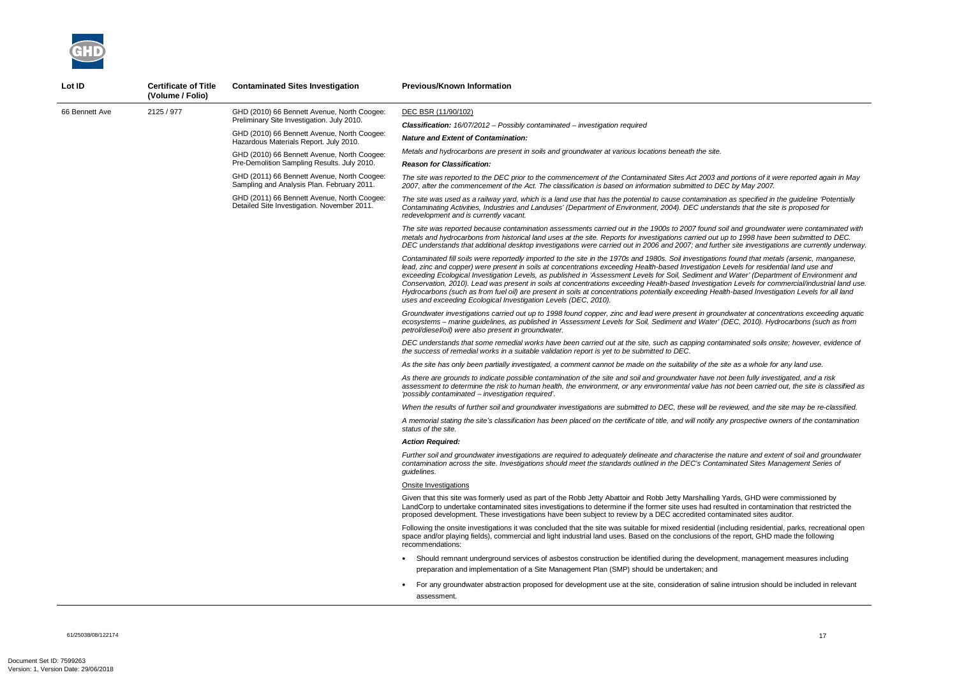*The site was reported to the DEC prior to the commencement of the Contaminated Sites Act 2003 and portions of it were reported again in May 2007, after the commencement of the Act. The classification is based on information submitted to DEC by May 2007.* 

*The site was used as a railway yard, which is a land use that has the potential to cause contamination as specified in the guideline 'Potentially Contaminating Activities, Industries and Landuses' (Department of Environment, 2004). DEC understands that the site is proposed for* 

*The site was reported because contamination assessments carried out in the 1900s to 2007 found soil and groundwater were contaminated with metals and hydrocarbons from historical land uses at the site. Reports for investigations carried out up to 1998 have been submitted to DEC. DEC understands that additional desktop investigations were carried out in 2006 and 2007; and further site investigations are currently underway.* 

*Contaminated fill soils were reportedly imported to the site in the 1970s and 1980s. Soil investigations found that metals (arsenic, manganese, lead, zinc and copper) were present in soils at concentrations exceeding Health-based Investigation Levels for residential land use and exceeding Ecological Investigation Levels, as published in 'Assessment Levels for Soil, Sediment and Water' (Department of Environment and Conservation, 2010). Lead was present in soils at concentrations exceeding Health-based Investigation Levels for commercial/industrial land use. Hydrocarbons (such as from fuel oil) are present in soils at concentrations potentially exceeding Health-based Investigation Levels for all land* 



| Lot ID         | <b>Certificate of Title</b><br>(Volume / Folio) | <b>Contaminated Sites Investigation</b>                                                    | <b>Previous/Known Information</b>                                                                                                                                                                                                                                                                                                                                                                                                                                                                                                                                                                             |
|----------------|-------------------------------------------------|--------------------------------------------------------------------------------------------|---------------------------------------------------------------------------------------------------------------------------------------------------------------------------------------------------------------------------------------------------------------------------------------------------------------------------------------------------------------------------------------------------------------------------------------------------------------------------------------------------------------------------------------------------------------------------------------------------------------|
| 66 Bennett Ave | 2125 / 977                                      | GHD (2010) 66 Bennett Avenue, North Coogee:                                                | DEC BSR (11/90/102)                                                                                                                                                                                                                                                                                                                                                                                                                                                                                                                                                                                           |
|                |                                                 | Preliminary Site Investigation. July 2010.                                                 | <b>Classification:</b> $16/07/2012$ - Possibly contaminated - investigation required                                                                                                                                                                                                                                                                                                                                                                                                                                                                                                                          |
|                |                                                 | GHD (2010) 66 Bennett Avenue, North Coogee:<br>Hazardous Materials Report. July 2010.      | <b>Nature and Extent of Contamination:</b>                                                                                                                                                                                                                                                                                                                                                                                                                                                                                                                                                                    |
|                |                                                 | GHD (2010) 66 Bennett Avenue, North Coogee:<br>Pre-Demolition Sampling Results. July 2010. | Metals and hydrocarbons are present in soils and groundwater at various locations beneath the site.<br><b>Reason for Classification:</b>                                                                                                                                                                                                                                                                                                                                                                                                                                                                      |
|                |                                                 | GHD (2011) 66 Bennett Avenue, North Coogee:<br>Sampling and Analysis Plan. February 2011.  | The site was reported to the DEC prior to the commencement of the Contaminated Sites Act 2003 an<br>2007, after the commencement of the Act. The classification is based on information submitted to DE                                                                                                                                                                                                                                                                                                                                                                                                       |
|                |                                                 | GHD (2011) 66 Bennett Avenue, North Coogee:<br>Detailed Site Investigation. November 2011. | The site was used as a railway yard, which is a land use that has the potential to cause contamination<br>Contaminating Activities, Industries and Landuses' (Department of Environment, 2004). DEC underst<br>redevelopment and is currently vacant.                                                                                                                                                                                                                                                                                                                                                         |
|                |                                                 |                                                                                            | The site was reported because contamination assessments carried out in the 1900s to 2007 found so<br>metals and hydrocarbons from historical land uses at the site. Reports for investigations carried out u<br>DEC understands that additional desktop investigations were carried out in 2006 and 2007; and furth                                                                                                                                                                                                                                                                                           |
|                |                                                 |                                                                                            | Contaminated fill soils were reportedly imported to the site in the 1970s and 1980s. Soil investigations<br>lead, zinc and copper) were present in soils at concentrations exceeding Health-based Investigation I<br>exceeding Ecological Investigation Levels, as published in 'Assessment Levels for Soil, Sediment and<br>Conservation, 2010). Lead was present in soils at concentrations exceeding Health-based Investigati<br>Hydrocarbons (such as from fuel oil) are present in soils at concentrations potentially exceeding Heal<br>uses and exceeding Ecological Investigation Levels (DEC, 2010). |
|                |                                                 |                                                                                            | Groundwater investigations carried out up to 1998 found copper, zinc and lead were present in groun<br>ecosystems - marine guidelines, as published in 'Assessment Levels for Soil, Sediment and Water' (<br>petrol/diesel/oil) were also present in groundwater.                                                                                                                                                                                                                                                                                                                                             |
|                |                                                 |                                                                                            | DEC understands that some remedial works have been carried out at the site, such as capping conta<br>the success of remedial works in a suitable validation report is yet to be submitted to DEC.                                                                                                                                                                                                                                                                                                                                                                                                             |
|                |                                                 |                                                                                            | As the site has only been partially investigated, a comment cannot be made on the suitability of the s                                                                                                                                                                                                                                                                                                                                                                                                                                                                                                        |
|                |                                                 |                                                                                            | As there are grounds to indicate possible contamination of the site and soil and groundwater have no<br>assessment to determine the risk to human health, the environment, or any environmental value has<br>'possibly contaminated - investigation required'.                                                                                                                                                                                                                                                                                                                                                |
|                |                                                 |                                                                                            | When the results of further soil and groundwater investigations are submitted to DEC, these will be re                                                                                                                                                                                                                                                                                                                                                                                                                                                                                                        |
|                |                                                 |                                                                                            | A memorial stating the site's classification has been placed on the certificate of title, and will notify an<br>status of the site.                                                                                                                                                                                                                                                                                                                                                                                                                                                                           |
|                |                                                 |                                                                                            | <b>Action Reauired:</b>                                                                                                                                                                                                                                                                                                                                                                                                                                                                                                                                                                                       |
|                |                                                 |                                                                                            | Further soil and groundwater investigations are required to adequately delineate and characterise the<br>contamination across the site. Investigations should meet the standards outlined in the DEC's Contar<br>quidelines.                                                                                                                                                                                                                                                                                                                                                                                  |
|                |                                                 |                                                                                            | <b>Onsite Investigations</b>                                                                                                                                                                                                                                                                                                                                                                                                                                                                                                                                                                                  |
|                |                                                 |                                                                                            | Given that this site was formerly used as part of the Robb Jetty Abattoir and Robb Jetty Marshalling Y<br>LandCorp to undertake contaminated sites investigations to determine if the former site uses had resu<br>proposed development. These investigations have been subject to review by a DEC accredited conta                                                                                                                                                                                                                                                                                           |
|                |                                                 |                                                                                            | Following the onsite investigations it was concluded that the site was suitable for mixed residential (in<br>space and/or playing fields), commercial and light industrial land uses. Based on the conclusions of th<br>recommendations:                                                                                                                                                                                                                                                                                                                                                                      |
|                |                                                 |                                                                                            | Should remnant underground services of asbestos construction be identified during the developn<br>preparation and implementation of a Site Management Plan (SMP) should be undertaken; and                                                                                                                                                                                                                                                                                                                                                                                                                    |
|                |                                                 |                                                                                            | For any groundwater abstraction proposed for development use at the site, consideration of salin<br>assessment.                                                                                                                                                                                                                                                                                                                                                                                                                                                                                               |

*Groundwater investigations carried out up to 1998 found copper, zinc and lead were present in groundwater at concentrations exceeding aquatic ecosystems – marine guidelines, as published in 'Assessment Levels for Soil, Sediment and Water' (DEC, 2010). Hydrocarbons (such as from* 

*DEC understands that some remedial works have been carried out at the site, such as capping contaminated soils onsite; however, evidence of* 

*As the site has only been partially investigated, a comment cannot be made on the suitability of the site as a whole for any land use.* 

*As there are grounds to indicate possible contamination of the site and soil and groundwater have not been fully investigated, and a risk assessment to determine the risk to human health, the environment, or any environmental value has not been carried out, the site is classified as* 

*When the results of further soil and groundwater investigations are submitted to DEC, these will be reviewed, and the site may be re-classified.* 

*A memorial stating the site's classification has been placed on the certificate of title, and will notify any prospective owners of the contamination* 

*Further soil and groundwater investigations are required to adequately delineate and characterise the nature and extent of soil and groundwater contamination across the site. Investigations should meet the standards outlined in the DEC's Contaminated Sites Management Series of* 

Yards, GHD were commissioned by sulted in contamination that restricted the aminated sites auditor.

ncluding residential, parks, recreational open the report, GHD made the following

ment, management measures including

ne intrusion should be included in relevant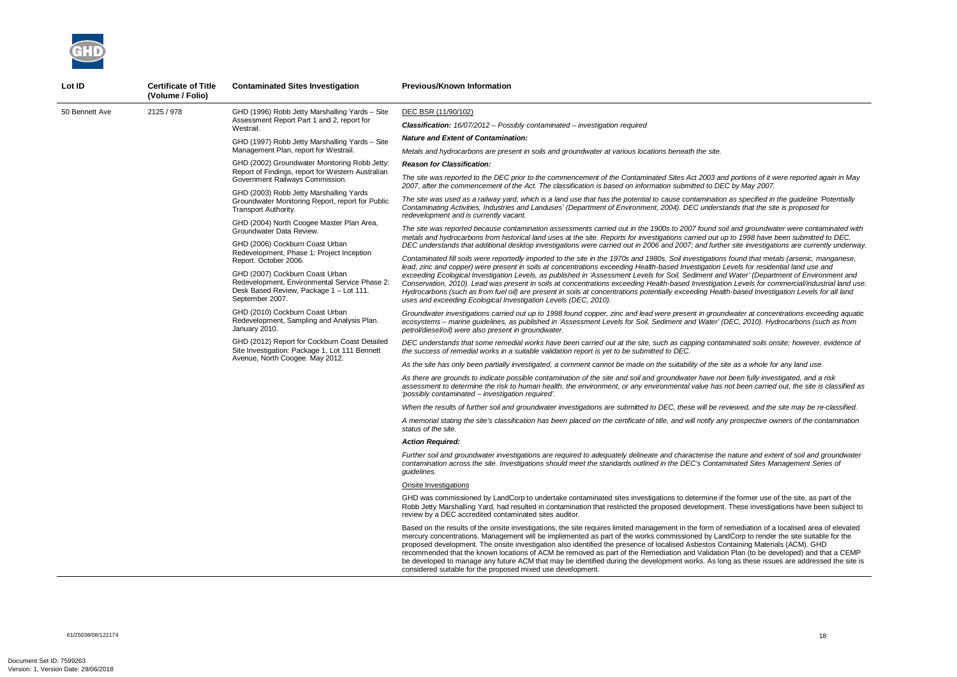*The site was reported to the DEC prior to the commencement of the Contaminated Sites Act 2003 and portions of it were reported again in May 2007, after the commencement of the Act. The classification is based on information submitted to DEC by May 2007.* 

*The site was used as a railway yard, which is a land use that has the potential to cause contamination as specified in the guideline 'Potentially Contaminating Activities, Industries and Landuses' (Department of Environment, 2004). DEC understands that the site is proposed for* 

*The site was reported because contamination assessments carried out in the 1900s to 2007 found soil and groundwater were contaminated with metals and hydrocarbons from historical land uses at the site. Reports for investigations carried out up to 1998 have been submitted to DEC. DEC understands that additional desktop investigations were carried out in 2006 and 2007; and further site investigations are currently underway.* 

*Contaminated fill soils were reportedly imported to the site in the 1970s and 1980s. Soil investigations found that metals (arsenic, manganese, lead, zinc and copper) were present in soils at concentrations exceeding Health-based Investigation Levels for residential land use and exceeding Ecological Investigation Levels, as published in 'Assessment Levels for Soil, Sediment and Water' (Department of Environment and Conservation, 2010). Lead was present in soils at concentrations exceeding Health-based Investigation Levels for commercial/industrial land use. Hydrocarbons (such as from fuel oil) are present in soils at concentrations potentially exceeding Health-based Investigation Levels for all land* 



| Lot ID         | <b>Certificate of Title</b><br>(Volume / Folio) | <b>Contaminated Sites Investigation</b>                                                                                                        | <b>Previous/Known Information</b>                                                                                                                                                                                                                                                                                                                                                                                                                                                                                                                                                               |
|----------------|-------------------------------------------------|------------------------------------------------------------------------------------------------------------------------------------------------|-------------------------------------------------------------------------------------------------------------------------------------------------------------------------------------------------------------------------------------------------------------------------------------------------------------------------------------------------------------------------------------------------------------------------------------------------------------------------------------------------------------------------------------------------------------------------------------------------|
| 50 Bennett Ave | 2125 / 978                                      | GHD (1996) Robb Jetty Marshalling Yards - Site<br>Assessment Report Part 1 and 2, report for<br>Westrail.                                      | DEC BSR (11/90/102)                                                                                                                                                                                                                                                                                                                                                                                                                                                                                                                                                                             |
|                |                                                 |                                                                                                                                                | <b>Classification:</b> $16/07/2012$ – Possibly contaminated – investigation required                                                                                                                                                                                                                                                                                                                                                                                                                                                                                                            |
|                |                                                 | GHD (1997) Robb Jetty Marshalling Yards - Site<br>Management Plan, report for Westrail.                                                        | <b>Nature and Extent of Contamination:</b>                                                                                                                                                                                                                                                                                                                                                                                                                                                                                                                                                      |
|                |                                                 |                                                                                                                                                | Metals and hydrocarbons are present in soils and groundwater at various locations beneath the site.                                                                                                                                                                                                                                                                                                                                                                                                                                                                                             |
|                |                                                 | GHD (2002) Groundwater Monitoring Robb Jetty:<br>Report of Findings, report for Western Australian<br>Government Railways Commission.          | <b>Reason for Classification:</b>                                                                                                                                                                                                                                                                                                                                                                                                                                                                                                                                                               |
|                |                                                 |                                                                                                                                                | The site was reported to the DEC prior to the commencement of the Contaminated Sites Act 2003 and<br>2007, after the commencement of the Act. The classification is based on information submitted to DEC                                                                                                                                                                                                                                                                                                                                                                                       |
|                |                                                 | GHD (2003) Robb Jetty Marshalling Yards<br>Groundwater Monitoring Report, report for Public<br>Transport Authority.                            | The site was used as a railway yard, which is a land use that has the potential to cause contamination<br>Contaminating Activities, Industries and Landuses' (Department of Environment, 2004). DEC understa<br>redevelopment and is currently vacant.                                                                                                                                                                                                                                                                                                                                          |
|                |                                                 | GHD (2004) North Coogee Master Plan Area,<br>Groundwater Data Review.                                                                          | The site was reported because contamination assessments carried out in the 1900s to 2007 found soi.<br>metals and hydrocarbons from historical land uses at the site. Reports for investigations carried out up                                                                                                                                                                                                                                                                                                                                                                                 |
|                |                                                 | GHD (2006) Cockburn Coast Urban                                                                                                                | DEC understands that additional desktop investigations were carried out in 2006 and 2007; and furthe                                                                                                                                                                                                                                                                                                                                                                                                                                                                                            |
|                |                                                 | Redevelopment, Phase 1: Project Inception<br>Report. October 2006.                                                                             | Contaminated fill soils were reportedly imported to the site in the 1970s and 1980s. Soil investigations<br>lead, zinc and copper) were present in soils at concentrations exceeding Health-based Investigation Le                                                                                                                                                                                                                                                                                                                                                                              |
|                |                                                 | GHD (2007) Cockburn Coast Urban<br>Redevelopment, Environmental Service Phase 2:<br>Desk Based Review, Package 1 - Lot 111.<br>September 2007. | exceeding Ecological Investigation Levels, as published in 'Assessment Levels for Soil, Sediment and<br>Conservation, 2010). Lead was present in soils at concentrations exceeding Health-based Investigatio<br>Hydrocarbons (such as from fuel oil) are present in soils at concentrations potentially exceeding Healtl<br>uses and exceeding Ecological Investigation Levels (DEC, 2010).                                                                                                                                                                                                     |
|                |                                                 | GHD (2010) Cockburn Coast Urban<br>Redevelopment, Sampling and Analysis Plan.<br>January 2010.                                                 | Groundwater investigations carried out up to 1998 found copper, zinc and lead were present in ground<br>ecosystems - marine guidelines, as published in 'Assessment Levels for Soil, Sediment and Water' (D<br>petrol/diesel/oil) were also present in groundwater.                                                                                                                                                                                                                                                                                                                             |
|                |                                                 | GHD (2012) Report for Cockburn Coast Detailed<br>Site Investigation: Package 1, Lot 111 Bennett<br>Avenue, North Coogee. May 2012.             | DEC understands that some remedial works have been carried out at the site, such as capping contan<br>the success of remedial works in a suitable validation report is yet to be submitted to DEC.                                                                                                                                                                                                                                                                                                                                                                                              |
|                |                                                 |                                                                                                                                                | As the site has only been partially investigated, a comment cannot be made on the suitability of the site                                                                                                                                                                                                                                                                                                                                                                                                                                                                                       |
|                |                                                 |                                                                                                                                                | As there are grounds to indicate possible contamination of the site and soil and groundwater have not<br>assessment to determine the risk to human health, the environment, or any environmental value has n<br>'possibly contaminated – investigation required'.                                                                                                                                                                                                                                                                                                                               |
|                |                                                 |                                                                                                                                                | When the results of further soil and groundwater investigations are submitted to DEC, these will be rev                                                                                                                                                                                                                                                                                                                                                                                                                                                                                         |
|                |                                                 |                                                                                                                                                | A memorial stating the site's classification has been placed on the certificate of title, and will notify any<br>status of the site.                                                                                                                                                                                                                                                                                                                                                                                                                                                            |
|                |                                                 |                                                                                                                                                | Action Reauired:                                                                                                                                                                                                                                                                                                                                                                                                                                                                                                                                                                                |
|                |                                                 |                                                                                                                                                | Further soil and groundwater investigations are required to adequately delineate and characterise the<br>contamination across the site. Investigations should meet the standards outlined in the DEC's Contam<br>guidelines.                                                                                                                                                                                                                                                                                                                                                                    |
|                |                                                 |                                                                                                                                                | Onsite Investigations                                                                                                                                                                                                                                                                                                                                                                                                                                                                                                                                                                           |
|                |                                                 |                                                                                                                                                | GHD was commissioned by LandCorp to undertake contaminated sites investigations to determine if the<br>Robb Jetty Marshalling Yard, had resulted in contamination that restricted the proposed development.<br>review by a DEC accredited contaminated sites auditor.                                                                                                                                                                                                                                                                                                                           |
|                |                                                 |                                                                                                                                                | Based on the results of the onsite investigations, the site requires limited management in the form of re<br>mercury concentrations. Management will be implemented as part of the works commissioned by Land<br>proposed development. The onsite investigation also identified the presence of localised Asbestos Cor<br>recommended that the known locations of ACM be removed as part of the Remediation and Validation<br>be developed to manage any future ACM that may be identified during the development works. As long<br>considered suitable for the proposed mixed use development. |

*Groundwater investigations carried out up to 1998 found copper, zinc and lead were present in groundwater at concentrations exceeding aquatic ecosystems – marine guidelines, as published in 'Assessment Levels for Soil, Sediment and Water' (DEC, 2010). Hydrocarbons (such as from* 

*DEC understands that some remedial works have been carried out at the site, such as capping contaminated soils onsite; however, evidence of* 

*As the site has only been partially investigated, a comment cannot be made on the suitability of the site as a whole for any land use.* 

*As there are grounds to indicate possible contamination of the site and soil and groundwater have not been fully investigated, and a risk assessment to determine the risk to human health, the environment, or any environmental value has not been carried out, the site is classified as* 

*When the results of further soil and groundwater investigations are submitted to DEC, these will be reviewed, and the site may be re-classified.* 

*A memorial stating the site's classification has been placed on the certificate of title, and will notify any prospective owners of the contamination* 

*Further soil and groundwater investigations are required to adequately delineate and characterise the nature and extent of soil and groundwater contamination across the site. Investigations should meet the standards outlined in the DEC's Contaminated Sites Management Series of* 

he former use of the site, as part of the These investigations have been subject to

emediation of a localised area of elevated in dCorp to render the site suitable for the **proposed development**<br>Intaining Materials (ACM). GHD Plan (to be developed) and that a CEMP g as these issues are addressed the site is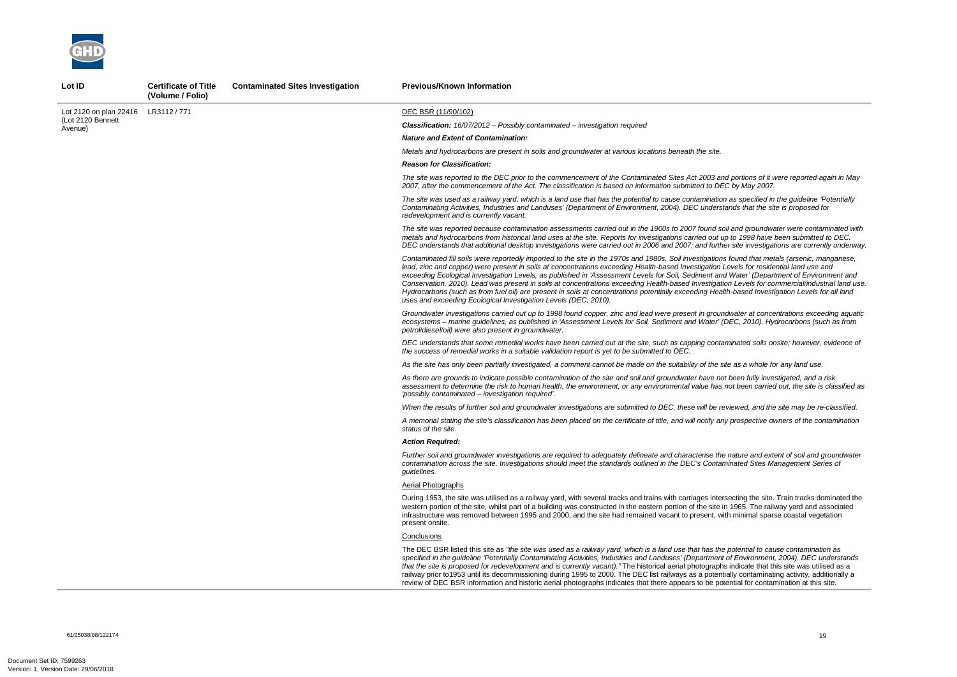

**Lot ID Certificate of Title** 

*The site was reported to the DEC prior to the commencement of the Contaminated Sites Act 2003 and portions of it were reported again in May 2007, after the commencement of the Act. The classification is based on information submitted to DEC by May 2007.* 

*The site was used as a railway yard, which is a land use that has the potential to cause contamination as specified in the guideline 'Potentially Contaminating Activities, Industries and Landuses' (Department of Environment, 2004). DEC understands that the site is proposed for* 

*The site was reported because contamination assessments carried out in the 1900s to 2007 found soil and groundwater were contaminated with metals and hydrocarbons from historical land uses at the site. Reports for investigations carried out up to 1998 have been submitted to DEC. DEC understands that additional desktop investigations were carried out in 2006 and 2007; and further site investigations are currently underway.* 

*Contaminated fill soils were reportedly imported to the site in the 1970s and 1980s. Soil investigations found that metals (arsenic, manganese, lead, zinc and copper) were present in soils at concentrations exceeding Health-based Investigation Levels for residential land use and exceeding Ecological Investigation Levels, as published in 'Assessment Levels for Soil, Sediment and Water' (Department of Environment and Conservation, 2010). Lead was present in soils at concentrations exceeding Health-based Investigation Levels for commercial/industrial land use. Hydrocarbons (such as from fuel oil) are present in soils at concentrations potentially exceeding Health-based Investigation Levels for all land* 

*nature and extent of soil and groundwater and character contamination across the site. Investigations should meet the standards outlined in the DEC's Contaminated Sites Management Series of* 

secting the site. Train tracks dominated the  $n$  1965. The railway yard and associated th minimal sparse coastal vegetation

potential to cause contamination as *specified in the guideline 'Potentially Contaminating Activities, Industries and Landuses' (Department of Environment, 2004). DEC understands i* indicate that this site was utilised as a ally contaminating activity, additionally a ential for contamination at this site.

|                                                        | (Volume / Folio) |                                                                                                                                                                                                                                                                                                                                                                                                                                                                                                                                                                                                                 |
|--------------------------------------------------------|------------------|-----------------------------------------------------------------------------------------------------------------------------------------------------------------------------------------------------------------------------------------------------------------------------------------------------------------------------------------------------------------------------------------------------------------------------------------------------------------------------------------------------------------------------------------------------------------------------------------------------------------|
| Lot 2120 on plan 22416<br>(Lot 2120 Bennett<br>Avenue) | LR3112 / 771     | DEC BSR (11/90/102)                                                                                                                                                                                                                                                                                                                                                                                                                                                                                                                                                                                             |
|                                                        |                  | <b>Classification:</b> $16/07/2012$ – Possibly contaminated – investigation required                                                                                                                                                                                                                                                                                                                                                                                                                                                                                                                            |
|                                                        |                  | <b>Nature and Extent of Contamination:</b>                                                                                                                                                                                                                                                                                                                                                                                                                                                                                                                                                                      |
|                                                        |                  | Metals and hydrocarbons are present in soils and groundwater at various locations beneath the site.                                                                                                                                                                                                                                                                                                                                                                                                                                                                                                             |
|                                                        |                  | <b>Reason for Classification:</b>                                                                                                                                                                                                                                                                                                                                                                                                                                                                                                                                                                               |
|                                                        |                  | The site was reported to the DEC prior to the commencement of the Contaminated Sites Act 2003 and<br>2007, after the commencement of the Act. The classification is based on information submitted to DEC                                                                                                                                                                                                                                                                                                                                                                                                       |
|                                                        |                  | The site was used as a railway yard, which is a land use that has the potential to cause contamination<br>Contaminating Activities, Industries and Landuses' (Department of Environment, 2004). DEC understa<br>redevelopment and is currently vacant.                                                                                                                                                                                                                                                                                                                                                          |
|                                                        |                  | The site was reported because contamination assessments carried out in the 1900s to 2007 found so.<br>metals and hydrocarbons from historical land uses at the site. Reports for investigations carried out up<br>DEC understands that additional desktop investigations were carried out in 2006 and 2007; and furthe                                                                                                                                                                                                                                                                                          |
|                                                        |                  | Contaminated fill soils were reportedly imported to the site in the 1970s and 1980s. Soil investigations<br>lead, zinc and copper) were present in soils at concentrations exceeding Health-based Investigation L<br>exceeding Ecological Investigation Levels, as published in 'Assessment Levels for Soil, Sediment and<br>Conservation, 2010). Lead was present in soils at concentrations exceeding Health-based Investigatio<br>Hydrocarbons (such as from fuel oil) are present in soils at concentrations potentially exceeding Healt<br>uses and exceeding Ecological Investigation Levels (DEC, 2010). |
|                                                        |                  | Groundwater investigations carried out up to 1998 found copper, zinc and lead were present in ground<br>ecosystems - marine guidelines, as published in 'Assessment Levels for Soil, Sediment and Water' (L<br>petrol/diesel/oil) were also present in groundwater.                                                                                                                                                                                                                                                                                                                                             |
|                                                        |                  | DEC understands that some remedial works have been carried out at the site, such as capping contar<br>the success of remedial works in a suitable validation report is yet to be submitted to DEC.                                                                                                                                                                                                                                                                                                                                                                                                              |
|                                                        |                  | As the site has only been partially investigated, a comment cannot be made on the suitability of the sit                                                                                                                                                                                                                                                                                                                                                                                                                                                                                                        |
|                                                        |                  | As there are grounds to indicate possible contamination of the site and soil and groundwater have not<br>assessment to determine the risk to human health, the environment, or any environmental value has r<br>'possibly contaminated – investigation required'.                                                                                                                                                                                                                                                                                                                                               |
|                                                        |                  | When the results of further soil and groundwater investigations are submitted to DEC, these will be re                                                                                                                                                                                                                                                                                                                                                                                                                                                                                                          |
|                                                        |                  | A memorial stating the site's classification has been placed on the certificate of title, and will notify any<br>status of the site.                                                                                                                                                                                                                                                                                                                                                                                                                                                                            |
|                                                        |                  | <b>Action Required:</b>                                                                                                                                                                                                                                                                                                                                                                                                                                                                                                                                                                                         |
|                                                        |                  | Further soil and groundwater investigations are required to adequately delineate and characterise the<br>contamination across the site. Investigations should meet the standards outlined in the DEC's Contan<br>quidelines.                                                                                                                                                                                                                                                                                                                                                                                    |
|                                                        |                  | <b>Aerial Photographs</b>                                                                                                                                                                                                                                                                                                                                                                                                                                                                                                                                                                                       |
|                                                        |                  | During 1953, the site was utilised as a railway yard, with several tracks and trains with carriages inters<br>western portion of the site, whilst part of a building was constructed in the eastern portion of the site in<br>infrastructure was removed between 1995 and 2000, and the site had remained vacant to present, wit<br>present onsite.                                                                                                                                                                                                                                                             |
|                                                        |                  | <b>Conclusions</b>                                                                                                                                                                                                                                                                                                                                                                                                                                                                                                                                                                                              |
|                                                        |                  | The DEC BSR listed this site as "the site was used as a railway yard, which is a land use that has the<br>specified in the guideline 'Potentially Contaminating Activities, Industries and Landuses' (Department<br>that the site is proposed for redevelopment and is currently vacant)." The historical aerial photographs<br>railway prior to 1953 until its decommissioning during 1995 to 2000. The DEC list railways as a potentia<br>review of DEC BSR information and historic aerial photographs indicates that there appears to be pote                                                               |

**Contaminated Sites Investigation Previous/Known Information** 

*Groundwater investigations carried out up to 1998 found copper, zinc and lead were present in groundwater at concentrations exceeding aquatic ecosystems – marine guidelines, as published in 'Assessment Levels for Soil, Sediment and Water' (DEC, 2010). Hydrocarbons (such as from* 

*DEC understands that some remedial works have been carried out at the site, such as capping contaminated soils onsite; however, evidence of* 

*As the site has only been partially investigated, a comment cannot be made on the suitability of the site as a whole for any land use.* 

*As there are grounds to indicate possible contamination of the site and soil and groundwater have not been fully investigated, and a risk assessment to determine the risk to human health, the environment, or any environmental value has not been carried out, the site is classified as* 

*When the results of further soil and groundwater investigations are submitted to DEC, these will be reviewed, and the site may be re-classified.* 

*A memorial stating the site's classification has been placed on the certificate of title, and will notify any prospective owners of the contamination*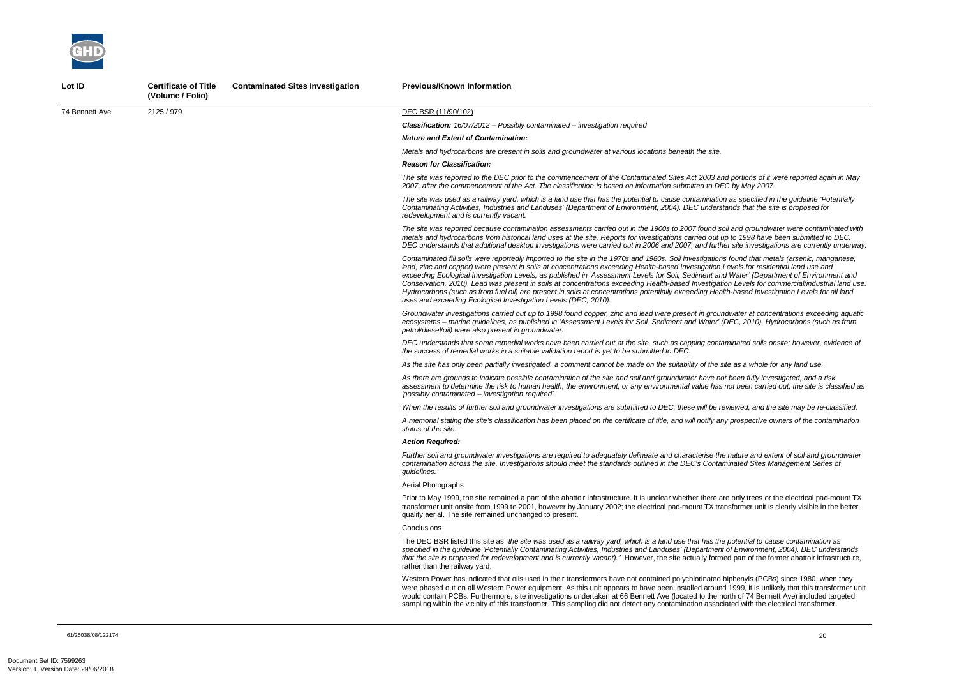*The site was reported to the DEC prior to the commencement of the Contaminated Sites Act 2003 and portions of it were reported again in May 2007, after the commencement of the Act. The classification is based on information submitted to DEC by May 2007.* 

*And groundwater were contaminated with metals and hydrocarbons from historical land uses at the site. Reports for investigations carried out up to 1998 have been submitted to DEC. DEC understands that additional desktop investigations were carried out in 2006 and 2007; and further site investigations are currently underway.* 

*The site was used as a railway yard, which is a land use that has the potential to cause contamination as specified in the guideline 'Potentially Contaminating Activities, Industries and Landuses' (Department of Environment, 2004). DEC understands that the site is proposed for* 

*Contaminated fill soils were reportedly imported to the site in the 1970s and 1980s. Soil investigations found that metals (arsenic, manganese, lead, zinc and copper) were present in soils at concentrations exceeding Health-based Investigation Levels for residential land use and exceeding Ecological Investigation Levels, as published in 'Assessment Levels for Soil, Sediment and Water' (Department of Environment and Conservation, 2010). Lead was present in soils at concentrations exceeding Health-based Investigation Levels for commercial/industrial land use. Hydrocarbons (such as from fuel oil) are present in soils at concentrations potentially exceeding Health-based Investigation Levels for all land* 

*Groundwater investigations carried out up to 1998 found copper, zinc and lead were present in groundwater at concentrations exceeding aquatic ecosystems – marine guidelines, as published in 'Assessment Levels for Soil, Sediment and Water' (DEC, 2010). Hydrocarbons (such as from* 



| Lot ID         | <b>Certificate of Title</b><br>(Volume / Folio) | <b>Contaminated Sites Investigation</b> | <b>Previous/Known Information</b>                                                                                                                                                                                                                                                                                                                                                                                                                                                                                                                                                                                  |
|----------------|-------------------------------------------------|-----------------------------------------|--------------------------------------------------------------------------------------------------------------------------------------------------------------------------------------------------------------------------------------------------------------------------------------------------------------------------------------------------------------------------------------------------------------------------------------------------------------------------------------------------------------------------------------------------------------------------------------------------------------------|
| 74 Bennett Ave | 2125 / 979                                      |                                         | DEC BSR (11/90/102)                                                                                                                                                                                                                                                                                                                                                                                                                                                                                                                                                                                                |
|                |                                                 |                                         | <b>Classification:</b> 16/07/2012 - Possibly contaminated - investigation required                                                                                                                                                                                                                                                                                                                                                                                                                                                                                                                                 |
|                |                                                 |                                         | <b>Nature and Extent of Contamination:</b>                                                                                                                                                                                                                                                                                                                                                                                                                                                                                                                                                                         |
|                |                                                 |                                         | Metals and hydrocarbons are present in soils and groundwater at various locations beneath the site.                                                                                                                                                                                                                                                                                                                                                                                                                                                                                                                |
|                |                                                 |                                         | <b>Reason for Classification:</b>                                                                                                                                                                                                                                                                                                                                                                                                                                                                                                                                                                                  |
|                |                                                 |                                         | The site was reported to the DEC prior to the commencement of the Contaminated Sites Act 2003 and<br>2007, after the commencement of the Act. The classification is based on information submitted to DEC                                                                                                                                                                                                                                                                                                                                                                                                          |
|                |                                                 |                                         | The site was used as a railway yard, which is a land use that has the potential to cause contamination<br>Contaminating Activities, Industries and Landuses' (Department of Environment, 2004). DEC understa<br>redevelopment and is currently vacant.                                                                                                                                                                                                                                                                                                                                                             |
|                |                                                 |                                         | The site was reported because contamination assessments carried out in the 1900s to 2007 found soil<br>metals and hydrocarbons from historical land uses at the site. Reports for investigations carried out up<br>DEC understands that additional desktop investigations were carried out in 2006 and 2007; and further                                                                                                                                                                                                                                                                                           |
|                |                                                 |                                         | Contaminated fill soils were reportedly imported to the site in the 1970s and 1980s. Soil investigations<br>lead, zinc and copper) were present in soils at concentrations exceeding Health-based Investigation Le<br>exceeding Ecological Investigation Levels, as published in 'Assessment Levels for Soil, Sediment and<br>Conservation, 2010). Lead was present in soils at concentrations exceeding Health-based Investigatio.<br>Hydrocarbons (such as from fuel oil) are present in soils at concentrations potentially exceeding Health<br>uses and exceeding Ecological Investigation Levels (DEC, 2010). |
|                |                                                 |                                         | Groundwater investigations carried out up to 1998 found copper, zinc and lead were present in ground<br>ecosystems - marine guidelines, as published in 'Assessment Levels for Soil, Sediment and Water' (D<br>petrol/diesel/oil) were also present in groundwater.                                                                                                                                                                                                                                                                                                                                                |
|                |                                                 |                                         | DEC understands that some remedial works have been carried out at the site, such as capping contan<br>the success of remedial works in a suitable validation report is yet to be submitted to DEC.                                                                                                                                                                                                                                                                                                                                                                                                                 |
|                |                                                 |                                         | As the site has only been partially investigated, a comment cannot be made on the suitability of the site                                                                                                                                                                                                                                                                                                                                                                                                                                                                                                          |
|                |                                                 |                                         | As there are grounds to indicate possible contamination of the site and soil and groundwater have not<br>assessment to determine the risk to human health, the environment, or any environmental value has n<br>'possibly contaminated – investigation required'.                                                                                                                                                                                                                                                                                                                                                  |
|                |                                                 |                                         | When the results of further soil and groundwater investigations are submitted to DEC, these will be rev                                                                                                                                                                                                                                                                                                                                                                                                                                                                                                            |
|                |                                                 |                                         | A memorial stating the site's classification has been placed on the certificate of title, and will notify any<br>status of the site.                                                                                                                                                                                                                                                                                                                                                                                                                                                                               |
|                |                                                 |                                         | <b>Action Required:</b>                                                                                                                                                                                                                                                                                                                                                                                                                                                                                                                                                                                            |
|                |                                                 |                                         | Further soil and groundwater investigations are required to adequately delineate and characterise the i<br>contamination across the site. Investigations should meet the standards outlined in the DEC's Contam.<br><i>guidelines.</i>                                                                                                                                                                                                                                                                                                                                                                             |
|                |                                                 |                                         | <b>Aerial Photographs</b>                                                                                                                                                                                                                                                                                                                                                                                                                                                                                                                                                                                          |
|                |                                                 |                                         | Prior to May 1999, the site remained a part of the abattoir infrastructure. It is unclear whether there are<br>transformer unit onsite from 1999 to 2001, however by January 2002; the electrical pad-mount TX trans<br>quality aerial. The site remained unchanged to present.                                                                                                                                                                                                                                                                                                                                    |
|                |                                                 |                                         | Conclusions                                                                                                                                                                                                                                                                                                                                                                                                                                                                                                                                                                                                        |
|                |                                                 |                                         | The DEC BSR listed this site as "the site was used as a railway yard, which is a land use that has the $\mu$<br>specified in the guideline 'Potentially Contaminating Activities, Industries and Landuses' (Department c<br>that the site is proposed for redevelopment and is currently vacant)." However, the site actually formed<br>rather than the railway yard.                                                                                                                                                                                                                                              |
|                |                                                 |                                         | Western Power has indicated that oils used in their transformers have not contained polychlorinated bi<br>were phased out on all Western Power equipment. As this unit appears to have been installed around<br>would contain PCBs. Furthermore, site investigations undertaken at 66 Bennett Ave (located to the nor<br>sampling within the vicinity of this transformer. This sampling did not detect any contamination associa                                                                                                                                                                                  |

*DEC understands that some remedial works have been carried out at the site, such as capping contaminated soils onsite; however, evidence of* 

*As the site has only been partially investigated, a comment cannot be made on the suitability of the site as a whole for any land use.* 

*As there are grounds to indicate possible contamination of the site and soil and groundwater have not been fully investigated, and a risk assessment to determine the risk to human health, the environment, or any environmental value has not been carried out, the site is classified as* 

*When the results of further soil and groundwater investigations are submitted to DEC, these will be reviewed, and the site may be re-classified.* 

*A memorial stating the site's classification has been placed on the certificate of title, and will notify any prospective owners of the contamination* 

*Further soil and groundwater investigations are required to adequately delineate and characterise the nature and extent of soil and groundwater contamination across the site. Investigations should meet the standards outlined in the DEC's Contaminated Sites Management Series of* 

only trees or the electrical pad-mount TX nsformer unit is clearly visible in the better

potential to cause contamination as *specified in the guideline 'Potentially Contaminating Activities, Industries and Landuses' (Department of Environment, 2004). DEC understands*  <sup>ed</sup> part of the former abattoir infrastructure,

iphenyls (PCBs) since 1980, when they 1999, it is unlikely that this transformer unit ith of 74 Bennett Ave) included targeted ated with the electrical transformer.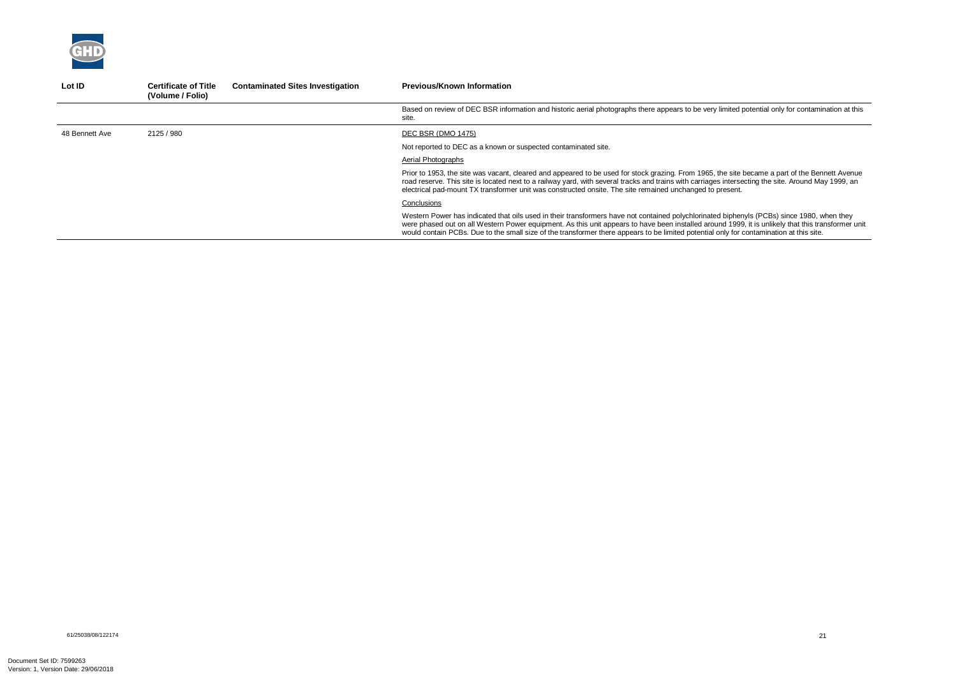

| Lot ID         | <b>Certificate of Title</b><br>(Volume / Folio) | <b>Contaminated Sites Investigation</b> | <b>Previous/Known Information</b>                                                                                                                                                                                                                                                                                                                                                                                                           |
|----------------|-------------------------------------------------|-----------------------------------------|---------------------------------------------------------------------------------------------------------------------------------------------------------------------------------------------------------------------------------------------------------------------------------------------------------------------------------------------------------------------------------------------------------------------------------------------|
|                |                                                 |                                         | Based on review of DEC BSR information and historic aerial photographs there appears to be very limited potential only for contamination at this<br>site.                                                                                                                                                                                                                                                                                   |
| 48 Bennett Ave | 2125 / 980                                      |                                         | DEC BSR (DMO 1475)                                                                                                                                                                                                                                                                                                                                                                                                                          |
|                |                                                 |                                         | Not reported to DEC as a known or suspected contaminated site.                                                                                                                                                                                                                                                                                                                                                                              |
|                |                                                 |                                         | Aerial Photographs                                                                                                                                                                                                                                                                                                                                                                                                                          |
|                |                                                 |                                         | Prior to 1953, the site was vacant, cleared and appeared to be used for stock grazing. From 1965, the site became a part of the Bennett Avenue<br>road reserve. This site is located next to a railway yard, with several tracks and trains with carriages intersecting the site. Around May 1999, an<br>electrical pad-mount TX transformer unit was constructed onsite. The site remained unchanged to present.                           |
|                |                                                 |                                         | Conclusions                                                                                                                                                                                                                                                                                                                                                                                                                                 |
|                |                                                 |                                         | Western Power has indicated that oils used in their transformers have not contained polychlorinated biphenyls (PCBs) since 1980, when they<br>were phased out on all Western Power equipment. As this unit appears to have been installed around 1999, it is unlikely that this transformer unit<br>would contain PCBs. Due to the small size of the transformer there appears to be limited potential only for contamination at this site. |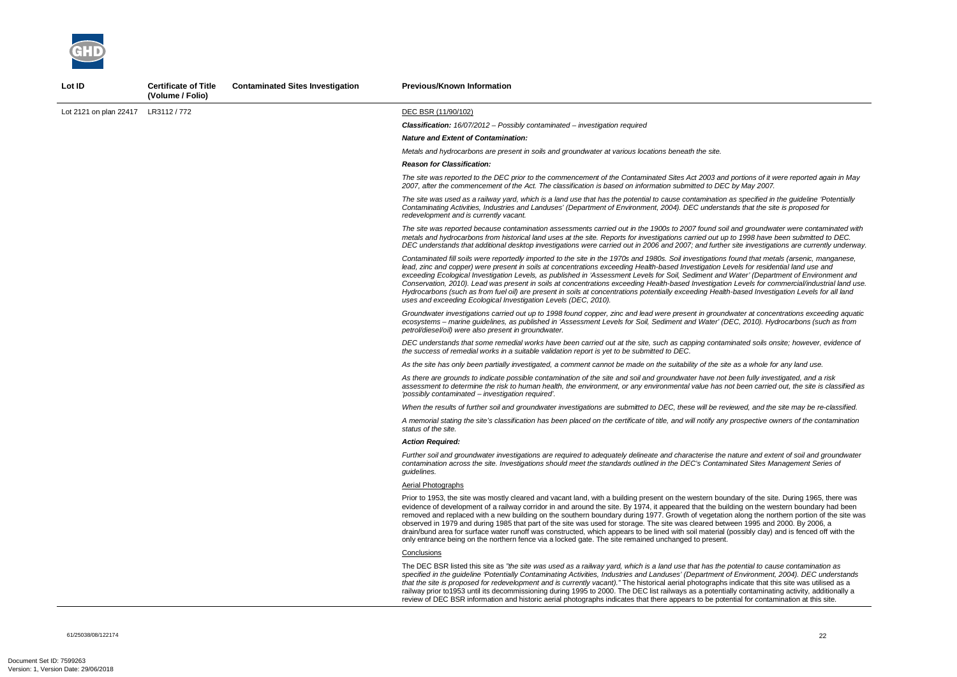*The site was reported to the DEC prior to the commencement of the Contaminated Sites Act 2003 and portions of it were reported again in May 2007, after the commencement of the Act. The classification is based on information submitted to DEC by May 2007.* 

*And groundwater were contaminated with metals and hydrocarbons from historical land uses at the site. Reports for investigations carried out up to 1998 have been submitted to DEC. DEC understands that additional desktop investigations were carried out in 2006 and 2007; and further site investigations are currently underway.* 

*The site was used as a railway yard, which is a land use that has the potential to cause contamination as specified in the guideline 'Potentially Contaminating Activities, Industries and Landuses' (Department of Environment, 2004). DEC understands that the site is proposed for* 

*Contaminated fill soils were reportedly imported to the site in the 1970s and 1980s. Soil investigations found that metals (arsenic, manganese, lead, zinc and copper) were present in soils at concentrations exceeding Health-based Investigation Levels for residential land use and Water' (Department of Environment and in Water' (Department of Environment and Conservation, 2010). Lead was present in soils at concentrations exceeding Health-based Investigation Levels for commercial/industrial land use. Hydrocarbons (such as from fuel oil) are present in soils at concentrations potentially exceeding Health-based Investigation Levels for all land* 

*Groundwater investigations carried out up to 1998 found copper, zinc and lead were present in groundwater at concentrations exceeding aquatic ecosystems – marine guidelines, as published in 'Assessment Levels for Soil, Sediment and Water' (DEC, 2010). Hydrocarbons (such as from* 

The DEC BSR listed this site as *"the site was used as a railway yard, which is a land use that has the potential to cause contamination as specified in the guideline 'Potentially Contaminating Activities, Industries and Landuses' (Department of Environment, 2004). DEC understands indicate that this site was utilised as a* ally contaminating activity, additionally a intial for contamination at this site.



| Lot ID                 | <b>Certificate of Title</b><br>(Volume / Folio) | <b>Contaminated Sites Investigation</b> | <b>Previous/Known Information</b>                                                                                                                                                                                                                                                                                                                                                                                                                                                                                                                                                                                                                        |
|------------------------|-------------------------------------------------|-----------------------------------------|----------------------------------------------------------------------------------------------------------------------------------------------------------------------------------------------------------------------------------------------------------------------------------------------------------------------------------------------------------------------------------------------------------------------------------------------------------------------------------------------------------------------------------------------------------------------------------------------------------------------------------------------------------|
| Lot 2121 on plan 22417 | LR3112 / 772                                    |                                         | DEC BSR (11/90/102)                                                                                                                                                                                                                                                                                                                                                                                                                                                                                                                                                                                                                                      |
|                        |                                                 |                                         | <b>Classification:</b> $16/07/2012$ - Possibly contaminated - investigation required                                                                                                                                                                                                                                                                                                                                                                                                                                                                                                                                                                     |
|                        |                                                 |                                         | <b>Nature and Extent of Contamination:</b>                                                                                                                                                                                                                                                                                                                                                                                                                                                                                                                                                                                                               |
|                        |                                                 |                                         | Metals and hydrocarbons are present in soils and groundwater at various locations beneath the site.                                                                                                                                                                                                                                                                                                                                                                                                                                                                                                                                                      |
|                        |                                                 |                                         | <b>Reason for Classification:</b>                                                                                                                                                                                                                                                                                                                                                                                                                                                                                                                                                                                                                        |
|                        |                                                 |                                         | The site was reported to the DEC prior to the commencement of the Contaminated Sites Act 2003 and<br>2007, after the commencement of the Act. The classification is based on information submitted to DEC                                                                                                                                                                                                                                                                                                                                                                                                                                                |
|                        |                                                 |                                         | The site was used as a railway yard, which is a land use that has the potential to cause contamination<br>Contaminating Activities, Industries and Landuses' (Department of Environment, 2004). DEC understa.<br>redevelopment and is currently vacant.                                                                                                                                                                                                                                                                                                                                                                                                  |
|                        |                                                 |                                         | The site was reported because contamination assessments carried out in the 1900s to 2007 found soil<br>metals and hydrocarbons from historical land uses at the site. Reports for investigations carried out up<br>DEC understands that additional desktop investigations were carried out in 2006 and 2007; and further                                                                                                                                                                                                                                                                                                                                 |
|                        |                                                 |                                         | Contaminated fill soils were reportedly imported to the site in the 1970s and 1980s. Soil investigations<br>lead, zinc and copper) were present in soils at concentrations exceeding Health-based Investigation Le<br>exceeding Ecological Investigation Levels, as published in 'Assessment Levels for Soil, Sediment and<br>Conservation, 2010). Lead was present in soils at concentrations exceeding Health-based Investigation<br>Hydrocarbons (such as from fuel oil) are present in soils at concentrations potentially exceeding Health<br>uses and exceeding Ecological Investigation Levels (DEC, 2010).                                       |
|                        |                                                 |                                         | Groundwater investigations carried out up to 1998 found copper, zinc and lead were present in ground<br>ecosystems - marine guidelines, as published in 'Assessment Levels for Soil, Sediment and Water' (D<br>petrol/diesel/oil) were also present in groundwater.                                                                                                                                                                                                                                                                                                                                                                                      |
|                        |                                                 |                                         | DEC understands that some remedial works have been carried out at the site, such as capping contan<br>the success of remedial works in a suitable validation report is yet to be submitted to DEC.                                                                                                                                                                                                                                                                                                                                                                                                                                                       |
|                        |                                                 |                                         | As the site has only been partially investigated, a comment cannot be made on the suitability of the site                                                                                                                                                                                                                                                                                                                                                                                                                                                                                                                                                |
|                        |                                                 |                                         | As there are grounds to indicate possible contamination of the site and soil and groundwater have not<br>assessment to determine the risk to human health, the environment, or any environmental value has n<br>'possibly contaminated – investigation required'.                                                                                                                                                                                                                                                                                                                                                                                        |
|                        |                                                 |                                         | When the results of further soil and groundwater investigations are submitted to DEC, these will be rev                                                                                                                                                                                                                                                                                                                                                                                                                                                                                                                                                  |
|                        |                                                 |                                         | A memorial stating the site's classification has been placed on the certificate of title, and will notify any<br>status of the site.                                                                                                                                                                                                                                                                                                                                                                                                                                                                                                                     |
|                        |                                                 |                                         | <b>Action Required:</b>                                                                                                                                                                                                                                                                                                                                                                                                                                                                                                                                                                                                                                  |
|                        |                                                 |                                         | Further soil and groundwater investigations are required to adequately delineate and characterise the i<br>contamination across the site. Investigations should meet the standards outlined in the DEC's Contami<br>guidelines.                                                                                                                                                                                                                                                                                                                                                                                                                          |
|                        |                                                 |                                         | <b>Aerial Photographs</b>                                                                                                                                                                                                                                                                                                                                                                                                                                                                                                                                                                                                                                |
|                        |                                                 |                                         | Prior to 1953, the site was mostly cleared and vacant land, with a building present on the western bour<br>evidence of development of a railway corridor in and around the site. By 1974, it appeared that the buil<br>removed and replaced with a new building on the southern boundary during 1977. Growth of vegetation<br>observed in 1979 and during 1985 that part of the site was used for storage. The site was cleared betw<br>drain/bund area for surface water runoff was constructed, which appears to be lined with soil material (<br>only entrance being on the northern fence via a locked gate. The site remained unchanged to present. |
|                        |                                                 |                                         | Conclusions                                                                                                                                                                                                                                                                                                                                                                                                                                                                                                                                                                                                                                              |
|                        |                                                 |                                         | The DEC BSR listed this site as "the site was used as a railway yard, which is a land use that has the $\mu$<br>specified in the guideline 'Potentially Contaminating Activities, Industries and Landuses' (Department c<br>that the site is proposed for redevelopment and is currently vacant)." The historical aerial photographs<br>railway prior to 1953 until its decommissioning during 1995 to 2000. The DEC list railways as a potentia<br>review of DEC BSR information and historic aerial photographs indicates that there appears to be pote                                                                                                |

*DEC understands that some remedial works have been carried out at the site, such as capping contaminated soils onsite; however, evidence of* 

*As the site has only been partially investigated, a comment cannot be made on the suitability of the site as a whole for any land use.* 

*As there are grounds to indicate possible contamination of the site and soil and groundwater have not been fully investigated, and a risk assessment to determine the risk to human health, the environment, or any environmental value has not been carried out, the site is classified as* 

*iewed, and the site may be re-classified.* 

*A memorial stating the site's classification has been placed on the certificate of title, and will notify any prospective owners of the contamination* 

*Further soil and groundwater investigations are required to adequately delineate and characterise the nature and extent of soil and groundwater contamination across the site. Investigations should meet the standards outlined in the DEC's Contaminated Sites Management Series of* 

ndary of the site. During 1965, there was ilding on the western boundary had been on along the northern portion of the site was  $\nu$ een 1995 and 2000. By 2006, a (possibly clay) and is fenced off with the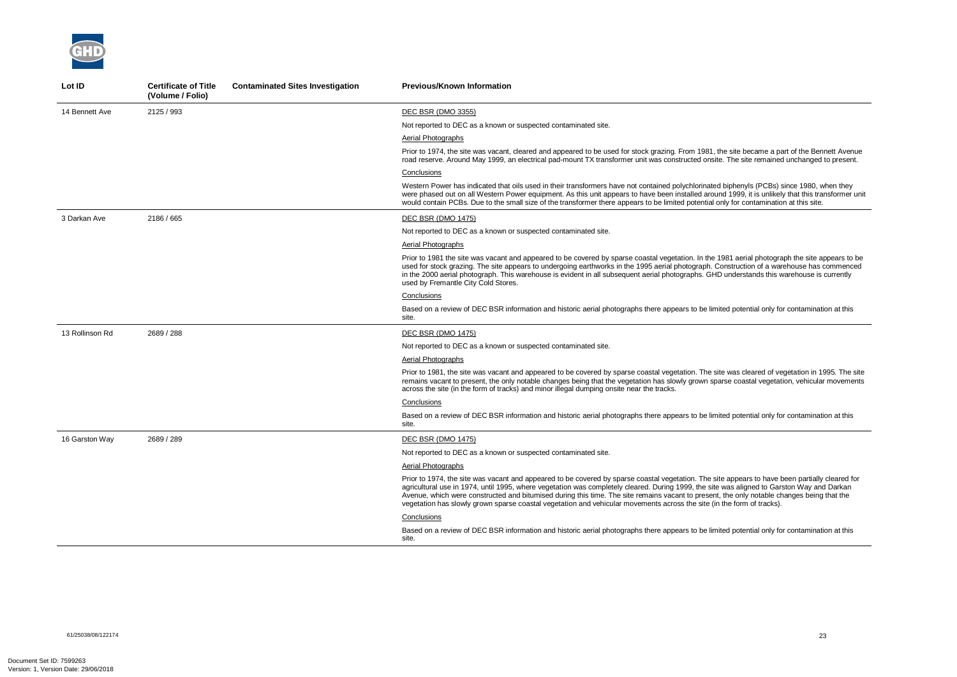

| Lot ID          | <b>Certificate of Title</b><br>(Volume / Folio) | <b>Contaminated Sites Investigation</b> | <b>Previous/Known Information</b>                                                                                                                                                                                                                                                                                                                                                                                                                                                                                                                                     |
|-----------------|-------------------------------------------------|-----------------------------------------|-----------------------------------------------------------------------------------------------------------------------------------------------------------------------------------------------------------------------------------------------------------------------------------------------------------------------------------------------------------------------------------------------------------------------------------------------------------------------------------------------------------------------------------------------------------------------|
| 14 Bennett Ave  | 2125 / 993                                      |                                         | DEC BSR (DMO 3355)                                                                                                                                                                                                                                                                                                                                                                                                                                                                                                                                                    |
|                 |                                                 |                                         | Not reported to DEC as a known or suspected contaminated site.                                                                                                                                                                                                                                                                                                                                                                                                                                                                                                        |
|                 |                                                 |                                         | Aerial Photographs                                                                                                                                                                                                                                                                                                                                                                                                                                                                                                                                                    |
|                 |                                                 |                                         | Prior to 1974, the site was vacant, cleared and appeared to be used for stock grazing. From 1981, the site became a part of the Bennett Avenue<br>road reserve. Around May 1999, an electrical pad-mount TX transformer unit was constructed onsite. The site remained unchanged to present.                                                                                                                                                                                                                                                                          |
|                 |                                                 |                                         | Conclusions                                                                                                                                                                                                                                                                                                                                                                                                                                                                                                                                                           |
|                 |                                                 |                                         | Western Power has indicated that oils used in their transformers have not contained polychlorinated biphenyls (PCBs) since 1980, when they<br>were phased out on all Western Power equipment. As this unit appears to have been installed around 1999, it is unlikely that this transformer unit<br>would contain PCBs. Due to the small size of the transformer there appears to be limited potential only for contamination at this site.                                                                                                                           |
| 3 Darkan Ave    | 2186 / 665                                      |                                         | DEC BSR (DMO 1475)                                                                                                                                                                                                                                                                                                                                                                                                                                                                                                                                                    |
|                 |                                                 |                                         | Not reported to DEC as a known or suspected contaminated site.                                                                                                                                                                                                                                                                                                                                                                                                                                                                                                        |
|                 |                                                 |                                         | <b>Aerial Photographs</b>                                                                                                                                                                                                                                                                                                                                                                                                                                                                                                                                             |
|                 |                                                 |                                         | Prior to 1981 the site was vacant and appeared to be covered by sparse coastal vegetation. In the 1981 aerial photograph the site appears to be<br>used for stock grazing. The site appears to undergoing earthworks in the 1995 aerial photograph. Construction of a warehouse has commenced<br>in the 2000 aerial photograph. This warehouse is evident in all subsequent aerial photographs. GHD understands this warehouse is currently<br>used by Fremantle City Cold Stores.                                                                                    |
|                 |                                                 |                                         | Conclusions                                                                                                                                                                                                                                                                                                                                                                                                                                                                                                                                                           |
|                 |                                                 |                                         | Based on a review of DEC BSR information and historic aerial photographs there appears to be limited potential only for contamination at this<br>site.                                                                                                                                                                                                                                                                                                                                                                                                                |
| 13 Rollinson Rd | 2689 / 288                                      |                                         | DEC BSR (DMO 1475)                                                                                                                                                                                                                                                                                                                                                                                                                                                                                                                                                    |
|                 |                                                 |                                         | Not reported to DEC as a known or suspected contaminated site.                                                                                                                                                                                                                                                                                                                                                                                                                                                                                                        |
|                 |                                                 |                                         | Aerial Photographs                                                                                                                                                                                                                                                                                                                                                                                                                                                                                                                                                    |
|                 |                                                 |                                         | Prior to 1981, the site was vacant and appeared to be covered by sparse coastal vegetation. The site was cleared of vegetation in 1995. The site<br>remains vacant to present, the only notable changes being that the vegetation has slowly grown sparse coastal vegetation, vehicular movements<br>across the site (in the form of tracks) and minor illegal dumping onsite near the tracks.                                                                                                                                                                        |
|                 |                                                 |                                         | Conclusions                                                                                                                                                                                                                                                                                                                                                                                                                                                                                                                                                           |
|                 |                                                 |                                         | Based on a review of DEC BSR information and historic aerial photographs there appears to be limited potential only for contamination at this<br>site.                                                                                                                                                                                                                                                                                                                                                                                                                |
| 16 Garston Way  | 2689 / 289                                      |                                         | <b>DEC BSR (DMO 1475)</b>                                                                                                                                                                                                                                                                                                                                                                                                                                                                                                                                             |
|                 |                                                 |                                         | Not reported to DEC as a known or suspected contaminated site.                                                                                                                                                                                                                                                                                                                                                                                                                                                                                                        |
|                 |                                                 |                                         | <b>Aerial Photographs</b>                                                                                                                                                                                                                                                                                                                                                                                                                                                                                                                                             |
|                 |                                                 |                                         | Prior to 1974, the site was vacant and appeared to be covered by sparse coastal vegetation. The site appears to have been partially cleared for<br>agricultural use in 1974, until 1995, where vegetation was completely cleared. During 1999, the site was aligned to Garston Way and Darkan<br>Avenue, which were constructed and bitumised during this time. The site remains vacant to present, the only notable changes being that the<br>vegetation has slowly grown sparse coastal vegetation and vehicular movements across the site (in the form of tracks). |
|                 |                                                 |                                         | Conclusions                                                                                                                                                                                                                                                                                                                                                                                                                                                                                                                                                           |
|                 |                                                 |                                         | Based on a review of DEC BSR information and historic aerial photographs there appears to be limited potential only for contamination at this<br>site.                                                                                                                                                                                                                                                                                                                                                                                                                |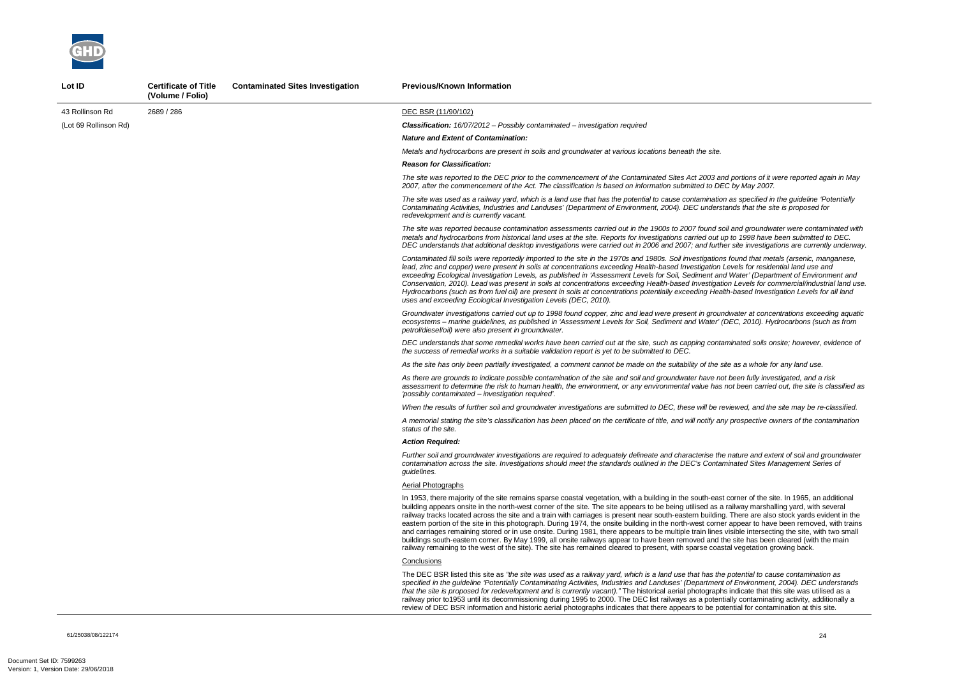*The site was reported to the DEC prior to the commencement of the Contaminated Sites Act 2003 and portions of it were reported again in May 2007, after the commencement of the Act. The classification is based on information submitted to DEC by May 2007.* 

*And groundwater were contaminated with metals and hydrocarbons from historical land uses at the site. Reports for investigations carried out up to 1998 have been submitted to DEC. DEC understands that additional desktop investigations were carried out in 2006 and 2007; and further site investigations are currently underway.* 

*The site was used as a railway yard, which is a land use that has the potential to cause contamination as specified in the guideline 'Potentially Contaminating Activities, Industries and Landuses' (Department of Environment, 2004). DEC understands that the site is proposed for* 

*Contaminated fill soils were reportedly imported to the site in the 1970s and 1980s. Soil investigations found that metals (arsenic, manganese, lead, zinc and copper) were present in soils at concentrations exceeding Health-based Investigation Levels for residential land use and Water' (Department of Environment and in Water' (Department of Environment and Conservation, 2010). Lead was present in soils at concentrations exceeding Health-based Investigation Levels for commercial/industrial land use. Hydrocarbons (such as from fuel oil) are present in soils at concentrations potentially exceeding Health-based Investigation Levels for all land* 

*Groundwater investigations carried out up to 1998 found copper, zinc and lead were present in groundwater at concentrations exceeding aquatic ecosystems – marine guidelines, as published in 'Assessment Levels for Soil, Sediment and Water' (DEC, 2010). Hydrocarbons (such as from* 

The DEC BSR listed this site as *"the site was used as a railway yard, which is a land use that has the potential to cause contamination as specified in the guideline 'Potentially Contaminating Activities, Industries and Landuses' (Department of Environment, 2004). DEC understands indicate that this site was utilised as a* ally contaminating activity, additionally a ntial for contamination at this site.



| Lot ID                | <b>Certificate of Title</b><br>(Volume / Folio) | <b>Contaminated Sites Investigation</b> | <b>Previous/Known Information</b>                                                                                                                                                                                                                                                                                                                                                                                                                                                                                                                                                                                                                                                                                                                                                    |
|-----------------------|-------------------------------------------------|-----------------------------------------|--------------------------------------------------------------------------------------------------------------------------------------------------------------------------------------------------------------------------------------------------------------------------------------------------------------------------------------------------------------------------------------------------------------------------------------------------------------------------------------------------------------------------------------------------------------------------------------------------------------------------------------------------------------------------------------------------------------------------------------------------------------------------------------|
| 43 Rollinson Rd       | 2689 / 286                                      |                                         | DEC BSR (11/90/102)                                                                                                                                                                                                                                                                                                                                                                                                                                                                                                                                                                                                                                                                                                                                                                  |
| (Lot 69 Rollinson Rd) |                                                 |                                         | <b>Classification:</b> $16/07/2012$ – Possibly contaminated – investigation required                                                                                                                                                                                                                                                                                                                                                                                                                                                                                                                                                                                                                                                                                                 |
|                       |                                                 |                                         | <b>Nature and Extent of Contamination:</b>                                                                                                                                                                                                                                                                                                                                                                                                                                                                                                                                                                                                                                                                                                                                           |
|                       |                                                 |                                         | Metals and hydrocarbons are present in soils and groundwater at various locations beneath the site.                                                                                                                                                                                                                                                                                                                                                                                                                                                                                                                                                                                                                                                                                  |
|                       |                                                 |                                         | <b>Reason for Classification:</b>                                                                                                                                                                                                                                                                                                                                                                                                                                                                                                                                                                                                                                                                                                                                                    |
|                       |                                                 |                                         | The site was reported to the DEC prior to the commencement of the Contaminated Sites Act 2003 and<br>2007, after the commencement of the Act. The classification is based on information submitted to DEC                                                                                                                                                                                                                                                                                                                                                                                                                                                                                                                                                                            |
|                       |                                                 |                                         | The site was used as a railway yard, which is a land use that has the potential to cause contamination<br>Contaminating Activities, Industries and Landuses' (Department of Environment, 2004). DEC understa.<br>redevelopment and is currently vacant.                                                                                                                                                                                                                                                                                                                                                                                                                                                                                                                              |
|                       |                                                 |                                         | The site was reported because contamination assessments carried out in the 1900s to 2007 found soil<br>metals and hydrocarbons from historical land uses at the site. Reports for investigations carried out up<br>DEC understands that additional desktop investigations were carried out in 2006 and 2007; and further                                                                                                                                                                                                                                                                                                                                                                                                                                                             |
|                       |                                                 |                                         | Contaminated fill soils were reportedly imported to the site in the 1970s and 1980s. Soil investigations<br>lead, zinc and copper) were present in soils at concentrations exceeding Health-based Investigation Le<br>exceeding Ecological Investigation Levels, as published in 'Assessment Levels for Soil, Sediment and<br>Conservation, 2010). Lead was present in soils at concentrations exceeding Health-based Investigation<br>Hydrocarbons (such as from fuel oil) are present in soils at concentrations potentially exceeding Health<br>uses and exceeding Ecological Investigation Levels (DEC, 2010).                                                                                                                                                                   |
|                       |                                                 |                                         | Groundwater investigations carried out up to 1998 found copper, zinc and lead were present in ground<br>ecosystems - marine guidelines, as published in 'Assessment Levels for Soil, Sediment and Water' (D<br>petrol/diesel/oil) were also present in groundwater.                                                                                                                                                                                                                                                                                                                                                                                                                                                                                                                  |
|                       |                                                 |                                         | DEC understands that some remedial works have been carried out at the site, such as capping contan<br>the success of remedial works in a suitable validation report is yet to be submitted to DEC.                                                                                                                                                                                                                                                                                                                                                                                                                                                                                                                                                                                   |
|                       |                                                 |                                         | As the site has only been partially investigated, a comment cannot be made on the suitability of the site                                                                                                                                                                                                                                                                                                                                                                                                                                                                                                                                                                                                                                                                            |
|                       |                                                 |                                         | As there are grounds to indicate possible contamination of the site and soil and groundwater have not<br>assessment to determine the risk to human health, the environment, or any environmental value has n<br>'possibly contaminated - investigation required'.                                                                                                                                                                                                                                                                                                                                                                                                                                                                                                                    |
|                       |                                                 |                                         | When the results of further soil and groundwater investigations are submitted to DEC, these will be rev                                                                                                                                                                                                                                                                                                                                                                                                                                                                                                                                                                                                                                                                              |
|                       |                                                 |                                         | A memorial stating the site's classification has been placed on the certificate of title, and will notify any<br>status of the site.                                                                                                                                                                                                                                                                                                                                                                                                                                                                                                                                                                                                                                                 |
|                       |                                                 |                                         | Action Reauired:                                                                                                                                                                                                                                                                                                                                                                                                                                                                                                                                                                                                                                                                                                                                                                     |
|                       |                                                 |                                         | Further soil and groundwater investigations are required to adequately delineate and characterise the r<br>contamination across the site. Investigations should meet the standards outlined in the DEC's Contami<br>guidelines.                                                                                                                                                                                                                                                                                                                                                                                                                                                                                                                                                      |
|                       |                                                 |                                         | <b>Aerial Photographs</b>                                                                                                                                                                                                                                                                                                                                                                                                                                                                                                                                                                                                                                                                                                                                                            |
|                       |                                                 |                                         | In 1953, there majority of the site remains sparse coastal vegetation, with a building in the south-east c<br>building appears onsite in the north-west corner of the site. The site appears to be being utilised as a ra<br>railway tracks located across the site and a train with carriages is present near south-eastern building.<br>eastern portion of the site in this photograph. During 1974, the onsite building in the north-west corner<br>and carriages remaining stored or in use onsite. During 1981, there appears to be multiple train lines vi<br>buildings south-eastern corner. By May 1999, all onsite railways appear to have been removed and the<br>railway remaining to the west of the site). The site has remained cleared to present, with sparse coasta |
|                       |                                                 |                                         | Conclusions                                                                                                                                                                                                                                                                                                                                                                                                                                                                                                                                                                                                                                                                                                                                                                          |
|                       |                                                 |                                         | The DEC BSR listed this site as "the site was used as a railway yard, which is a land use that has the $\mu$<br>specified in the guideline 'Potentially Contaminating Activities, Industries and Landuses' (Department c<br>that the site is proposed for redevelopment and is currently vacant)." The historical aerial photographs<br>railway prior to 1953 until its decommissioning during 1995 to 2000. The DEC list railways as a potentia<br>review of DEC BSR information and historic aerial photographs indicates that there appears to be pote                                                                                                                                                                                                                            |

61/25038/08/122174<br>61/25038/08/122174

*DEC understands that some remedial works have been carried out at the site, such as capping contaminated soils onsite; however, evidence of* 

*As the site has only been partially investigated, a comment cannot be made on the suitability of the site as a whole for any land use.* 

*As there are grounds to indicate possible contamination of the site and soil and groundwater have not been fully investigated, and a risk assessment to determine the risk to human health, the environment, or any environmental value has not been carried out, the site is classified as* 

*iewed, and the site may be re-classified.* 

*A memorial stating the site's classification has been placed on the certificate of title, and will notify any prospective owners of the contamination* 

*Further soil and groundwater investigations are required to adequately delineate and characterise the nature and extent of soil and groundwater contamination across the site. Investigations should meet the standards outlined in the DEC's Contaminated Sites Management Series of* 

corner of the site. In 1965, an additional ailway marshalling yard, with several There are also stock yards evident in the appear to have been removed, with trains isible intersecting the site, with two small e site has been cleared (with the main al vegetation growing back.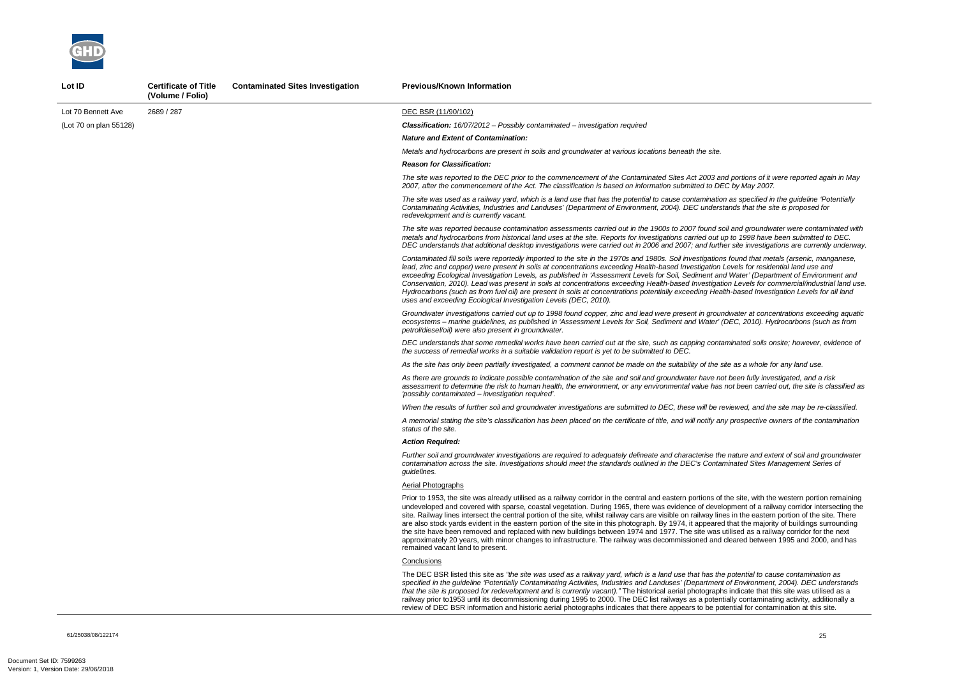61/25038/08/122174 25

*The site was reported to the DEC prior to the commencement of the Contaminated Sites Act 2003 and portions of it were reported again in May 2007, after the commencement of the Act. The classification is based on information submitted to DEC by May 2007.* 

*And groundwater were contaminated with metals and hydrocarbons from historical land uses at the site. Reports for investigations carried out up to 1998 have been submitted to DEC. DEC understands that additional desktop investigations were carried out in 2006 and 2007; and further site investigations are currently underway.* 

*The site was used as a railway yard, which is a land use that has the potential to cause contamination as specified in the guideline 'Potentially Contaminating Activities, Industries and Landuses' (Department of Environment, 2004). DEC understands that the site is proposed for* 

*Contaminated fill soils were reportedly imported to the site in the 1970s and 1980s. Soil investigations found that metals (arsenic, manganese, lead, zinc and copper) were present in soils at concentrations exceeding Health-based Investigation Levels for residential land use and Water' (Department of Environment and in Water' (Department of Environment and Conservation, 2010). Lead was present in soils at concentrations exceeding Health-based Investigation Levels for commercial/industrial land use. Hydrocarbons (such as from fuel oil) are present in soils at concentrations potentially exceeding Health-based Investigation Levels for all land* 

*Groundwater investigations carried out up to 1998 found copper, zinc and lead were present in groundwater at concentrations exceeding aquatic ecosystems – marine guidelines, as published in 'Assessment Levels for Soil, Sediment and Water' (DEC, 2010). Hydrocarbons (such as from* 

The DEC BSR listed this site as *"the site was used as a railway yard, which is a land use that has the potential to cause contamination as specified in the guideline 'Potentially Contaminating Activities, Industries and Landuses' (Department of Environment, 2004). DEC understands indicate that this site was utilised as a* ally contaminating activity, additionally a ntial for contamination at this site.



| Lot ID                 | <b>Certificate of Title</b><br>(Volume / Folio) | <b>Contaminated Sites Investigation</b> | <b>Previous/Known Information</b>                                                                                                                                                                                                                                                                                                                                                                                                                                                                                                                                                                                                                                                                     |
|------------------------|-------------------------------------------------|-----------------------------------------|-------------------------------------------------------------------------------------------------------------------------------------------------------------------------------------------------------------------------------------------------------------------------------------------------------------------------------------------------------------------------------------------------------------------------------------------------------------------------------------------------------------------------------------------------------------------------------------------------------------------------------------------------------------------------------------------------------|
| Lot 70 Bennett Ave     | 2689 / 287                                      |                                         | DEC BSR (11/90/102)                                                                                                                                                                                                                                                                                                                                                                                                                                                                                                                                                                                                                                                                                   |
| (Lot 70 on plan 55128) |                                                 |                                         | <b>Classification:</b> $16/07/2012$ – Possibly contaminated – investigation required                                                                                                                                                                                                                                                                                                                                                                                                                                                                                                                                                                                                                  |
|                        |                                                 |                                         | <b>Nature and Extent of Contamination:</b>                                                                                                                                                                                                                                                                                                                                                                                                                                                                                                                                                                                                                                                            |
|                        |                                                 |                                         | Metals and hydrocarbons are present in soils and groundwater at various locations beneath the site.                                                                                                                                                                                                                                                                                                                                                                                                                                                                                                                                                                                                   |
|                        |                                                 |                                         | <b>Reason for Classification:</b>                                                                                                                                                                                                                                                                                                                                                                                                                                                                                                                                                                                                                                                                     |
|                        |                                                 |                                         | The site was reported to the DEC prior to the commencement of the Contaminated Sites Act 2003 and<br>2007, after the commencement of the Act. The classification is based on information submitted to DEC                                                                                                                                                                                                                                                                                                                                                                                                                                                                                             |
|                        |                                                 |                                         | The site was used as a railway yard, which is a land use that has the potential to cause contamination<br>Contaminating Activities, Industries and Landuses' (Department of Environment, 2004). DEC understa.<br>redevelopment and is currently vacant.                                                                                                                                                                                                                                                                                                                                                                                                                                               |
|                        |                                                 |                                         | The site was reported because contamination assessments carried out in the 1900s to 2007 found soil<br>metals and hydrocarbons from historical land uses at the site. Reports for investigations carried out up<br>DEC understands that additional desktop investigations were carried out in 2006 and 2007; and further                                                                                                                                                                                                                                                                                                                                                                              |
|                        |                                                 |                                         | Contaminated fill soils were reportedly imported to the site in the 1970s and 1980s. Soil investigations<br>lead, zinc and copper) were present in soils at concentrations exceeding Health-based Investigation Le<br>exceeding Ecological Investigation Levels, as published in 'Assessment Levels for Soil, Sediment and<br>Conservation, 2010). Lead was present in soils at concentrations exceeding Health-based Investigation<br>Hydrocarbons (such as from fuel oil) are present in soils at concentrations potentially exceeding Health<br>uses and exceeding Ecological Investigation Levels (DEC, 2010).                                                                                    |
|                        |                                                 |                                         | Groundwater investigations carried out up to 1998 found copper, zinc and lead were present in ground<br>ecosystems - marine guidelines, as published in 'Assessment Levels for Soil, Sediment and Water' (D<br>petrol/diesel/oil) were also present in groundwater.                                                                                                                                                                                                                                                                                                                                                                                                                                   |
|                        |                                                 |                                         | DEC understands that some remedial works have been carried out at the site, such as capping contan<br>the success of remedial works in a suitable validation report is yet to be submitted to DEC.                                                                                                                                                                                                                                                                                                                                                                                                                                                                                                    |
|                        |                                                 |                                         | As the site has only been partially investigated, a comment cannot be made on the suitability of the site                                                                                                                                                                                                                                                                                                                                                                                                                                                                                                                                                                                             |
|                        |                                                 |                                         | As there are grounds to indicate possible contamination of the site and soil and groundwater have not<br>assessment to determine the risk to human health, the environment, or any environmental value has n<br>'possibly contaminated - investigation required'.                                                                                                                                                                                                                                                                                                                                                                                                                                     |
|                        |                                                 |                                         | When the results of further soil and groundwater investigations are submitted to DEC, these will be rev                                                                                                                                                                                                                                                                                                                                                                                                                                                                                                                                                                                               |
|                        |                                                 |                                         | A memorial stating the site's classification has been placed on the certificate of title, and will notify any<br>status of the site.                                                                                                                                                                                                                                                                                                                                                                                                                                                                                                                                                                  |
|                        |                                                 |                                         | Action Reauired:                                                                                                                                                                                                                                                                                                                                                                                                                                                                                                                                                                                                                                                                                      |
|                        |                                                 |                                         | Further soil and groundwater investigations are required to adequately delineate and characterise the r<br>contamination across the site. Investigations should meet the standards outlined in the DEC's Contami<br>guidelines.                                                                                                                                                                                                                                                                                                                                                                                                                                                                       |
|                        |                                                 |                                         | Aerial Photographs                                                                                                                                                                                                                                                                                                                                                                                                                                                                                                                                                                                                                                                                                    |
|                        |                                                 |                                         | Prior to 1953, the site was already utilised as a railway corridor in the central and eastern portions of th<br>undeveloped and covered with sparse, coastal vegetation. During 1965, there was evidence of develop<br>site. Railway lines intersect the central portion of the site, whilst railway cars are visible on railway lines<br>are also stock yards evident in the eastern portion of the site in this photograph. By 1974, it appeared t<br>the site have been removed and replaced with new buildings between 1974 and 1977. The site was uti<br>approximately 20 years, with minor changes to infrastructure. The railway was decommissioned and cl<br>remained vacant land to present. |
|                        |                                                 |                                         | Conclusions                                                                                                                                                                                                                                                                                                                                                                                                                                                                                                                                                                                                                                                                                           |
|                        |                                                 |                                         | The DEC BSR listed this site as "the site was used as a railway yard, which is a land use that has the $\mu$<br>specified in the guideline 'Potentially Contaminating Activities, Industries and Landuses' (Department c<br>that the site is proposed for redevelopment and is currently vacant)." The historical aerial photographs<br>railway prior to 1953 until its decommissioning during 1995 to 2000. The DEC list railways as a potentia<br>review of DEC BSR information and historic aerial photographs indicates that there appears to be pote                                                                                                                                             |

*DEC understands that some remedial works have been carried out at the site, such as capping contaminated soils onsite; however, evidence of* 

*As the site has only been partially investigated, a comment cannot be made on the suitability of the site as a whole for any land use.* 

*As there are grounds to indicate possible contamination of the site and soil and groundwater have not been fully investigated, and a risk assessment to determine the risk to human health, the environment, or any environmental value has not been carried out, the site is classified as* 

*iewed, and the site may be re-classified.* 

*A memorial stating the site's classification has been placed on the certificate of title, and will notify any prospective owners of the contamination* 

*Further soil and groundwater investigations are required to adequately delineate and characterise the nature and extent of soil and groundwater contamination across the site. Investigations should meet the standards outlined in the DEC's Contaminated Sites Management Series of* 

e site, with the western portion remaining pment of a railway corridor intersecting the in the eastern portion of the site. There hat the majority of buildings surrounding ilised as a railway corridor for the next leared between 1995 and 2000, and has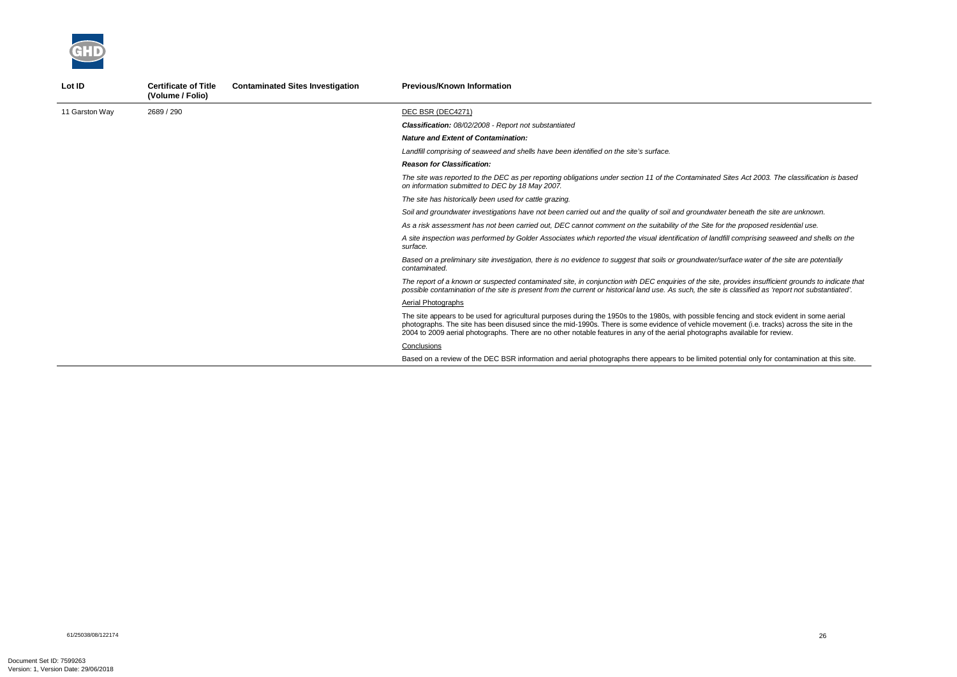*The site was reported to the DEC as per reporting obligations under section 11 of the Contaminated Sites Act 2003. The classification is based* 

*Soil and groundwater investigations have not been carried out and the quality of soil and groundwater beneath the site are unknown.* 

*As a risk assessment has not been carried out, DEC cannot comment on the suitability of the Site for the proposed residential use.* 

*A site inspection was performed by Golder Associates which reported the visual identification of landfill comprising seaweed and shells on the* 



| Lot ID         | <b>Certificate of Title</b><br>(Volume / Folio) | <b>Contaminated Sites Investigation</b> | <b>Previous/Known Information</b>                                                                                                                                                                                                                                                                                           |
|----------------|-------------------------------------------------|-----------------------------------------|-----------------------------------------------------------------------------------------------------------------------------------------------------------------------------------------------------------------------------------------------------------------------------------------------------------------------------|
| 11 Garston Way | 2689 / 290                                      |                                         | DEC BSR (DEC4271)                                                                                                                                                                                                                                                                                                           |
|                |                                                 |                                         | <b>Classification:</b> 08/02/2008 - Report not substantiated                                                                                                                                                                                                                                                                |
|                |                                                 |                                         | <b>Nature and Extent of Contamination:</b>                                                                                                                                                                                                                                                                                  |
|                |                                                 |                                         | Landfill comprising of seaweed and shells have been identified on the site's surface.                                                                                                                                                                                                                                       |
|                |                                                 |                                         | <b>Reason for Classification:</b>                                                                                                                                                                                                                                                                                           |
|                |                                                 |                                         | The site was reported to the DEC as per reporting obligations under section 11 of the Contaminated Site<br>on information submitted to DEC by 18 May 2007.                                                                                                                                                                  |
|                |                                                 |                                         | The site has historically been used for cattle grazing.                                                                                                                                                                                                                                                                     |
|                |                                                 |                                         | Soil and groundwater investigations have not been carried out and the quality of soil and groundwater be                                                                                                                                                                                                                    |
|                |                                                 |                                         | As a risk assessment has not been carried out, DEC cannot comment on the suitability of the Site for the                                                                                                                                                                                                                    |
|                |                                                 |                                         | A site inspection was performed by Golder Associates which reported the visual identification of landfill of<br>surface.                                                                                                                                                                                                    |
|                |                                                 |                                         | Based on a preliminary site investigation, there is no evidence to suggest that soils or groundwater/surfa<br>contaminated.                                                                                                                                                                                                 |
|                |                                                 |                                         | The report of a known or suspected contaminated site, in conjunction with DEC enquiries of the site, pro<br>possible contamination of the site is present from the current or historical land use. As such, the site is c                                                                                                   |
|                |                                                 |                                         | Aerial Photographs                                                                                                                                                                                                                                                                                                          |
|                |                                                 |                                         | The site appears to be used for agricultural purposes during the 1950s to the 1980s, with possible fencir<br>photographs. The site has been disused since the mid-1990s. There is some evidence of vehicle moven<br>2004 to 2009 aerial photographs. There are no other notable features in any of the aerial photographs a |
|                |                                                 |                                         | Conclusions                                                                                                                                                                                                                                                                                                                 |
|                |                                                 |                                         | Based on a review of the DEC BSR information and aerial photographs there appears to be limited pote                                                                                                                                                                                                                        |
|                |                                                 |                                         |                                                                                                                                                                                                                                                                                                                             |

*Based on a preliminary site investigation, there is no evidence to suggest that soils or groundwater/surface water of the site are potentially* 

*The report of a known or suspected contaminated site, in conjunction with DEC enquiries of the site, provides insufficient grounds to indicate that possible contamination of the site is present from the current or historical land use. As such, the site is classified as 'report not substantiated'.* 

ng and stock evident in some aerial ment (i.e. tracks) across the site in the available for review.

ential only for contamination at this site.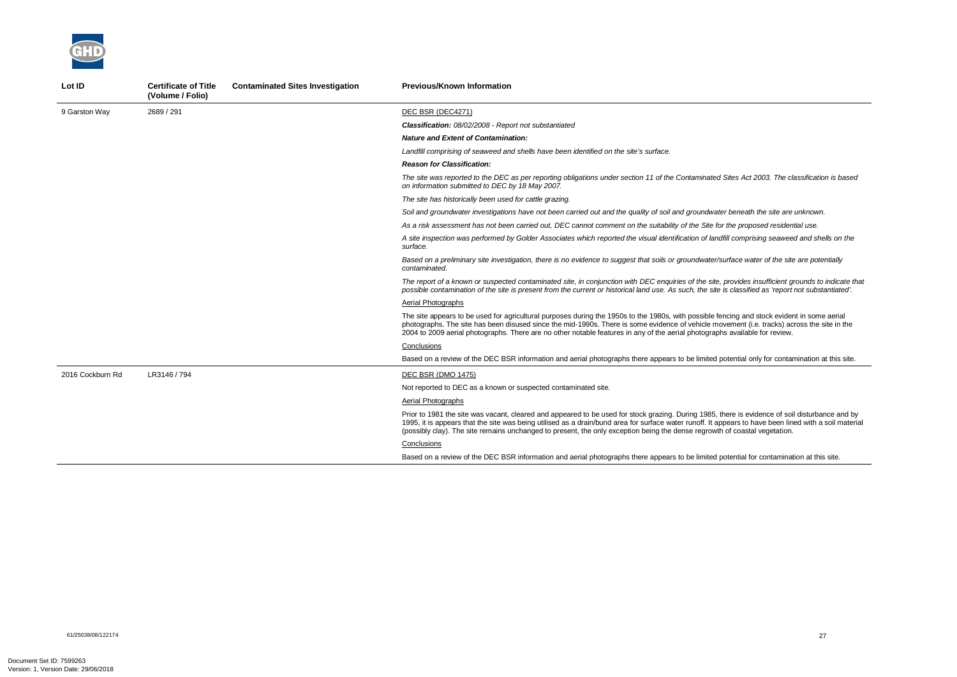*The site was reported to the DEC as per reporting obligations under section 11 of the Contaminated Sites Act 2003. The classification is based* 

beneath the site are unknown.

*As a risk assessment has not been carried out, DEC cannot comment on the suitability of the Site for the proposed residential use.* 

*A site inspection was performed by Golder Associates which reported the visual identification of landfill comprising seaweed and shells on the* 

*Based on a preliminary site investigation, there is no evidence to suggest that soils or groundwater/surface water of the site are potentially* 



| Lot ID           | <b>Certificate of Title</b><br>(Volume / Folio) | <b>Contaminated Sites Investigation</b> | <b>Previous/Known Information</b>                                                                                                                                                                                                                                                                                              |
|------------------|-------------------------------------------------|-----------------------------------------|--------------------------------------------------------------------------------------------------------------------------------------------------------------------------------------------------------------------------------------------------------------------------------------------------------------------------------|
| 9 Garston Way    | 2689 / 291                                      |                                         | DEC BSR (DEC4271)                                                                                                                                                                                                                                                                                                              |
|                  |                                                 |                                         | <b>Classification: 08/02/2008 - Report not substantiated</b>                                                                                                                                                                                                                                                                   |
|                  |                                                 |                                         | <b>Nature and Extent of Contamination:</b>                                                                                                                                                                                                                                                                                     |
|                  |                                                 |                                         | Landfill comprising of seaweed and shells have been identified on the site's surface.                                                                                                                                                                                                                                          |
|                  |                                                 |                                         | <b>Reason for Classification:</b>                                                                                                                                                                                                                                                                                              |
|                  |                                                 |                                         | The site was reported to the DEC as per reporting obligations under section 11 of the Contaminated Si<br>on information submitted to DEC by 18 May 2007.                                                                                                                                                                       |
|                  |                                                 |                                         | The site has historically been used for cattle grazing.                                                                                                                                                                                                                                                                        |
|                  |                                                 |                                         | Soil and groundwater investigations have not been carried out and the quality of soil and groundwater                                                                                                                                                                                                                          |
|                  |                                                 |                                         | As a risk assessment has not been carried out, DEC cannot comment on the suitability of the Site for ti                                                                                                                                                                                                                        |
|                  |                                                 |                                         | A site inspection was performed by Golder Associates which reported the visual identification of landfill<br>surface.                                                                                                                                                                                                          |
|                  |                                                 |                                         | Based on a preliminary site investigation, there is no evidence to suggest that soils or groundwater/sur<br>contaminated.                                                                                                                                                                                                      |
|                  |                                                 |                                         | The report of a known or suspected contaminated site, in conjunction with DEC enquiries of the site, pr<br>possible contamination of the site is present from the current or historical land use. As such, the site is                                                                                                         |
|                  |                                                 |                                         | Aerial Photographs                                                                                                                                                                                                                                                                                                             |
|                  |                                                 |                                         | The site appears to be used for agricultural purposes during the 1950s to the 1980s, with possible fend<br>photographs. The site has been disused since the mid-1990s. There is some evidence of vehicle move<br>2004 to 2009 aerial photographs. There are no other notable features in any of the aerial photographs         |
|                  |                                                 |                                         | Conclusions                                                                                                                                                                                                                                                                                                                    |
|                  |                                                 |                                         | Based on a review of the DEC BSR information and aerial photographs there appears to be limited pot                                                                                                                                                                                                                            |
| 2016 Cockburn Rd | LR3146 / 794                                    |                                         | DEC BSR (DMO 1475)                                                                                                                                                                                                                                                                                                             |
|                  |                                                 |                                         | Not reported to DEC as a known or suspected contaminated site.                                                                                                                                                                                                                                                                 |
|                  |                                                 |                                         | Aerial Photographs                                                                                                                                                                                                                                                                                                             |
|                  |                                                 |                                         | Prior to 1981 the site was vacant, cleared and appeared to be used for stock grazing. During 1985, the<br>1995, it is appears that the site was being utilised as a drain/bund area for surface water runoff. It appe<br>(possibly clay). The site remains unchanged to present, the only exception being the dense regrowth o |
|                  |                                                 |                                         | Conclusions                                                                                                                                                                                                                                                                                                                    |
|                  |                                                 |                                         | Based on a review of the DEC BSR information and aerial photographs there appears to be limited pot                                                                                                                                                                                                                            |

*The report of a known or suspected contaminated site, in conjunction with DEC enquiries of the site, provides insufficient grounds to indicate that possible contamination of the site is present from the current or historical land use. As such, the site is classified as 'report not substantiated'.* 

cing and stock evident in some aerial ement (i.e. tracks) across the site in the available for review.

tential only for contamination at this site.

ere is evidence of soil disturbance and by ears to have been lined with a soil material  $\widetilde{f}$  coastal vegetation.

tential for contamination at this site.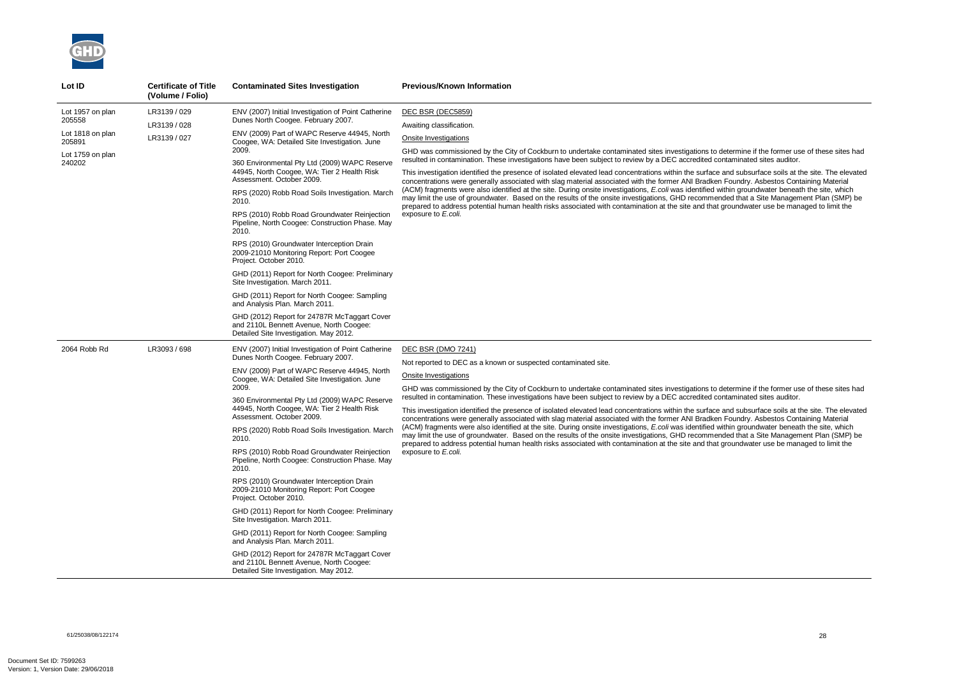

| Lot ID                                                                                 | <b>Certificate of Title</b><br>(Volume / Folio) | <b>Contaminated Sites Investigation</b>                                                                                                                                                                                                                                                                                                                                                                                                                                                                                                                                                                                                                                                                                                                                                                                                                                                                                                   | <b>Previous/Known Information</b>                                                                                                                                                                                                                                                                                                                                                                                                                                                                                                                                                                                                                                                                                                                                                                                                                                                                                                                                                                                                                                                                                                                                               |
|----------------------------------------------------------------------------------------|-------------------------------------------------|-------------------------------------------------------------------------------------------------------------------------------------------------------------------------------------------------------------------------------------------------------------------------------------------------------------------------------------------------------------------------------------------------------------------------------------------------------------------------------------------------------------------------------------------------------------------------------------------------------------------------------------------------------------------------------------------------------------------------------------------------------------------------------------------------------------------------------------------------------------------------------------------------------------------------------------------|---------------------------------------------------------------------------------------------------------------------------------------------------------------------------------------------------------------------------------------------------------------------------------------------------------------------------------------------------------------------------------------------------------------------------------------------------------------------------------------------------------------------------------------------------------------------------------------------------------------------------------------------------------------------------------------------------------------------------------------------------------------------------------------------------------------------------------------------------------------------------------------------------------------------------------------------------------------------------------------------------------------------------------------------------------------------------------------------------------------------------------------------------------------------------------|
| Lot 1957 on plan<br>205558<br>Lot 1818 on plan<br>205891<br>Lot 1759 on plan<br>240202 | LR3139 / 029<br>LR3139 / 028<br>LR3139 / 027    | ENV (2007) Initial Investigation of Point Catherine<br>Dunes North Coogee. February 2007.<br>ENV (2009) Part of WAPC Reserve 44945, North<br>Coogee, WA: Detailed Site Investigation. June<br>2009.<br>360 Environmental Pty Ltd (2009) WAPC Reserve<br>44945, North Coogee, WA: Tier 2 Health Risk<br>Assessment. October 2009.<br>RPS (2020) Robb Road Soils Investigation. March<br>2010.<br>RPS (2010) Robb Road Groundwater Reinjection<br>Pipeline, North Coogee: Construction Phase. May<br>2010.<br>RPS (2010) Groundwater Interception Drain<br>2009-21010 Monitoring Report: Port Coogee<br>Project. October 2010.<br>GHD (2011) Report for North Coogee: Preliminary<br>Site Investigation. March 2011.<br>GHD (2011) Report for North Coogee: Sampling<br>and Analysis Plan. March 2011.<br>GHD (2012) Report for 24787R McTaggart Cover<br>and 2110L Bennett Avenue, North Coogee:<br>Detailed Site Investigation. May 2012. | DEC BSR (DEC5859)<br>Awaiting classification.<br>Onsite Investigations<br>GHD was commissioned by the City of Cockburn to undertake contaminated sites investigations to determine if the former use of these sites had<br>resulted in contamination. These investigations have been subject to review by a DEC accredited contaminated sites auditor.<br>This investigation identified the presence of isolated elevated lead concentrations within the surface and subsurface soils at the site. The elevate<br>concentrations were generally associated with slag material associated with the former ANI Bradken Foundry. Asbestos Containing Material<br>(ACM) fragments were also identified at the site. During onsite investigations, E.coli was identified within groundwater beneath the site, which<br>may limit the use of groundwater. Based on the results of the onsite investigations, GHD recommended that a Site Management Plan (SMP) be<br>prepared to address potential human health risks associated with contamination at the site and that groundwater use be managed to limit the<br>exposure to E.coli.                                               |
| 2064 Robb Rd                                                                           | LR3093 / 698                                    | ENV (2007) Initial Investigation of Point Catherine<br>Dunes North Coogee. February 2007.<br>ENV (2009) Part of WAPC Reserve 44945, North<br>Coogee, WA: Detailed Site Investigation. June<br>2009.<br>360 Environmental Pty Ltd (2009) WAPC Reserve<br>44945, North Coogee, WA: Tier 2 Health Risk<br>Assessment. October 2009.<br>RPS (2020) Robb Road Soils Investigation. March<br>2010.<br>RPS (2010) Robb Road Groundwater Reinjection<br>Pipeline, North Coogee: Construction Phase. May<br>2010.<br>RPS (2010) Groundwater Interception Drain<br>2009-21010 Monitoring Report: Port Coogee<br>Project. October 2010.<br>GHD (2011) Report for North Coogee: Preliminary<br>Site Investigation. March 2011.<br>GHD (2011) Report for North Coogee: Sampling<br>and Analysis Plan. March 2011.<br>GHD (2012) Report for 24787R McTaggart Cover<br>and 2110L Bennett Avenue, North Coogee:<br>Detailed Site Investigation. May 2012. | <b>DEC BSR (DMO 7241)</b><br>Not reported to DEC as a known or suspected contaminated site.<br>Onsite Investigations<br>GHD was commissioned by the City of Cockburn to undertake contaminated sites investigations to determine if the former use of these sites hac<br>resulted in contamination. These investigations have been subject to review by a DEC accredited contaminated sites auditor.<br>This investigation identified the presence of isolated elevated lead concentrations within the surface and subsurface soils at the site. The elevate<br>concentrations were generally associated with slag material associated with the former ANI Bradken Foundry. Asbestos Containing Material<br>(ACM) fragments were also identified at the site. During onsite investigations, E.coli was identified within groundwater beneath the site, which<br>may limit the use of groundwater. Based on the results of the onsite investigations, GHD recommended that a Site Management Plan (SMP) be<br>prepared to address potential human health risks associated with contamination at the site and that groundwater use be managed to limit the<br>exposure to E.coli. |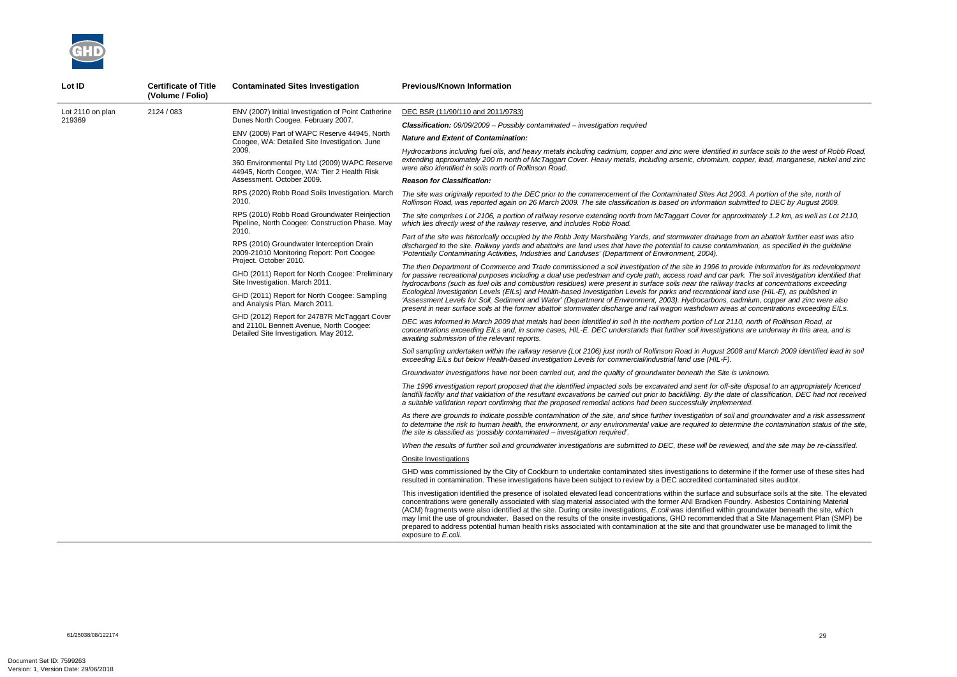*Hydrocarbons including fuel oils, and heavy metals including cadmium, copper and zinc were identified in surface soils to the west of Robb Road, extending approximately 200 m north of McTaggart Cover. Heavy metals, including arsenic, chromium, copper, lead, manganese, nickel and zinc* 

*The site was originally reported to the DEC prior to the commencement of the Contaminated Sites Act 2003. A portion of the site, north of Rollinson Road, was reported again on 26 March 2009. The site classification is based on information submitted to DEC by August 2009.* 

*The site comprises Lot 2106, a portion of railway reserve extending north from McTaggart Cover for approximately 1.2 km, as well as Lot 2110,* 

*As there are grounds to indicate possible contamination of the site, and since further investigation of soil and groundwater and a risk assessment*  determine the contamination status of the site,

*Part of the site was historically occupied by the Robb Jetty Marshalling Yards, and stormwater drainage from an abattoir further east was also discharged to the site. Railway yards and abattoirs are land uses that have the potential to cause contamination, as specified in the guideline* 

*The then Department of Commerce and Trade commissioned a soil investigation of the site in 1996 to provide information for its redevelopment for passive recreational purposes including a dual use pedestrian and cycle path, access road and car park. The soil investigation identified that hydrocarbons (such as fuel oils and combustion residues) were present in surface soils near the railway tracks at concentrations exceeding Ecological Investigation Levels (EILs) and Health-based Investigation Levels for parks and recreational land use (HIL-E), as published in 'Assessment Levels for Soil, Sediment and Water' (Department of Environment, 2003). Hydrocarbons, cadmium, copper and zinc were also present in near surface soils at the former abattoir stormwater discharge and rail wagon washdown areas at concentrations exceeding EILs.* 



| Lot ID                     | <b>Certificate of Title</b><br>(Volume / Folio) | <b>Contaminated Sites Investigation</b>                                                                                                                                                                                             | <b>Previous/Known Information</b>                                                                                                                                                                                                                                                                                                                                                                                                                                                                                                                                                                            |                                                                                                                                                                                                                                                                                                                                                |
|----------------------------|-------------------------------------------------|-------------------------------------------------------------------------------------------------------------------------------------------------------------------------------------------------------------------------------------|--------------------------------------------------------------------------------------------------------------------------------------------------------------------------------------------------------------------------------------------------------------------------------------------------------------------------------------------------------------------------------------------------------------------------------------------------------------------------------------------------------------------------------------------------------------------------------------------------------------|------------------------------------------------------------------------------------------------------------------------------------------------------------------------------------------------------------------------------------------------------------------------------------------------------------------------------------------------|
| Lot 2110 on plan<br>219369 | 2124 / 083                                      |                                                                                                                                                                                                                                     | ENV (2007) Initial Investigation of Point Catherine                                                                                                                                                                                                                                                                                                                                                                                                                                                                                                                                                          | DEC BSR (11/90/110 and 2011/9783)                                                                                                                                                                                                                                                                                                              |
|                            |                                                 | Dunes North Coogee. February 2007.                                                                                                                                                                                                  | <b>Classification:</b> 09/09/2009 - Possibly contaminated - investigation required                                                                                                                                                                                                                                                                                                                                                                                                                                                                                                                           |                                                                                                                                                                                                                                                                                                                                                |
|                            |                                                 | ENV (2009) Part of WAPC Reserve 44945, North<br>Coogee, WA: Detailed Site Investigation. June<br>2009.<br>360 Environmental Pty Ltd (2009) WAPC Reserve<br>44945, North Coogee, WA: Tier 2 Health Risk<br>Assessment. October 2009. | <b>Nature and Extent of Contamination:</b>                                                                                                                                                                                                                                                                                                                                                                                                                                                                                                                                                                   |                                                                                                                                                                                                                                                                                                                                                |
|                            |                                                 |                                                                                                                                                                                                                                     | Hydrocarbons including fuel oils, and heavy metals including cadmium, copper and zinc were identified in surfa<br>extending approximately 200 m north of McTaggart Cover. Heavy metals, including arsenic, chromium, copper<br>were also identified in soils north of Rollinson Road.                                                                                                                                                                                                                                                                                                                        |                                                                                                                                                                                                                                                                                                                                                |
|                            |                                                 |                                                                                                                                                                                                                                     | <b>Reason for Classification:</b>                                                                                                                                                                                                                                                                                                                                                                                                                                                                                                                                                                            |                                                                                                                                                                                                                                                                                                                                                |
|                            |                                                 | RPS (2020) Robb Road Soils Investigation. March<br>2010.                                                                                                                                                                            | The site was originally reported to the DEC prior to the commencement of the Contaminated Sites Act 2003. A<br>Rollinson Road, was reported again on 26 March 2009. The site classification is based on information submitte                                                                                                                                                                                                                                                                                                                                                                                 |                                                                                                                                                                                                                                                                                                                                                |
|                            |                                                 | RPS (2010) Robb Road Groundwater Reinjection<br>Pipeline, North Coogee: Construction Phase. May                                                                                                                                     | The site comprises Lot 2106, a portion of railway reserve extending north from McTaggart Cover for approxima<br>which lies directly west of the railway reserve, and includes Robb Road.                                                                                                                                                                                                                                                                                                                                                                                                                     |                                                                                                                                                                                                                                                                                                                                                |
|                            |                                                 | 2010.<br>RPS (2010) Groundwater Interception Drain<br>2009-21010 Monitoring Report: Port Coogee                                                                                                                                     | Part of the site was historically occupied by the Robb Jetty Marshalling Yards, and stormwater drainage from a<br>discharged to the site. Railway yards and abattoirs are land uses that have the potential to cause contaminatio<br>'Potentially Contaminating Activities, Industries and Landuses' (Department of Environment, 2004).                                                                                                                                                                                                                                                                      |                                                                                                                                                                                                                                                                                                                                                |
|                            |                                                 |                                                                                                                                                                                                                                     | Project. October 2010.<br>GHD (2011) Report for North Coogee: Preliminary<br>Site Investigation. March 2011.                                                                                                                                                                                                                                                                                                                                                                                                                                                                                                 | The then Department of Commerce and Trade commissioned a soil investigation of the site in 1996 to provide<br>for passive recreational purposes including a dual use pedestrian and cycle path, access road and car park. Tl<br>hydrocarbons (such as fuel oils and combustion residues) were present in surface soils near the railway tracks |
|                            |                                                 | GHD (2011) Report for North Coogee: Sampling<br>and Analysis Plan. March 2011.                                                                                                                                                      | Ecological Investigation Levels (EILs) and Health-based Investigation Levels for parks and recreational land us<br>'Assessment Levels for Soil, Sediment and Water' (Department of Environment, 2003). Hydrocarbons, cadmiu.<br>present in near surface soils at the former abattoir stormwater discharge and rail wagon washdown areas at co                                                                                                                                                                                                                                                                |                                                                                                                                                                                                                                                                                                                                                |
|                            |                                                 | GHD (2012) Report for 24787R McTaggart Cover<br>and 2110L Bennett Avenue, North Coogee:<br>Detailed Site Investigation. May 2012.                                                                                                   | DEC was informed in March 2009 that metals had been identified in soil in the northern portion of Lot 2110, no<br>concentrations exceeding EILs and, in some cases, HIL-E. DEC understands that further soil investigations are<br>awaiting submission of the relevant reports.                                                                                                                                                                                                                                                                                                                              |                                                                                                                                                                                                                                                                                                                                                |
|                            |                                                 |                                                                                                                                                                                                                                     | Soil sampling undertaken within the railway reserve (Lot 2106) just north of Rollinson Road in August 2008 and<br>exceeding EILs but below Health-based Investigation Levels for commercial/industrial land use (HIL-F).                                                                                                                                                                                                                                                                                                                                                                                     |                                                                                                                                                                                                                                                                                                                                                |
|                            |                                                 |                                                                                                                                                                                                                                     | Groundwater investigations have not been carried out, and the quality of groundwater beneath the Site is unkn                                                                                                                                                                                                                                                                                                                                                                                                                                                                                                |                                                                                                                                                                                                                                                                                                                                                |
|                            |                                                 |                                                                                                                                                                                                                                     | The 1996 investigation report proposed that the identified impacted soils be excavated and sent for off-site disp<br>landfill facility and that validation of the resultant excavations be carried out prior to backfilling. By the date of c<br>a suitable validation report confirming that the proposed remedial actions had been successfully implemented.                                                                                                                                                                                                                                               |                                                                                                                                                                                                                                                                                                                                                |
|                            |                                                 |                                                                                                                                                                                                                                     | As there are grounds to indicate possible contamination of the site, and since further investigation of soil and g<br>to determine the risk to human health, the environment, or any environmental value are required to determine<br>the site is classified as 'possibly contaminated - investigation required'.                                                                                                                                                                                                                                                                                            |                                                                                                                                                                                                                                                                                                                                                |
|                            |                                                 |                                                                                                                                                                                                                                     | When the results of further soil and groundwater investigations are submitted to DEC, these will be reviewed, a                                                                                                                                                                                                                                                                                                                                                                                                                                                                                              |                                                                                                                                                                                                                                                                                                                                                |
|                            |                                                 |                                                                                                                                                                                                                                     | Onsite Investigations                                                                                                                                                                                                                                                                                                                                                                                                                                                                                                                                                                                        |                                                                                                                                                                                                                                                                                                                                                |
|                            |                                                 |                                                                                                                                                                                                                                     | GHD was commissioned by the City of Cockburn to undertake contaminated sites investigations to determine i<br>resulted in contamination. These investigations have been subject to review by a DEC accredited contaminated                                                                                                                                                                                                                                                                                                                                                                                   |                                                                                                                                                                                                                                                                                                                                                |
|                            |                                                 |                                                                                                                                                                                                                                     | This investigation identified the presence of isolated elevated lead concentrations within the surface and subsu<br>concentrations were generally associated with slag material associated with the former ANI Bradken Foundry.<br>(ACM) fragments were also identified at the site. During onsite investigations, E.coli was identified within groun<br>may limit the use of groundwater. Based on the results of the onsite investigations, GHD recommended that a<br>prepared to address potential human health risks associated with contamination at the site and that groundwat<br>exposure to E.coli. |                                                                                                                                                                                                                                                                                                                                                |

*DEC was informed in March 2009 that metals had been identified in soil in the northern portion of Lot 2110, north of Rollinson Road, at concentrations exceeding EILs and, in some cases, HIL-E. DEC understands that further soil investigations are underway in this area, and is* 

*Soil sampling undertaken within the railway reserve (Lot 2106) just north of Rollinson Road in August 2008 and March 2009 identified lead in soil* 

*Groundwater investigations have not been carried out, and the quality of groundwater beneath the Site is unknown.* 

*The 1996 investigation report proposed that the identified impacted soils be excavated and sent for off-site disposal to an appropriately licenced landfill facility and that validation of the resultant excavations be carried out prior to backfilling. By the date of classification, DEC had not received* 

*When the results of further soil and groundwater investigations are submitted to DEC, these will be reviewed, and the site may be re-classified.* 

letermine if the former use of these sites had ntaminated sites auditor.

and subsurface soils at the site. The elevated Foundry. Asbestos Containing Material ithin groundwater beneath the site, which ded that a Site Management Plan (SMP) be groundwater use be managed to limit the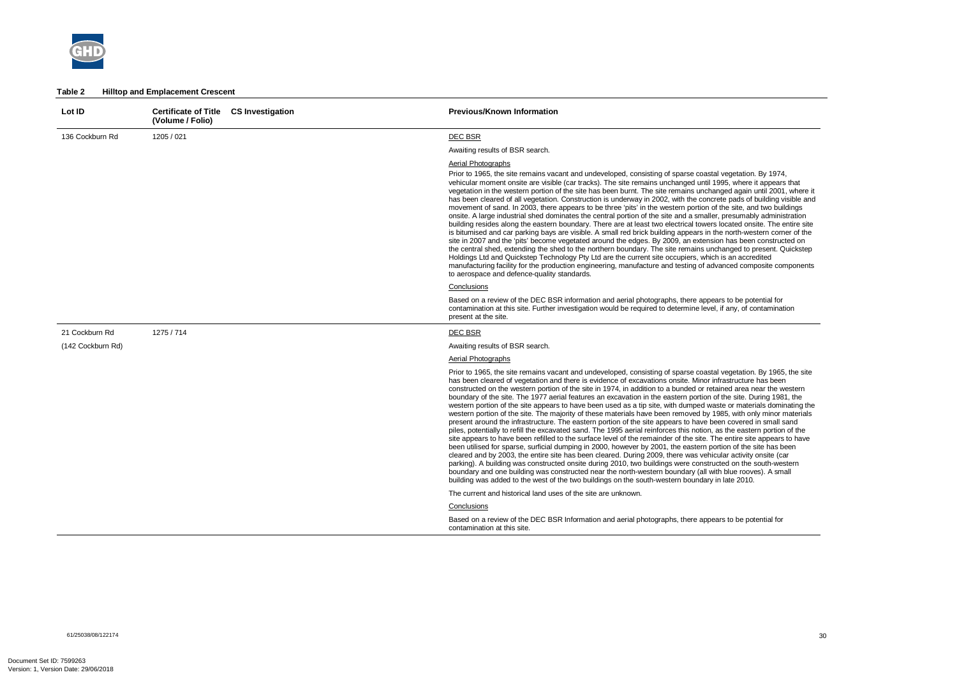

#### **Table 2 Hilltop and Emplacement Crescent**

| Lot ID            | <b>Certificate of Title</b><br>(Volume / Folio) | <b>CS Investigation</b> | <b>Previous/Known Information</b>                                                                                                                                                                                                                                                                                                                                                                                                                                                                                                                                                                                                                                                                                                                                                                                                                                                                                                                                                                                                                                                                                                                                                                                                                                                                                                                                                                                                                                                                                                                                                                                                                          |
|-------------------|-------------------------------------------------|-------------------------|------------------------------------------------------------------------------------------------------------------------------------------------------------------------------------------------------------------------------------------------------------------------------------------------------------------------------------------------------------------------------------------------------------------------------------------------------------------------------------------------------------------------------------------------------------------------------------------------------------------------------------------------------------------------------------------------------------------------------------------------------------------------------------------------------------------------------------------------------------------------------------------------------------------------------------------------------------------------------------------------------------------------------------------------------------------------------------------------------------------------------------------------------------------------------------------------------------------------------------------------------------------------------------------------------------------------------------------------------------------------------------------------------------------------------------------------------------------------------------------------------------------------------------------------------------------------------------------------------------------------------------------------------------|
| 136 Cockburn Rd   | 1205 / 021                                      |                         | <b>DEC BSR</b>                                                                                                                                                                                                                                                                                                                                                                                                                                                                                                                                                                                                                                                                                                                                                                                                                                                                                                                                                                                                                                                                                                                                                                                                                                                                                                                                                                                                                                                                                                                                                                                                                                             |
|                   |                                                 |                         | Awaiting results of BSR search.                                                                                                                                                                                                                                                                                                                                                                                                                                                                                                                                                                                                                                                                                                                                                                                                                                                                                                                                                                                                                                                                                                                                                                                                                                                                                                                                                                                                                                                                                                                                                                                                                            |
|                   |                                                 |                         | <b>Aerial Photographs</b><br>Prior to 1965, the site remains vacant and undeveloped, consisting of sparse coastal vegetation. By 1974,<br>vehicular moment onsite are visible (car tracks). The site remains unchanged until 1995, where it appears that<br>vegetation in the western portion of the site has been burnt. The site remains unchanged again until 2001, where it<br>has been cleared of all vegetation. Construction is underway in 2002, with the concrete pads of building visible and<br>movement of sand. In 2003, there appears to be three 'pits' in the western portion of the site, and two buildings<br>onsite. A large industrial shed dominates the central portion of the site and a smaller, presumably administration<br>building resides along the eastern boundary. There are at least two electrical towers located onsite. The entire site<br>is bitumised and car parking bays are visible. A small red brick building appears in the north-western corner of the<br>site in 2007 and the 'pits' become vegetated around the edges. By 2009, an extension has been constructed on<br>the central shed, extending the shed to the northern boundary. The site remains unchanged to present. Quickstep<br>Holdings Ltd and Quickstep Technology Pty Ltd are the current site occupiers, which is an accredited<br>manufacturing facility for the production engineering, manufacture and testing of advanced composite components<br>to aerospace and defence-quality standards.                                                                                                                                           |
|                   |                                                 |                         | Conclusions                                                                                                                                                                                                                                                                                                                                                                                                                                                                                                                                                                                                                                                                                                                                                                                                                                                                                                                                                                                                                                                                                                                                                                                                                                                                                                                                                                                                                                                                                                                                                                                                                                                |
|                   |                                                 |                         | Based on a review of the DEC BSR information and aerial photographs, there appears to be potential for<br>contamination at this site. Further investigation would be required to determine level, if any, of contamination<br>present at the site.                                                                                                                                                                                                                                                                                                                                                                                                                                                                                                                                                                                                                                                                                                                                                                                                                                                                                                                                                                                                                                                                                                                                                                                                                                                                                                                                                                                                         |
| 21 Cockburn Rd    | 1275 / 714                                      |                         | DEC BSR                                                                                                                                                                                                                                                                                                                                                                                                                                                                                                                                                                                                                                                                                                                                                                                                                                                                                                                                                                                                                                                                                                                                                                                                                                                                                                                                                                                                                                                                                                                                                                                                                                                    |
| (142 Cockburn Rd) |                                                 |                         | Awaiting results of BSR search.                                                                                                                                                                                                                                                                                                                                                                                                                                                                                                                                                                                                                                                                                                                                                                                                                                                                                                                                                                                                                                                                                                                                                                                                                                                                                                                                                                                                                                                                                                                                                                                                                            |
|                   |                                                 |                         | <b>Aerial Photographs</b>                                                                                                                                                                                                                                                                                                                                                                                                                                                                                                                                                                                                                                                                                                                                                                                                                                                                                                                                                                                                                                                                                                                                                                                                                                                                                                                                                                                                                                                                                                                                                                                                                                  |
|                   |                                                 |                         | Prior to 1965, the site remains vacant and undeveloped, consisting of sparse coastal vegetation. By 1965, the site<br>has been cleared of vegetation and there is evidence of excavations onsite. Minor infrastructure has been<br>constructed on the western portion of the site in 1974, in addition to a bunded or retained area near the western<br>boundary of the site. The 1977 aerial features an excavation in the eastern portion of the site. During 1981, the<br>western portion of the site appears to have been used as a tip site, with dumped waste or materials dominating the<br>western portion of the site. The majority of these materials have been removed by 1985, with only minor materials<br>present around the infrastructure. The eastern portion of the site appears to have been covered in small sand<br>piles, potentially to refill the excavated sand. The 1995 aerial reinforces this notion, as the eastern portion of the<br>site appears to have been refilled to the surface level of the remainder of the site. The entire site appears to have<br>been utilised for sparse, surficial dumping in 2000, however by 2001, the eastern portion of the site has been<br>cleared and by 2003, the entire site has been cleared. During 2009, there was vehicular activity onsite (car<br>parking). A building was constructed onsite during 2010, two buildings were constructed on the south-western<br>boundary and one building was constructed near the north-western boundary (all with blue rooves). A small<br>building was added to the west of the two buildings on the south-western boundary in late 2010. |
|                   |                                                 |                         | The current and historical land uses of the site are unknown.                                                                                                                                                                                                                                                                                                                                                                                                                                                                                                                                                                                                                                                                                                                                                                                                                                                                                                                                                                                                                                                                                                                                                                                                                                                                                                                                                                                                                                                                                                                                                                                              |
|                   |                                                 |                         | Conclusions                                                                                                                                                                                                                                                                                                                                                                                                                                                                                                                                                                                                                                                                                                                                                                                                                                                                                                                                                                                                                                                                                                                                                                                                                                                                                                                                                                                                                                                                                                                                                                                                                                                |
|                   |                                                 |                         | Based on a review of the DEC BSR Information and aerial photographs, there appears to be potential for<br>contamination at this site.                                                                                                                                                                                                                                                                                                                                                                                                                                                                                                                                                                                                                                                                                                                                                                                                                                                                                                                                                                                                                                                                                                                                                                                                                                                                                                                                                                                                                                                                                                                      |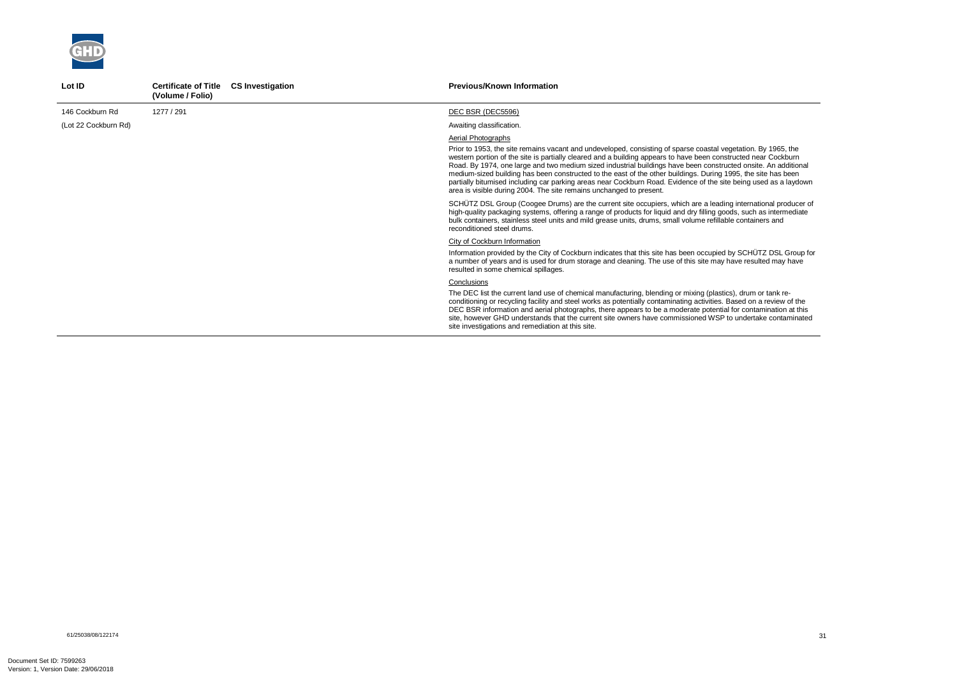

| Lot ID               | <b>Certificate of Title</b><br>(Volume / Folio) | <b>CS Investigation</b> | <b>Previous/Known Information</b>                                                                                                                                                                                                                                                                                                                                                                                                                                                                                                                                                                                                                                                   |
|----------------------|-------------------------------------------------|-------------------------|-------------------------------------------------------------------------------------------------------------------------------------------------------------------------------------------------------------------------------------------------------------------------------------------------------------------------------------------------------------------------------------------------------------------------------------------------------------------------------------------------------------------------------------------------------------------------------------------------------------------------------------------------------------------------------------|
| 146 Cockburn Rd      | 1277 / 291                                      |                         | DEC BSR (DEC5596)                                                                                                                                                                                                                                                                                                                                                                                                                                                                                                                                                                                                                                                                   |
| (Lot 22 Cockburn Rd) |                                                 |                         | Awaiting classification.                                                                                                                                                                                                                                                                                                                                                                                                                                                                                                                                                                                                                                                            |
|                      |                                                 |                         | Aerial Photographs<br>Prior to 1953, the site remains vacant and undeveloped, consisting of sparse coastal vegetation. By 1965, the<br>western portion of the site is partially cleared and a building appears to have been constructed near Cockburn<br>Road. By 1974, one large and two medium sized industrial buildings have been constructed onsite. An additional<br>medium-sized building has been constructed to the east of the other buildings. During 1995, the site has been<br>partially bitumised including car parking areas near Cockburn Road. Evidence of the site being used as a laydown<br>area is visible during 2004. The site remains unchanged to present. |
|                      |                                                 |                         | SCHÜTZ DSL Group (Coogee Drums) are the current site occupiers, which are a leading international producer of<br>high-quality packaging systems, offering a range of products for liquid and dry filling goods, such as intermediate<br>bulk containers, stainless steel units and mild grease units, drums, small volume refillable containers and<br>reconditioned steel drums.                                                                                                                                                                                                                                                                                                   |
|                      |                                                 |                         | City of Cockburn Information<br>Information provided by the City of Cockburn indicates that this site has been occupied by SCHÜTZ DSL Group for<br>a number of years and is used for drum storage and cleaning. The use of this site may have resulted may have<br>resulted in some chemical spillages.                                                                                                                                                                                                                                                                                                                                                                             |
|                      |                                                 |                         | Conclusions<br>The DEC list the current land use of chemical manufacturing, blending or mixing (plastics), drum or tank re-<br>conditioning or recycling facility and steel works as potentially contaminating activities. Based on a review of the<br>DEC BSR information and aerial photographs, there appears to be a moderate potential for contamination at this<br>site, however GHD understands that the current site owners have commissioned WSP to undertake contaminated<br>site investigations and remediation at this site.                                                                                                                                            |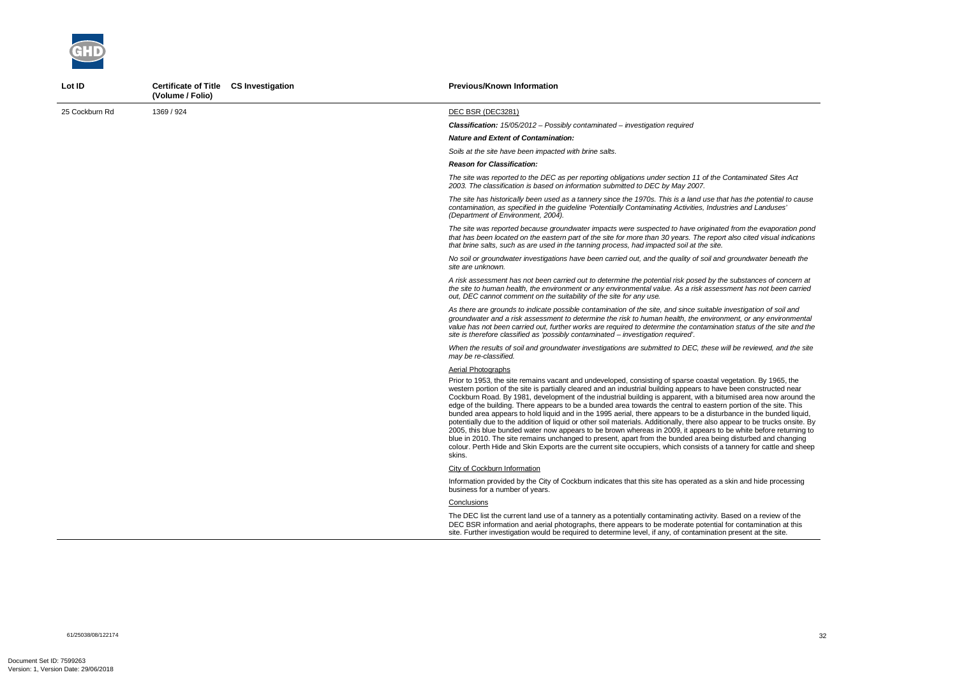

| Lot ID         | Certificate of Title CS Investigation<br>(Volume / Folio) | <b>Previous/Known Information</b>                                                                                                                                                                                                                                                                                                                                                                                                                                                                                                                                                                                                                                                                                                                                                                                                                                                                                                                                                                                                                                                                    |
|----------------|-----------------------------------------------------------|------------------------------------------------------------------------------------------------------------------------------------------------------------------------------------------------------------------------------------------------------------------------------------------------------------------------------------------------------------------------------------------------------------------------------------------------------------------------------------------------------------------------------------------------------------------------------------------------------------------------------------------------------------------------------------------------------------------------------------------------------------------------------------------------------------------------------------------------------------------------------------------------------------------------------------------------------------------------------------------------------------------------------------------------------------------------------------------------------|
| 25 Cockburn Rd | 1369 / 924                                                | DEC BSR (DEC3281)                                                                                                                                                                                                                                                                                                                                                                                                                                                                                                                                                                                                                                                                                                                                                                                                                                                                                                                                                                                                                                                                                    |
|                |                                                           | <b>Classification:</b> $15/05/2012$ - Possibly contaminated - investigation required                                                                                                                                                                                                                                                                                                                                                                                                                                                                                                                                                                                                                                                                                                                                                                                                                                                                                                                                                                                                                 |
|                |                                                           | <b>Nature and Extent of Contamination:</b>                                                                                                                                                                                                                                                                                                                                                                                                                                                                                                                                                                                                                                                                                                                                                                                                                                                                                                                                                                                                                                                           |
|                |                                                           | Soils at the site have been impacted with brine salts.                                                                                                                                                                                                                                                                                                                                                                                                                                                                                                                                                                                                                                                                                                                                                                                                                                                                                                                                                                                                                                               |
|                |                                                           | <b>Reason for Classification:</b>                                                                                                                                                                                                                                                                                                                                                                                                                                                                                                                                                                                                                                                                                                                                                                                                                                                                                                                                                                                                                                                                    |
|                |                                                           | The site was reported to the DEC as per reporting obligations under section 11 of the Contaminated Sites Act<br>2003. The classification is based on information submitted to DEC by May 2007.                                                                                                                                                                                                                                                                                                                                                                                                                                                                                                                                                                                                                                                                                                                                                                                                                                                                                                       |
|                |                                                           | The site has historically been used as a tannery since the 1970s. This is a land use that has the potential to cause<br>contamination, as specified in the guideline 'Potentially Contaminating Activities, Industries and Landuses'<br>(Department of Environment, 2004).                                                                                                                                                                                                                                                                                                                                                                                                                                                                                                                                                                                                                                                                                                                                                                                                                           |
|                |                                                           | The site was reported because groundwater impacts were suspected to have originated from the evaporation pond<br>that has been located on the eastern part of the site for more than 30 years. The report also cited visual indications<br>that brine salts, such as are used in the tanning process, had impacted soil at the site.                                                                                                                                                                                                                                                                                                                                                                                                                                                                                                                                                                                                                                                                                                                                                                 |
|                |                                                           | No soil or groundwater investigations have been carried out, and the quality of soil and groundwater beneath the<br>site are unknown.                                                                                                                                                                                                                                                                                                                                                                                                                                                                                                                                                                                                                                                                                                                                                                                                                                                                                                                                                                |
|                |                                                           | A risk assessment has not been carried out to determine the potential risk posed by the substances of concern at<br>the site to human health, the environment or any environmental value. As a risk assessment has not been carried<br>out, DEC cannot comment on the suitability of the site for any use.                                                                                                                                                                                                                                                                                                                                                                                                                                                                                                                                                                                                                                                                                                                                                                                           |
|                |                                                           | As there are grounds to indicate possible contamination of the site, and since suitable investigation of soil and<br>groundwater and a risk assessment to determine the risk to human health, the environment, or any environmental<br>value has not been carried out, further works are required to determine the contamination status of the site and the<br>site is therefore classified as 'possibly contaminated – investigation required'.                                                                                                                                                                                                                                                                                                                                                                                                                                                                                                                                                                                                                                                     |
|                |                                                           | When the results of soil and groundwater investigations are submitted to DEC, these will be reviewed, and the site<br>may be re-classified.                                                                                                                                                                                                                                                                                                                                                                                                                                                                                                                                                                                                                                                                                                                                                                                                                                                                                                                                                          |
|                |                                                           | Aerial Photographs                                                                                                                                                                                                                                                                                                                                                                                                                                                                                                                                                                                                                                                                                                                                                                                                                                                                                                                                                                                                                                                                                   |
|                |                                                           | Prior to 1953, the site remains vacant and undeveloped, consisting of sparse coastal vegetation. By 1965, the<br>western portion of the site is partially cleared and an industrial building appears to have been constructed near<br>Cockburn Road. By 1981, development of the industrial building is apparent, with a bitumised area now around the<br>edge of the building. There appears to be a bunded area towards the central to eastern portion of the site. This<br>bunded area appears to hold liquid and in the 1995 aerial, there appears to be a disturbance in the bunded liquid,<br>potentially due to the addition of liquid or other soil materials. Additionally, there also appear to be trucks onsite. By<br>2005, this blue bunded water now appears to be brown whereas in 2009, it appears to be white before returning to<br>blue in 2010. The site remains unchanged to present, apart from the bunded area being disturbed and changing<br>colour. Perth Hide and Skin Exports are the current site occupiers, which consists of a tannery for cattle and sheep<br>skins. |
|                |                                                           | <b>City of Cockburn Information</b>                                                                                                                                                                                                                                                                                                                                                                                                                                                                                                                                                                                                                                                                                                                                                                                                                                                                                                                                                                                                                                                                  |
|                |                                                           | Information provided by the City of Cockburn indicates that this site has operated as a skin and hide processing<br>business for a number of years.                                                                                                                                                                                                                                                                                                                                                                                                                                                                                                                                                                                                                                                                                                                                                                                                                                                                                                                                                  |
|                |                                                           | Conclusions                                                                                                                                                                                                                                                                                                                                                                                                                                                                                                                                                                                                                                                                                                                                                                                                                                                                                                                                                                                                                                                                                          |
|                |                                                           | The DEC list the current land use of a tannery as a potentially contaminating activity. Based on a review of the<br>DEC BSR information and aerial photographs, there appears to be moderate potential for contamination at this<br>site. Further investigation would be required to determine level, if any, of contamination present at the site.                                                                                                                                                                                                                                                                                                                                                                                                                                                                                                                                                                                                                                                                                                                                                  |

61/25038/08/122174<br>61/25038/08/122174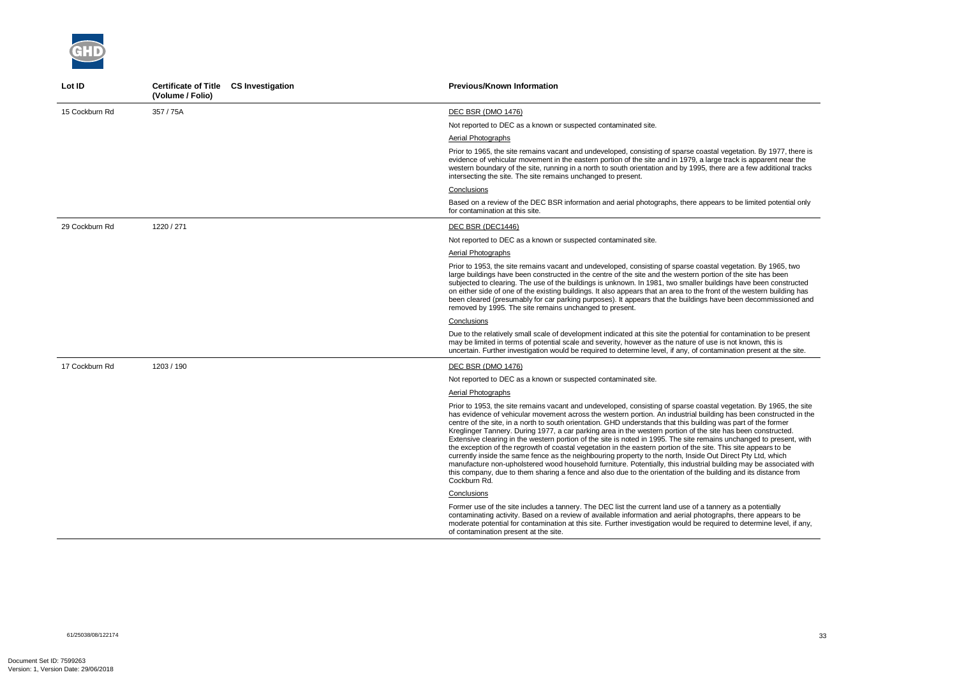

| Lot ID         | Certificate of Title CS Investigation<br>(Volume / Folio) | <b>Previous/Known Information</b>                                                                                                                                                                                                                                                                                                                                                                                                                                                                                                                                                                                                                                                                                                                                                                                                                                                                                                                                                                                                                                                           |
|----------------|-----------------------------------------------------------|---------------------------------------------------------------------------------------------------------------------------------------------------------------------------------------------------------------------------------------------------------------------------------------------------------------------------------------------------------------------------------------------------------------------------------------------------------------------------------------------------------------------------------------------------------------------------------------------------------------------------------------------------------------------------------------------------------------------------------------------------------------------------------------------------------------------------------------------------------------------------------------------------------------------------------------------------------------------------------------------------------------------------------------------------------------------------------------------|
| 15 Cockburn Rd | 357 / 75A                                                 | <b>DEC BSR (DMO 1476)</b>                                                                                                                                                                                                                                                                                                                                                                                                                                                                                                                                                                                                                                                                                                                                                                                                                                                                                                                                                                                                                                                                   |
|                |                                                           | Not reported to DEC as a known or suspected contaminated site.                                                                                                                                                                                                                                                                                                                                                                                                                                                                                                                                                                                                                                                                                                                                                                                                                                                                                                                                                                                                                              |
|                |                                                           | Aerial Photographs                                                                                                                                                                                                                                                                                                                                                                                                                                                                                                                                                                                                                                                                                                                                                                                                                                                                                                                                                                                                                                                                          |
|                |                                                           | Prior to 1965, the site remains vacant and undeveloped, consisting of sparse coastal vegetation. By 1977, there is<br>evidence of vehicular movement in the eastern portion of the site and in 1979, a large track is apparent near the<br>western boundary of the site, running in a north to south orientation and by 1995, there are a few additional tracks<br>intersecting the site. The site remains unchanged to present.                                                                                                                                                                                                                                                                                                                                                                                                                                                                                                                                                                                                                                                            |
|                |                                                           | Conclusions                                                                                                                                                                                                                                                                                                                                                                                                                                                                                                                                                                                                                                                                                                                                                                                                                                                                                                                                                                                                                                                                                 |
|                |                                                           | Based on a review of the DEC BSR information and aerial photographs, there appears to be limited potential only<br>for contamination at this site.                                                                                                                                                                                                                                                                                                                                                                                                                                                                                                                                                                                                                                                                                                                                                                                                                                                                                                                                          |
| 29 Cockburn Rd | 1220 / 271                                                | DEC BSR (DEC1446)                                                                                                                                                                                                                                                                                                                                                                                                                                                                                                                                                                                                                                                                                                                                                                                                                                                                                                                                                                                                                                                                           |
|                |                                                           | Not reported to DEC as a known or suspected contaminated site.                                                                                                                                                                                                                                                                                                                                                                                                                                                                                                                                                                                                                                                                                                                                                                                                                                                                                                                                                                                                                              |
|                |                                                           | Aerial Photographs                                                                                                                                                                                                                                                                                                                                                                                                                                                                                                                                                                                                                                                                                                                                                                                                                                                                                                                                                                                                                                                                          |
|                |                                                           | Prior to 1953, the site remains vacant and undeveloped, consisting of sparse coastal vegetation. By 1965, two<br>large buildings have been constructed in the centre of the site and the western portion of the site has been<br>subjected to clearing. The use of the buildings is unknown. In 1981, two smaller buildings have been constructed<br>on either side of one of the existing buildings. It also appears that an area to the front of the western building has<br>been cleared (presumably for car parking purposes). It appears that the buildings have been decommissioned and<br>removed by 1995. The site remains unchanged to present.                                                                                                                                                                                                                                                                                                                                                                                                                                    |
|                |                                                           | Conclusions                                                                                                                                                                                                                                                                                                                                                                                                                                                                                                                                                                                                                                                                                                                                                                                                                                                                                                                                                                                                                                                                                 |
|                |                                                           | Due to the relatively small scale of development indicated at this site the potential for contamination to be present<br>may be limited in terms of potential scale and severity, however as the nature of use is not known, this is<br>uncertain. Further investigation would be required to determine level, if any, of contamination present at the site.                                                                                                                                                                                                                                                                                                                                                                                                                                                                                                                                                                                                                                                                                                                                |
| 17 Cockburn Rd | 1203 / 190                                                | DEC BSR (DMO 1476)                                                                                                                                                                                                                                                                                                                                                                                                                                                                                                                                                                                                                                                                                                                                                                                                                                                                                                                                                                                                                                                                          |
|                |                                                           | Not reported to DEC as a known or suspected contaminated site.                                                                                                                                                                                                                                                                                                                                                                                                                                                                                                                                                                                                                                                                                                                                                                                                                                                                                                                                                                                                                              |
|                |                                                           | Aerial Photographs                                                                                                                                                                                                                                                                                                                                                                                                                                                                                                                                                                                                                                                                                                                                                                                                                                                                                                                                                                                                                                                                          |
|                |                                                           | Prior to 1953, the site remains vacant and undeveloped, consisting of sparse coastal vegetation. By 1965, the site<br>has evidence of vehicular movement across the western portion. An industrial building has been constructed in the<br>centre of the site, in a north to south orientation. GHD understands that this building was part of the former<br>Kreglinger Tannery. During 1977, a car parking area in the western portion of the site has been constructed.<br>Extensive clearing in the western portion of the site is noted in 1995. The site remains unchanged to present, with<br>the exception of the regrowth of coastal vegetation in the eastern portion of the site. This site appears to be<br>currently inside the same fence as the neighbouring property to the north, Inside Out Direct Pty Ltd, which<br>manufacture non-upholstered wood household furniture. Potentially, this industrial building may be associated with<br>this company, due to them sharing a fence and also due to the orientation of the building and its distance from<br>Cockburn Rd. |
|                |                                                           | Conclusions                                                                                                                                                                                                                                                                                                                                                                                                                                                                                                                                                                                                                                                                                                                                                                                                                                                                                                                                                                                                                                                                                 |
|                |                                                           | Former use of the site includes a tannery. The DEC list the current land use of a tannery as a potentially<br>contaminating activity. Based on a review of available information and aerial photographs, there appears to be<br>moderate potential for contamination at this site. Further investigation would be required to determine level, if any,<br>of contamination present at the site.                                                                                                                                                                                                                                                                                                                                                                                                                                                                                                                                                                                                                                                                                             |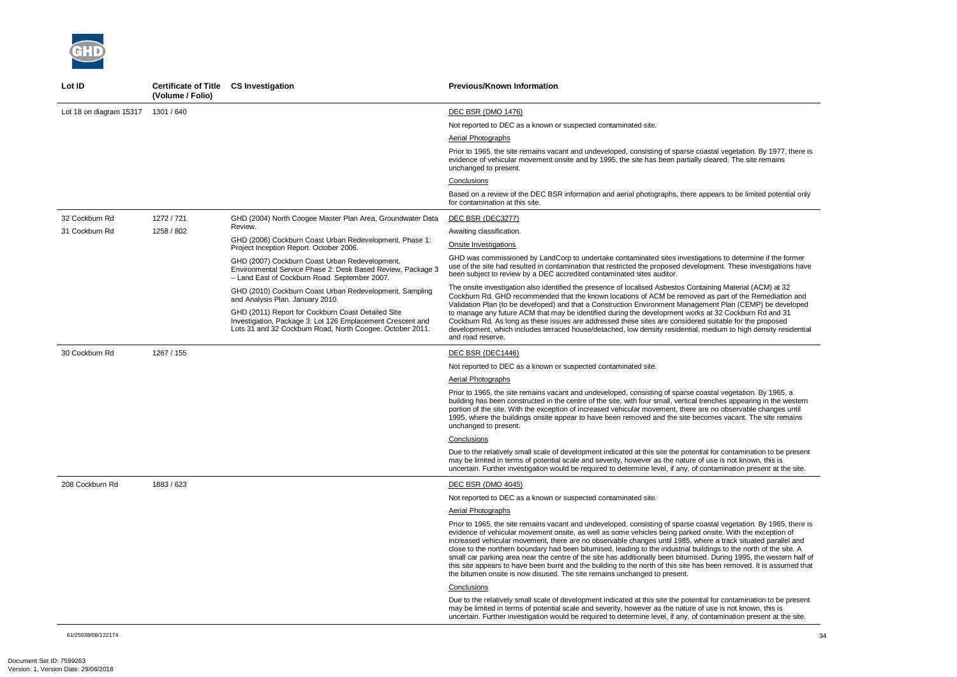

| Lot ID                  | <b>Certificate of Title</b><br>(Volume / Folio) | <b>CS Investigation</b>                                                                                                                                                       | <b>Previous/Known Information</b>                                                                                                                                                                                                                                                                                                                                                                                                                                                                                                                                                                                                                                                                                                                                                                    |
|-------------------------|-------------------------------------------------|-------------------------------------------------------------------------------------------------------------------------------------------------------------------------------|------------------------------------------------------------------------------------------------------------------------------------------------------------------------------------------------------------------------------------------------------------------------------------------------------------------------------------------------------------------------------------------------------------------------------------------------------------------------------------------------------------------------------------------------------------------------------------------------------------------------------------------------------------------------------------------------------------------------------------------------------------------------------------------------------|
| Lot 18 on diagram 15317 | 1301 / 640                                      |                                                                                                                                                                               | <b>DEC BSR (DMO 1476)</b>                                                                                                                                                                                                                                                                                                                                                                                                                                                                                                                                                                                                                                                                                                                                                                            |
|                         |                                                 |                                                                                                                                                                               | Not reported to DEC as a known or suspected contaminated site.                                                                                                                                                                                                                                                                                                                                                                                                                                                                                                                                                                                                                                                                                                                                       |
|                         |                                                 |                                                                                                                                                                               | Aerial Photographs                                                                                                                                                                                                                                                                                                                                                                                                                                                                                                                                                                                                                                                                                                                                                                                   |
|                         |                                                 |                                                                                                                                                                               | Prior to 1965, the site remains vacant and undeveloped, consisting of sparse coastal vegetation. By 1977, there is<br>evidence of vehicular movement onsite and by 1995, the site has been partially cleared. The site remains<br>unchanged to present.                                                                                                                                                                                                                                                                                                                                                                                                                                                                                                                                              |
|                         |                                                 |                                                                                                                                                                               | Conclusions                                                                                                                                                                                                                                                                                                                                                                                                                                                                                                                                                                                                                                                                                                                                                                                          |
|                         |                                                 |                                                                                                                                                                               | Based on a review of the DEC BSR information and aerial photographs, there appears to be limited potential only<br>for contamination at this site.                                                                                                                                                                                                                                                                                                                                                                                                                                                                                                                                                                                                                                                   |
| 32 Cockburn Rd          | 1272 / 721                                      | GHD (2004) North Coogee Master Plan Area, Groundwater Data                                                                                                                    | DEC BSR (DEC3277)                                                                                                                                                                                                                                                                                                                                                                                                                                                                                                                                                                                                                                                                                                                                                                                    |
| 31 Cockburn Rd          | 1258 / 802                                      | Review.                                                                                                                                                                       | Awaiting classification.                                                                                                                                                                                                                                                                                                                                                                                                                                                                                                                                                                                                                                                                                                                                                                             |
|                         |                                                 | GHD (2006) Cockburn Coast Urban Redevelopment, Phase 1:<br>Project Inception Report. October 2006.                                                                            | <b>Onsite Investigations</b>                                                                                                                                                                                                                                                                                                                                                                                                                                                                                                                                                                                                                                                                                                                                                                         |
|                         |                                                 | GHD (2007) Cockburn Coast Urban Redevelopment,<br>Environmental Service Phase 2: Desk Based Review, Package 3<br>- Land East of Cockburn Road. September 2007.                | GHD was commissioned by LandCorp to undertake contaminated sites investigations to determine if the former<br>use of the site had resulted in contamination that restricted the proposed development. These investigations have<br>been subject to review by a DEC accredited contaminated sites auditor.                                                                                                                                                                                                                                                                                                                                                                                                                                                                                            |
|                         |                                                 | GHD (2010) Cockburn Coast Urban Redevelopment, Sampling<br>and Analysis Plan. January 2010.                                                                                   | The onsite investigation also identified the presence of localised Asbestos Containing Material (ACM) at 32<br>Cockburn Rd. GHD recommended that the known locations of ACM be removed as part of the Remediation and<br>Validation Plan (to be developed) and that a Construction Environment Management Plan (CEMP) be developed                                                                                                                                                                                                                                                                                                                                                                                                                                                                   |
|                         |                                                 | GHD (2011) Report for Cockburn Coast Detailed Site<br>Investigation, Package 3: Lot 126 Emplacement Crescent and<br>Lots 31 and 32 Cockburn Road, North Coogee. October 2011. | to manage any future ACM that may be identified during the development works at 32 Cockburn Rd and 31<br>Cockburn Rd. As long as these issues are addressed these sites are considered suitable for the proposed<br>development, which includes terraced house/detached, low density residential, medium to high density residential<br>and road reserve.                                                                                                                                                                                                                                                                                                                                                                                                                                            |
| 30 Cockburn Rd          | 1267 / 155                                      |                                                                                                                                                                               | DEC BSR (DEC1446)                                                                                                                                                                                                                                                                                                                                                                                                                                                                                                                                                                                                                                                                                                                                                                                    |
|                         |                                                 |                                                                                                                                                                               | Not reported to DEC as a known or suspected contaminated site.                                                                                                                                                                                                                                                                                                                                                                                                                                                                                                                                                                                                                                                                                                                                       |
|                         |                                                 |                                                                                                                                                                               | Aerial Photographs                                                                                                                                                                                                                                                                                                                                                                                                                                                                                                                                                                                                                                                                                                                                                                                   |
|                         |                                                 |                                                                                                                                                                               | Prior to 1965, the site remains vacant and undeveloped, consisting of sparse coastal vegetation. By 1965, a<br>building has been constructed in the centre of the site, with four small, vertical trenches appearing in the western<br>portion of the site. With the exception of increased vehicular movement, there are no observable changes until<br>1995, where the buildings onsite appear to have been removed and the site becomes vacant. The site remains<br>unchanged to present.                                                                                                                                                                                                                                                                                                         |
|                         |                                                 |                                                                                                                                                                               | Conclusions                                                                                                                                                                                                                                                                                                                                                                                                                                                                                                                                                                                                                                                                                                                                                                                          |
|                         |                                                 |                                                                                                                                                                               | Due to the relatively small scale of development indicated at this site the potential for contamination to be present<br>may be limited in terms of potential scale and severity, however as the nature of use is not known, this is<br>uncertain. Further investigation would be required to determine level, if any, of contamination present at the site.                                                                                                                                                                                                                                                                                                                                                                                                                                         |
| 208 Cockburn Rd         | 1883 / 623                                      |                                                                                                                                                                               | <b>DEC BSR (DMO 4045)</b>                                                                                                                                                                                                                                                                                                                                                                                                                                                                                                                                                                                                                                                                                                                                                                            |
|                         |                                                 |                                                                                                                                                                               | Not reported to DEC as a known or suspected contaminated site.                                                                                                                                                                                                                                                                                                                                                                                                                                                                                                                                                                                                                                                                                                                                       |
|                         |                                                 |                                                                                                                                                                               | Aerial Photographs                                                                                                                                                                                                                                                                                                                                                                                                                                                                                                                                                                                                                                                                                                                                                                                   |
|                         |                                                 |                                                                                                                                                                               | Prior to 1965, the site remains vacant and undeveloped, consisting of sparse coastal vegetation. By 1965, there is<br>evidence of vehicular movement onsite, as well as some vehicles being parked onsite. With the exception of<br>increased vehicular movement, there are no observable changes until 1985, where a track situated parallel and<br>close to the northern boundary had been bitumised, leading to the industrial buildings to the north of the site. A<br>small car parking area near the centre of the site has additionally been bitumised. During 1995, the western half of<br>this site appears to have been burnt and the building to the north of this site has been removed. It is assumed that<br>the bitumen onsite is now disused. The site remains unchanged to present. |
|                         |                                                 |                                                                                                                                                                               | Conclusions                                                                                                                                                                                                                                                                                                                                                                                                                                                                                                                                                                                                                                                                                                                                                                                          |
|                         |                                                 |                                                                                                                                                                               | Due to the relatively small scale of development indicated at this site the potential for contamination to be present<br>may be limited in terms of potential scale and severity, however as the nature of use is not known, this is<br>uncertain. Further investigation would be required to determine level, if any, of contamination present at the site.                                                                                                                                                                                                                                                                                                                                                                                                                                         |

61/25038/08/122174<br>61/25038/08/122174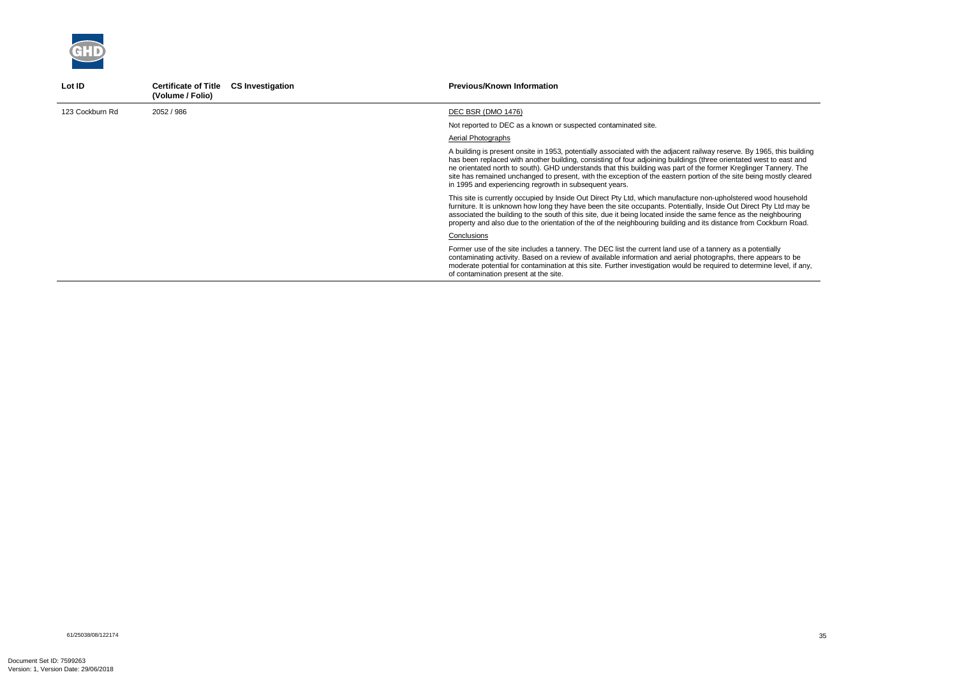

| Lot ID          | <b>Certificate of Title</b><br><b>CS Investigation</b><br>(Volume / Folio) | <b>Previous/Known Information</b>                                                                                                                                                                                                                                                                                                                                                                                                                                                                                                                |
|-----------------|----------------------------------------------------------------------------|--------------------------------------------------------------------------------------------------------------------------------------------------------------------------------------------------------------------------------------------------------------------------------------------------------------------------------------------------------------------------------------------------------------------------------------------------------------------------------------------------------------------------------------------------|
| 123 Cockburn Rd | 2052 / 986                                                                 | DEC BSR (DMO 1476)                                                                                                                                                                                                                                                                                                                                                                                                                                                                                                                               |
|                 |                                                                            | Not reported to DEC as a known or suspected contaminated site.                                                                                                                                                                                                                                                                                                                                                                                                                                                                                   |
|                 |                                                                            | Aerial Photographs                                                                                                                                                                                                                                                                                                                                                                                                                                                                                                                               |
|                 |                                                                            | A building is present onsite in 1953, potentially associated with the adjacent railway reserve. By 1965, this building<br>has been replaced with another building, consisting of four adjoining buildings (three orientated west to east and<br>ne orientated north to south). GHD understands that this building was part of the former Kreglinger Tannery. The<br>site has remained unchanged to present, with the exception of the eastern portion of the site being mostly cleared<br>in 1995 and experiencing regrowth in subsequent years. |
|                 |                                                                            | This site is currently occupied by Inside Out Direct Pty Ltd, which manufacture non-upholstered wood household<br>furniture. It is unknown how long they have been the site occupants. Potentially, Inside Out Direct Pty Ltd may be<br>associated the building to the south of this site, due it being located inside the same fence as the neighbouring<br>property and also due to the orientation of the of the neighbouring building and its distance from Cockburn Road.                                                                   |
|                 |                                                                            | Conclusions                                                                                                                                                                                                                                                                                                                                                                                                                                                                                                                                      |
|                 |                                                                            | Former use of the site includes a tannery. The DEC list the current land use of a tannery as a potentially<br>contaminating activity. Based on a review of available information and aerial photographs, there appears to be<br>moderate potential for contamination at this site. Further investigation would be required to determine level, if any,<br>of contamination present at the site.                                                                                                                                                  |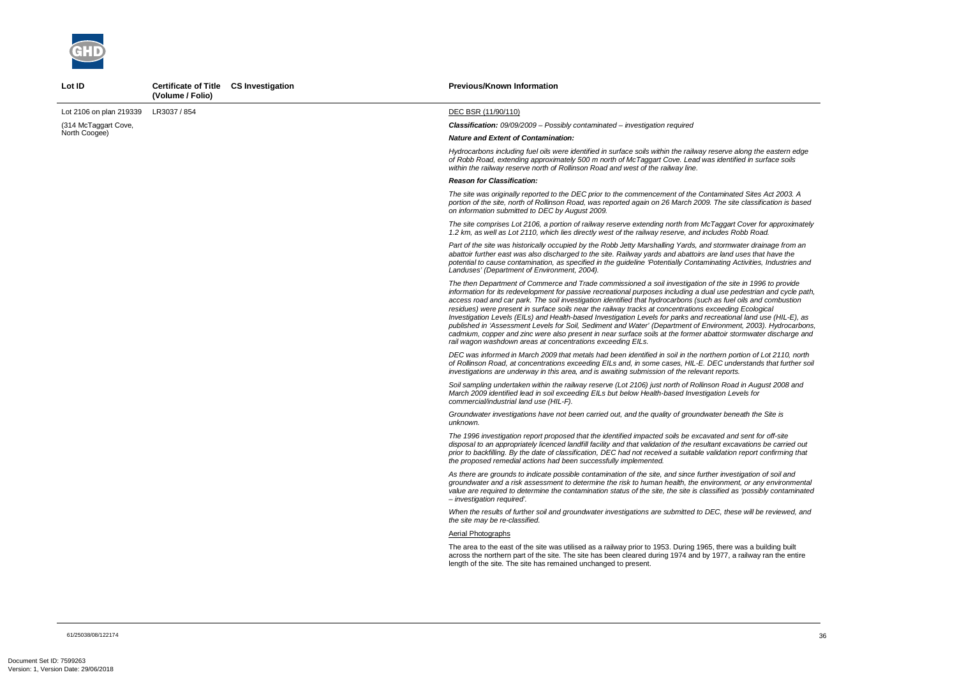

Lot ID **Certificate of Title CS Investigation** 

*The then Department of Commerce and Trade commissioned a soil investigation of the site in 1996 to provide information for its redevelopment for passive recreational purposes including a dual use pedestrian and cycle path, access road and car park. The soil investigation identified that hydrocarbons (such as fuel oils and combustion published in 'Assessment Levels for Soil, Sediment and Water' (Department of Environment, 2003). Hydrocarbons, cademium, communater discharge and* 

*The site comprises Lot 2106, a portion of railway reserve extending north from McTaggart Cover for approximately 1.2 km, as well as Lot 2110, which lies directly west of the railway reserve, and includes Robb Road.* 

|                         | (Volume / Folio) |                                                                                                                                                                                                                                                                                                                                                                                                                                                                                                                                                                                                                                                                                                                                                                                                                                                                                     |
|-------------------------|------------------|-------------------------------------------------------------------------------------------------------------------------------------------------------------------------------------------------------------------------------------------------------------------------------------------------------------------------------------------------------------------------------------------------------------------------------------------------------------------------------------------------------------------------------------------------------------------------------------------------------------------------------------------------------------------------------------------------------------------------------------------------------------------------------------------------------------------------------------------------------------------------------------|
| Lot 2106 on plan 219339 | LR3037 / 854     | DEC BSR (11/90/110)                                                                                                                                                                                                                                                                                                                                                                                                                                                                                                                                                                                                                                                                                                                                                                                                                                                                 |
| (314 McTaggart Cove,    |                  | <b>Classification:</b> 09/09/2009 - Possibly contaminated - investigation required                                                                                                                                                                                                                                                                                                                                                                                                                                                                                                                                                                                                                                                                                                                                                                                                  |
| North Coogee)           |                  | <b>Nature and Extent of Contamination:</b>                                                                                                                                                                                                                                                                                                                                                                                                                                                                                                                                                                                                                                                                                                                                                                                                                                          |
|                         |                  | Hydrocarbons including fuel oils were identified in surface soils within the railway reserve along the eastern edge<br>of Robb Road, extending approximately 500 m north of McTaggart Cove. Lead was identified in surface soils<br>within the railway reserve north of Rollinson Road and west of the railway line.                                                                                                                                                                                                                                                                                                                                                                                                                                                                                                                                                                |
|                         |                  | <b>Reason for Classification:</b>                                                                                                                                                                                                                                                                                                                                                                                                                                                                                                                                                                                                                                                                                                                                                                                                                                                   |
|                         |                  | The site was originally reported to the DEC prior to the commencement of the Contaminated Sites Act 2003. A<br>portion of the site, north of Rollinson Road, was reported again on 26 March 2009. The site classification is based<br>on information submitted to DEC by August 2009.                                                                                                                                                                                                                                                                                                                                                                                                                                                                                                                                                                                               |
|                         |                  | The site comprises Lot 2106, a portion of railway reserve extending north from McTaggart Cover for approximate<br>1.2 km, as well as Lot 2110, which lies directly west of the railway reserve, and includes Robb Road.                                                                                                                                                                                                                                                                                                                                                                                                                                                                                                                                                                                                                                                             |
|                         |                  | Part of the site was historically occupied by the Robb Jetty Marshalling Yards, and stormwater drainage from an<br>abattoir further east was also discharged to the site. Railway yards and abattoirs are land uses that have the<br>potential to cause contamination, as specified in the guideline 'Potentially Contaminating Activities, Industries and<br>Landuses' (Department of Environment, 2004).                                                                                                                                                                                                                                                                                                                                                                                                                                                                          |
|                         |                  | The then Department of Commerce and Trade commissioned a soil investigation of the site in 1996 to provide<br>information for its redevelopment for passive recreational purposes including a dual use pedestrian and cycle pat<br>access road and car park. The soil investigation identified that hydrocarbons (such as fuel oils and combustion<br>residues) were present in surface soils near the railway tracks at concentrations exceeding Ecological<br>Investigation Levels (EILs) and Health-based Investigation Levels for parks and recreational land use (HIL-E), as<br>published in 'Assessment Levels for Soil, Sediment and Water' (Department of Environment, 2003). Hydrocarbon<br>cadmium, copper and zinc were also present in near surface soils at the former abattoir stormwater discharge an<br>rail wagon washdown areas at concentrations exceeding EILs. |
|                         |                  | DEC was informed in March 2009 that metals had been identified in soil in the northern portion of Lot 2110, north<br>of Rollinson Road, at concentrations exceeding EILs and, in some cases, HIL-E. DEC understands that further so<br>investigations are underway in this area, and is awaiting submission of the relevant reports.                                                                                                                                                                                                                                                                                                                                                                                                                                                                                                                                                |
|                         |                  | Soil sampling undertaken within the railway reserve (Lot 2106) just north of Rollinson Road in August 2008 and<br>March 2009 identified lead in soil exceeding EILs but below Health-based Investigation Levels for<br>commercial/industrial land use (HIL-F).                                                                                                                                                                                                                                                                                                                                                                                                                                                                                                                                                                                                                      |
|                         |                  | Groundwater investigations have not been carried out, and the quality of groundwater beneath the Site is<br>unknown.                                                                                                                                                                                                                                                                                                                                                                                                                                                                                                                                                                                                                                                                                                                                                                |
|                         |                  | The 1996 investigation report proposed that the identified impacted soils be excavated and sent for off-site<br>disposal to an appropriately licenced landfill facility and that validation of the resultant excavations be carried out<br>prior to backfilling. By the date of classification, DEC had not received a suitable validation report confirming that<br>the proposed remedial actions had been successfully implemented.                                                                                                                                                                                                                                                                                                                                                                                                                                               |
|                         |                  | As there are grounds to indicate possible contamination of the site, and since further investigation of soil and<br>groundwater and a risk assessment to determine the risk to human health, the environment, or any environmenta<br>value are required to determine the contamination status of the site, the site is classified as 'possibly contaminate<br>- investigation required'.                                                                                                                                                                                                                                                                                                                                                                                                                                                                                            |
|                         |                  | When the results of further soil and groundwater investigations are submitted to DEC, these will be reviewed, and<br>the site may be re-classified.                                                                                                                                                                                                                                                                                                                                                                                                                                                                                                                                                                                                                                                                                                                                 |
|                         |                  | Aerial Photographs                                                                                                                                                                                                                                                                                                                                                                                                                                                                                                                                                                                                                                                                                                                                                                                                                                                                  |
|                         |                  | The area to the east of the site was utilised as a railway prior to 1953. During 1965, there was a building built<br>across the northern part of the site. The site has been cleared during 1974 and by 1977, a railway ran the entire<br>length of the site. The site has remained unchanged to present.                                                                                                                                                                                                                                                                                                                                                                                                                                                                                                                                                                           |

**Previous/Known Information** 

*DEC was informed in March 2009 that metals had been identified in soil in the northern portion of Lot 2110, north of Rollinson Road, at concentrations exceeding EILs and, in some cases, HIL-E. DEC understands that further soil* 

*As there are grounds to indicate possible contamination of the site, and since further investigation of soil and groundwater and a risk assessment to determine the risk to human health, the environment, or any environmental value are required to determine the contamination status of the site, the site is classified as 'possibly contaminated*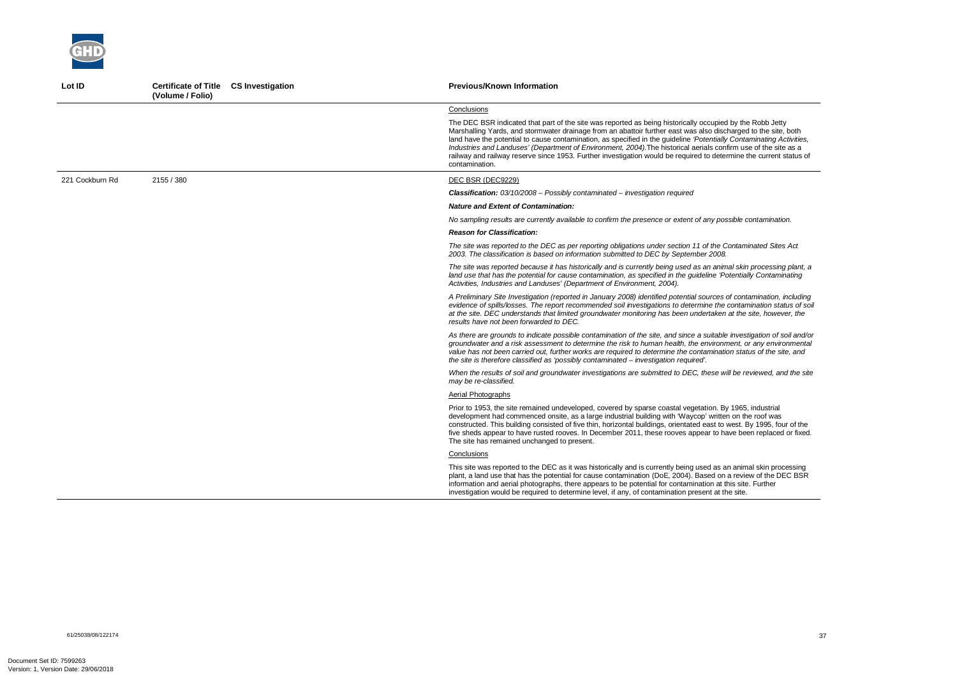*A Preliminary Site Investigation (reported in January 2008) identified potential sources of contamination, including evidence of spills/losses. The report recommended soil investigations to determine the contamination status of soil at the site. DEC understands that limited groundwater monitoring has been undertaken at the site, however, the* 



| Lot ID          | Certificate of Title CS Investigation<br>(Volume / Folio) | <b>Previous/Known Information</b>                                                                                                                                                                                                                                                                                                                                                                                                                                                                                                                                                                              |
|-----------------|-----------------------------------------------------------|----------------------------------------------------------------------------------------------------------------------------------------------------------------------------------------------------------------------------------------------------------------------------------------------------------------------------------------------------------------------------------------------------------------------------------------------------------------------------------------------------------------------------------------------------------------------------------------------------------------|
|                 |                                                           | Conclusions                                                                                                                                                                                                                                                                                                                                                                                                                                                                                                                                                                                                    |
|                 |                                                           | The DEC BSR indicated that part of the site was reported as being historically occupied by the Robb Jetty<br>Marshalling Yards, and stormwater drainage from an abattoir further east was also discharged to the site, both<br>land have the potential to cause contamination, as specified in the guideline 'Potentially Contaminating Activities,<br>Industries and Landuses' (Department of Environment, 2004). The historical aerials confirm use of the site as a<br>railway and railway reserve since 1953. Further investigation would be required to determine the current status of<br>contamination. |
| 221 Cockburn Rd | 2155 / 380                                                | DEC BSR (DEC9229)                                                                                                                                                                                                                                                                                                                                                                                                                                                                                                                                                                                              |
|                 |                                                           | <b>Classification:</b> $03/10/2008$ – Possibly contaminated – investigation required                                                                                                                                                                                                                                                                                                                                                                                                                                                                                                                           |
|                 |                                                           | <b>Nature and Extent of Contamination:</b>                                                                                                                                                                                                                                                                                                                                                                                                                                                                                                                                                                     |
|                 |                                                           | No sampling results are currently available to confirm the presence or extent of any possible contamination.                                                                                                                                                                                                                                                                                                                                                                                                                                                                                                   |
|                 |                                                           | <b>Reason for Classification:</b>                                                                                                                                                                                                                                                                                                                                                                                                                                                                                                                                                                              |
|                 |                                                           | The site was reported to the DEC as per reporting obligations under section 11 of the Contaminated Sites Act<br>2003. The classification is based on information submitted to DEC by September 2008.                                                                                                                                                                                                                                                                                                                                                                                                           |
|                 |                                                           | The site was reported because it has historically and is currently being used as an animal skin processing plant, a<br>land use that has the potential for cause contamination, as specified in the guideline 'Potentially Contaminating<br>Activities, Industries and Landuses' (Department of Environment, 2004).                                                                                                                                                                                                                                                                                            |
|                 |                                                           | A Preliminary Site Investigation (reported in January 2008) identified potential sources of contamination, including<br>evidence of spills/losses. The report recommended soil investigations to determine the contamination status of so<br>at the site. DEC understands that limited groundwater monitoring has been undertaken at the site, however, the<br>results have not been forwarded to DEC.                                                                                                                                                                                                         |
|                 |                                                           | As there are grounds to indicate possible contamination of the site, and since a suitable investigation of soil and/o<br>groundwater and a risk assessment to determine the risk to human health, the environment, or any environmenta<br>value has not been carried out, further works are required to determine the contamination status of the site, and<br>the site is therefore classified as 'possibly contaminated – investigation required'.                                                                                                                                                           |
|                 |                                                           | When the results of soil and groundwater investigations are submitted to DEC, these will be reviewed, and the sit<br>may be re-classified.                                                                                                                                                                                                                                                                                                                                                                                                                                                                     |
|                 |                                                           | Aerial Photographs                                                                                                                                                                                                                                                                                                                                                                                                                                                                                                                                                                                             |
|                 |                                                           | Prior to 1953, the site remained undeveloped, covered by sparse coastal vegetation. By 1965, industrial<br>development had commenced onsite, as a large industrial building with 'Waycop' written on the roof was<br>constructed. This building consisted of five thin, horizontal buildings, orientated east to west. By 1995, four of the<br>five sheds appear to have rusted rooves. In December 2011, these rooves appear to have been replaced or fixed<br>The site has remained unchanged to present.                                                                                                    |
|                 |                                                           | Conclusions                                                                                                                                                                                                                                                                                                                                                                                                                                                                                                                                                                                                    |
|                 |                                                           | This site was reported to the DEC as it was historically and is currently being used as an animal skin processing<br>plant, a land use that has the potential for cause contamination (DoE, 2004). Based on a review of the DEC BSR<br>information and aerial photographs, there appears to be potential for contamination at this site. Further<br>investigation would be required to determine level, if any, of contamination present at the site.                                                                                                                                                          |

*As there are grounds to indicate possible contamination of the site, and since a suitable investigation of soil and/or groundwater and a risk assessment to determine the risk to human health, the environment, or any environmental value has not been carried out, further works are required to determine the contamination status of the site, and*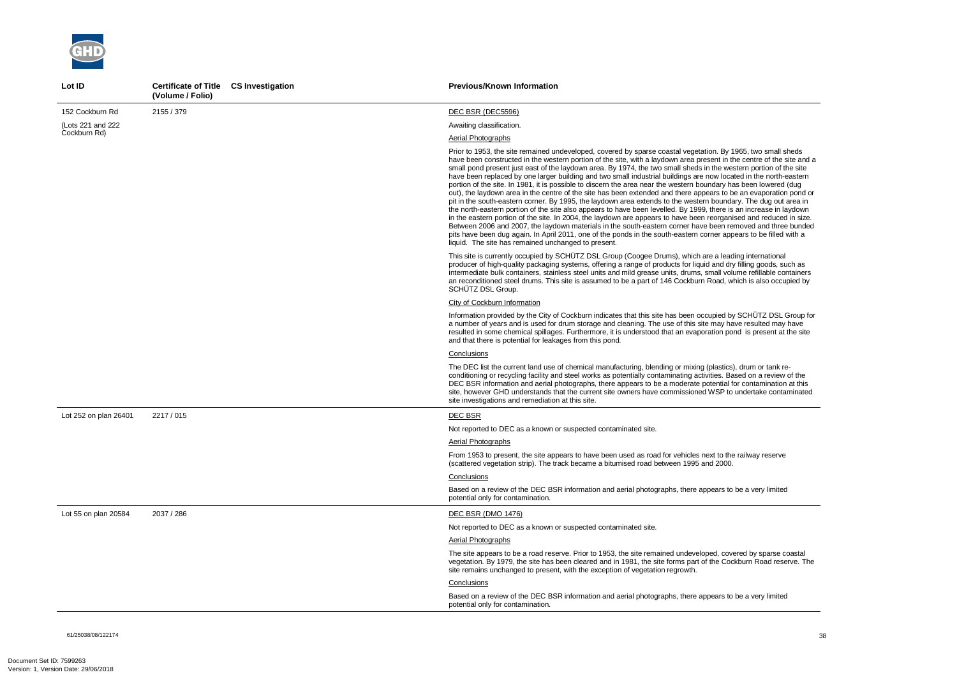

| Lot ID                | Certificate of Title CS Investigation<br>(Volume / Folio) | <b>Previous/Known Information</b>                                                                                                                                                                                                                                                                                                                                                                                                                                                                                                                                                                                                                                                                                                                                                                                                                                                                                                                                                                                                                                                                                                                                                                                                                                                                                                                                                  |
|-----------------------|-----------------------------------------------------------|------------------------------------------------------------------------------------------------------------------------------------------------------------------------------------------------------------------------------------------------------------------------------------------------------------------------------------------------------------------------------------------------------------------------------------------------------------------------------------------------------------------------------------------------------------------------------------------------------------------------------------------------------------------------------------------------------------------------------------------------------------------------------------------------------------------------------------------------------------------------------------------------------------------------------------------------------------------------------------------------------------------------------------------------------------------------------------------------------------------------------------------------------------------------------------------------------------------------------------------------------------------------------------------------------------------------------------------------------------------------------------|
| 152 Cockburn Rd       | 2155 / 379                                                | DEC BSR (DEC5596)                                                                                                                                                                                                                                                                                                                                                                                                                                                                                                                                                                                                                                                                                                                                                                                                                                                                                                                                                                                                                                                                                                                                                                                                                                                                                                                                                                  |
| (Lots 221 and 222     |                                                           | Awaiting classification.                                                                                                                                                                                                                                                                                                                                                                                                                                                                                                                                                                                                                                                                                                                                                                                                                                                                                                                                                                                                                                                                                                                                                                                                                                                                                                                                                           |
| Cockburn Rd)          |                                                           | Aerial Photographs                                                                                                                                                                                                                                                                                                                                                                                                                                                                                                                                                                                                                                                                                                                                                                                                                                                                                                                                                                                                                                                                                                                                                                                                                                                                                                                                                                 |
|                       |                                                           | Prior to 1953, the site remained undeveloped, covered by sparse coastal vegetation. By 1965, two small sheds<br>have been constructed in the western portion of the site, with a laydown area present in the centre of the site and a<br>small pond present just east of the laydown area. By 1974, the two small sheds in the western portion of the site<br>have been replaced by one larger building and two small industrial buildings are now located in the north-eastern<br>portion of the site. In 1981, it is possible to discern the area near the western boundary has been lowered (dug<br>out), the laydown area in the centre of the site has been extended and there appears to be an evaporation pond or<br>pit in the south-eastern corner. By 1995, the laydown area extends to the western boundary. The dug out area in<br>the north-eastern portion of the site also appears to have been levelled. By 1999, there is an increase in laydown<br>in the eastern portion of the site. In 2004, the laydown are appears to have been reorganised and reduced in size.<br>Between 2006 and 2007, the laydown materials in the south-eastern corner have been removed and three bunded<br>pits have been dug again. In April 2011, one of the ponds in the south-eastern corner appears to be filled with a<br>liquid. The site has remained unchanged to present. |
|                       |                                                           | This site is currently occupied by SCHÜTZ DSL Group (Coogee Drums), which are a leading international<br>producer of high-quality packaging systems, offering a range of products for liquid and dry filling goods, such as<br>intermediate bulk containers, stainless steel units and mild grease units, drums, small volume refillable containers<br>an reconditioned steel drums. This site is assumed to be a part of 146 Cockburn Road, which is also occupied by<br>SCHÜTZ DSL Group.                                                                                                                                                                                                                                                                                                                                                                                                                                                                                                                                                                                                                                                                                                                                                                                                                                                                                        |
|                       |                                                           | City of Cockburn Information                                                                                                                                                                                                                                                                                                                                                                                                                                                                                                                                                                                                                                                                                                                                                                                                                                                                                                                                                                                                                                                                                                                                                                                                                                                                                                                                                       |
|                       |                                                           | Information provided by the City of Cockburn indicates that this site has been occupied by SCHÜTZ DSL Group for<br>a number of years and is used for drum storage and cleaning. The use of this site may have resulted may have<br>resulted in some chemical spillages. Furthermore, it is understood that an evaporation pond is present at the site<br>and that there is potential for leakages from this pond.                                                                                                                                                                                                                                                                                                                                                                                                                                                                                                                                                                                                                                                                                                                                                                                                                                                                                                                                                                  |
|                       |                                                           | Conclusions                                                                                                                                                                                                                                                                                                                                                                                                                                                                                                                                                                                                                                                                                                                                                                                                                                                                                                                                                                                                                                                                                                                                                                                                                                                                                                                                                                        |
|                       |                                                           | The DEC list the current land use of chemical manufacturing, blending or mixing (plastics), drum or tank re-<br>conditioning or recycling facility and steel works as potentially contaminating activities. Based on a review of the<br>DEC BSR information and aerial photographs, there appears to be a moderate potential for contamination at this<br>site, however GHD understands that the current site owners have commissioned WSP to undertake contaminated<br>site investigations and remediation at this site.                                                                                                                                                                                                                                                                                                                                                                                                                                                                                                                                                                                                                                                                                                                                                                                                                                                          |
| Lot 252 on plan 26401 | 2217 / 015                                                | <b>DEC BSR</b>                                                                                                                                                                                                                                                                                                                                                                                                                                                                                                                                                                                                                                                                                                                                                                                                                                                                                                                                                                                                                                                                                                                                                                                                                                                                                                                                                                     |
|                       |                                                           | Not reported to DEC as a known or suspected contaminated site.                                                                                                                                                                                                                                                                                                                                                                                                                                                                                                                                                                                                                                                                                                                                                                                                                                                                                                                                                                                                                                                                                                                                                                                                                                                                                                                     |
|                       |                                                           | <b>Aerial Photographs</b>                                                                                                                                                                                                                                                                                                                                                                                                                                                                                                                                                                                                                                                                                                                                                                                                                                                                                                                                                                                                                                                                                                                                                                                                                                                                                                                                                          |
|                       |                                                           | From 1953 to present, the site appears to have been used as road for vehicles next to the railway reserve<br>(scattered vegetation strip). The track became a bitumised road between 1995 and 2000.                                                                                                                                                                                                                                                                                                                                                                                                                                                                                                                                                                                                                                                                                                                                                                                                                                                                                                                                                                                                                                                                                                                                                                                |
|                       |                                                           | Conclusions                                                                                                                                                                                                                                                                                                                                                                                                                                                                                                                                                                                                                                                                                                                                                                                                                                                                                                                                                                                                                                                                                                                                                                                                                                                                                                                                                                        |
|                       |                                                           | Based on a review of the DEC BSR information and aerial photographs, there appears to be a very limited<br>potential only for contamination.                                                                                                                                                                                                                                                                                                                                                                                                                                                                                                                                                                                                                                                                                                                                                                                                                                                                                                                                                                                                                                                                                                                                                                                                                                       |
| Lot 55 on plan 20584  | 2037 / 286                                                | <b>DEC BSR (DMO 1476)</b>                                                                                                                                                                                                                                                                                                                                                                                                                                                                                                                                                                                                                                                                                                                                                                                                                                                                                                                                                                                                                                                                                                                                                                                                                                                                                                                                                          |
|                       |                                                           | Not reported to DEC as a known or suspected contaminated site.                                                                                                                                                                                                                                                                                                                                                                                                                                                                                                                                                                                                                                                                                                                                                                                                                                                                                                                                                                                                                                                                                                                                                                                                                                                                                                                     |
|                       |                                                           | Aerial Photographs                                                                                                                                                                                                                                                                                                                                                                                                                                                                                                                                                                                                                                                                                                                                                                                                                                                                                                                                                                                                                                                                                                                                                                                                                                                                                                                                                                 |
|                       |                                                           | The site appears to be a road reserve. Prior to 1953, the site remained undeveloped, covered by sparse coastal<br>vegetation. By 1979, the site has been cleared and in 1981, the site forms part of the Cockburn Road reserve. The<br>site remains unchanged to present, with the exception of vegetation regrowth.                                                                                                                                                                                                                                                                                                                                                                                                                                                                                                                                                                                                                                                                                                                                                                                                                                                                                                                                                                                                                                                               |
|                       |                                                           | Conclusions                                                                                                                                                                                                                                                                                                                                                                                                                                                                                                                                                                                                                                                                                                                                                                                                                                                                                                                                                                                                                                                                                                                                                                                                                                                                                                                                                                        |
|                       |                                                           | Based on a review of the DEC BSR information and aerial photographs, there appears to be a very limited<br>potential only for contamination.                                                                                                                                                                                                                                                                                                                                                                                                                                                                                                                                                                                                                                                                                                                                                                                                                                                                                                                                                                                                                                                                                                                                                                                                                                       |

61/25038/08/122174<br>61/25038/08/122174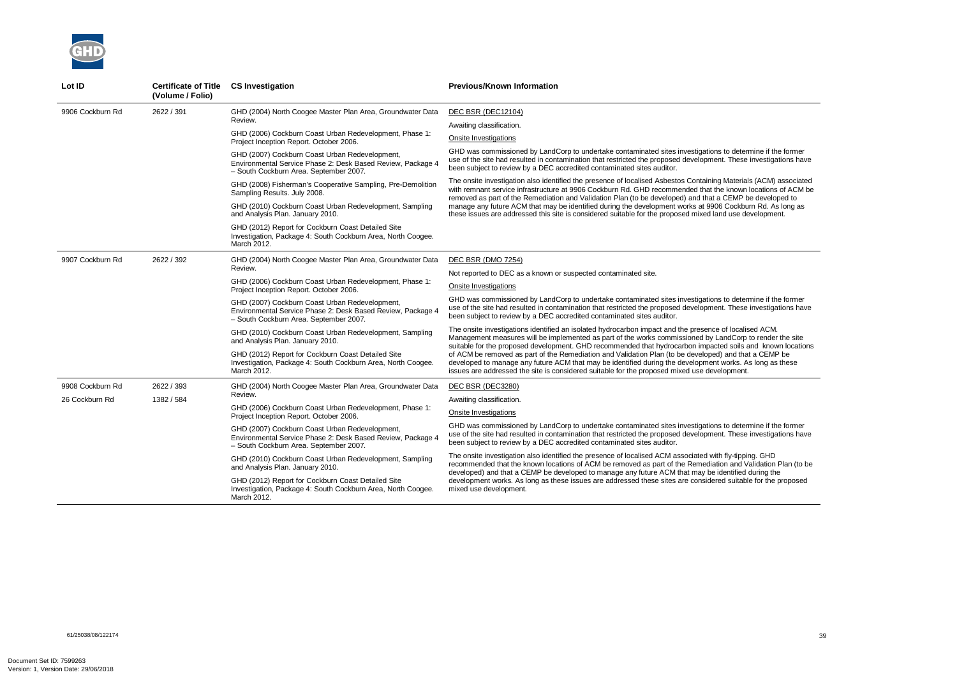

| Lot ID           | <b>Certificate of Title</b><br>(Volume / Folio) | <b>CS Investigation</b>                                                                                                                                 | <b>Previous/Known Information</b>                                                                                                                                                                                                                                                                                                            |
|------------------|-------------------------------------------------|---------------------------------------------------------------------------------------------------------------------------------------------------------|----------------------------------------------------------------------------------------------------------------------------------------------------------------------------------------------------------------------------------------------------------------------------------------------------------------------------------------------|
| 9906 Cockburn Rd | 2622 / 391                                      | GHD (2004) North Coogee Master Plan Area, Groundwater Data                                                                                              | <b>DEC BSR (DEC12104)</b>                                                                                                                                                                                                                                                                                                                    |
|                  |                                                 | Review.                                                                                                                                                 | Awaiting classification.                                                                                                                                                                                                                                                                                                                     |
|                  |                                                 | GHD (2006) Cockburn Coast Urban Redevelopment, Phase 1:<br>Project Inception Report. October 2006.                                                      | Onsite Investigations                                                                                                                                                                                                                                                                                                                        |
|                  |                                                 | GHD (2007) Cockburn Coast Urban Redevelopment,<br>Environmental Service Phase 2: Desk Based Review, Package 4<br>- South Cockburn Area. September 2007. | GHD was commissioned by LandCorp to undertake contaminated sites investigations to determine if the former<br>use of the site had resulted in contamination that restricted the proposed development. These investigations have<br>been subject to review by a DEC accredited contaminated sites auditor.                                    |
|                  |                                                 | GHD (2008) Fisherman's Cooperative Sampling, Pre-Demolition<br>Sampling Results. July 2008.                                                             | The onsite investigation also identified the presence of localised Asbestos Containing Materials (ACM) associated<br>with remnant service infrastructure at 9906 Cockburn Rd. GHD recommended that the known locations of ACM be<br>removed as part of the Remediation and Validation Plan (to be developed) and that a CEMP be developed to |
|                  |                                                 | GHD (2010) Cockburn Coast Urban Redevelopment, Sampling<br>and Analysis Plan. January 2010.                                                             | manage any future ACM that may be identified during the development works at 9906 Cockburn Rd. As long as<br>these issues are addressed this site is considered suitable for the proposed mixed land use development.                                                                                                                        |
|                  |                                                 | GHD (2012) Report for Cockburn Coast Detailed Site<br>Investigation, Package 4: South Cockburn Area, North Coogee.<br>March 2012.                       |                                                                                                                                                                                                                                                                                                                                              |
| 9907 Cockburn Rd | 2622 / 392                                      | GHD (2004) North Coogee Master Plan Area, Groundwater Data                                                                                              | DEC BSR (DMO 7254)                                                                                                                                                                                                                                                                                                                           |
|                  |                                                 | Review.                                                                                                                                                 | Not reported to DEC as a known or suspected contaminated site.                                                                                                                                                                                                                                                                               |
|                  |                                                 | GHD (2006) Cockburn Coast Urban Redevelopment, Phase 1:<br>Project Inception Report. October 2006.                                                      | Onsite Investigations                                                                                                                                                                                                                                                                                                                        |
|                  |                                                 | GHD (2007) Cockburn Coast Urban Redevelopment,<br>Environmental Service Phase 2: Desk Based Review, Package 4<br>- South Cockburn Area. September 2007. | GHD was commissioned by LandCorp to undertake contaminated sites investigations to determine if the former<br>use of the site had resulted in contamination that restricted the proposed development. These investigations have<br>been subject to review by a DEC accredited contaminated sites auditor.                                    |
|                  |                                                 | GHD (2010) Cockburn Coast Urban Redevelopment, Sampling<br>and Analysis Plan. January 2010.                                                             | The onsite investigations identified an isolated hydrocarbon impact and the presence of localised ACM.<br>Management measures will be implemented as part of the works commissioned by LandCorp to render the site<br>suitable for the proposed development. GHD recommended that hydrocarbon impacted soils and known locations             |
|                  |                                                 | GHD (2012) Report for Cockburn Coast Detailed Site<br>Investigation, Package 4: South Cockburn Area, North Coogee.<br>March 2012.                       | of ACM be removed as part of the Remediation and Validation Plan (to be developed) and that a CEMP be<br>developed to manage any future ACM that may be identified during the development works. As long as these<br>issues are addressed the site is considered suitable for the proposed mixed use development.                            |
| 9908 Cockburn Rd | 2622 / 393                                      | GHD (2004) North Coogee Master Plan Area, Groundwater Data                                                                                              | DEC BSR (DEC3280)                                                                                                                                                                                                                                                                                                                            |
| 26 Cockburn Rd   | 1382 / 584                                      | Review.                                                                                                                                                 | Awaiting classification.                                                                                                                                                                                                                                                                                                                     |
|                  |                                                 | GHD (2006) Cockburn Coast Urban Redevelopment, Phase 1:<br>Project Inception Report. October 2006.                                                      | Onsite Investigations                                                                                                                                                                                                                                                                                                                        |
|                  |                                                 | GHD (2007) Cockburn Coast Urban Redevelopment,<br>Environmental Service Phase 2: Desk Based Review, Package 4<br>- South Cockburn Area. September 2007. | GHD was commissioned by LandCorp to undertake contaminated sites investigations to determine if the former<br>use of the site had resulted in contamination that restricted the proposed development. These investigations have<br>been subject to review by a DEC accredited contaminated sites auditor.                                    |
|                  |                                                 | GHD (2010) Cockburn Coast Urban Redevelopment, Sampling<br>and Analysis Plan. January 2010.                                                             | The onsite investigation also identified the presence of localised ACM associated with fly-tipping. GHD<br>recommended that the known locations of ACM be removed as part of the Remediation and Validation Plan (to be<br>developed) and that a CEMP be developed to manage any future ACM that may be identified during the                |
|                  |                                                 | GHD (2012) Report for Cockburn Coast Detailed Site<br>Investigation, Package 4: South Cockburn Area, North Coogee.<br>March 2012.                       | development works. As long as these issues are addressed these sites are considered suitable for the proposed<br>mixed use development.                                                                                                                                                                                                      |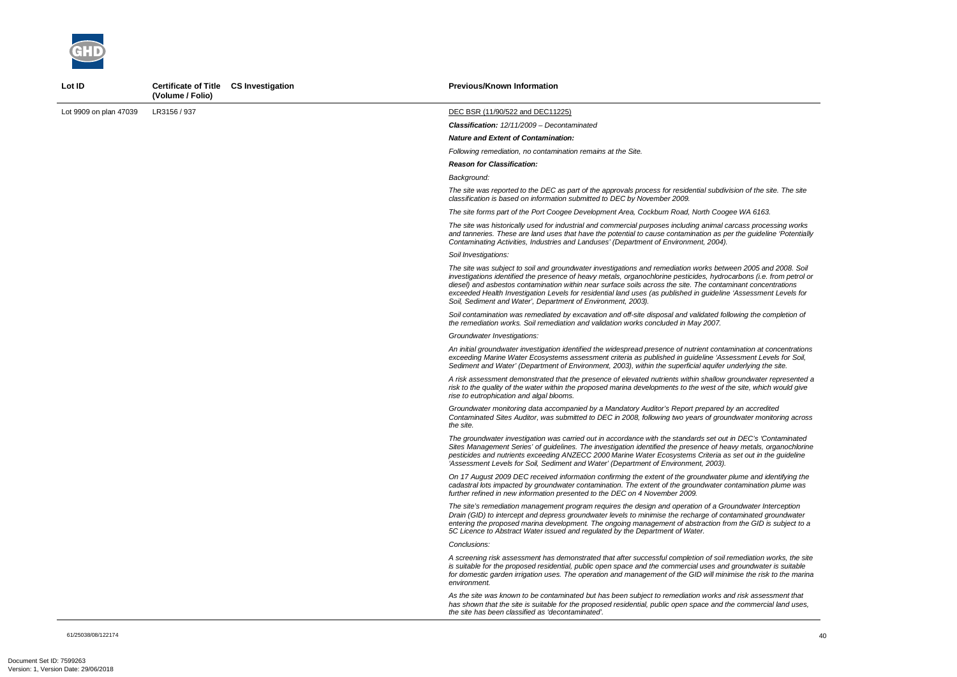

Lot ID **Certificate of Title CS Investigation** 

|                        | (Volume / Folio) |                                                                                                                                                                                                                                                                                                                                                                                                                                                                                                                                           |
|------------------------|------------------|-------------------------------------------------------------------------------------------------------------------------------------------------------------------------------------------------------------------------------------------------------------------------------------------------------------------------------------------------------------------------------------------------------------------------------------------------------------------------------------------------------------------------------------------|
| Lot 9909 on plan 47039 | LR3156 / 937     | DEC BSR (11/90/522 and DEC11225)                                                                                                                                                                                                                                                                                                                                                                                                                                                                                                          |
|                        |                  | Classification: 12/11/2009 - Decontaminated                                                                                                                                                                                                                                                                                                                                                                                                                                                                                               |
|                        |                  | <b>Nature and Extent of Contamination:</b>                                                                                                                                                                                                                                                                                                                                                                                                                                                                                                |
|                        |                  | Following remediation, no contamination remains at the Site.                                                                                                                                                                                                                                                                                                                                                                                                                                                                              |
|                        |                  | <b>Reason for Classification:</b>                                                                                                                                                                                                                                                                                                                                                                                                                                                                                                         |
|                        |                  | Background:                                                                                                                                                                                                                                                                                                                                                                                                                                                                                                                               |
|                        |                  | The site was reported to the DEC as part of the approvals process for residential subdivision of the site. The site<br>classification is based on information submitted to DEC by November 2009.                                                                                                                                                                                                                                                                                                                                          |
|                        |                  | The site forms part of the Port Coogee Development Area, Cockburn Road, North Coogee WA 6163.                                                                                                                                                                                                                                                                                                                                                                                                                                             |
|                        |                  | The site was historically used for industrial and commercial purposes including animal carcass processing works<br>and tanneries. These are land uses that have the potential to cause contamination as per the guideline 'Potentially<br>Contaminating Activities, Industries and Landuses' (Department of Environment, 2004).                                                                                                                                                                                                           |
|                        |                  | Soil Investigations:                                                                                                                                                                                                                                                                                                                                                                                                                                                                                                                      |
|                        |                  | The site was subject to soil and groundwater investigations and remediation works between 2005 and 2008. Soil<br>investigations identified the presence of heavy metals, organochlorine pesticides, hydrocarbons (i.e. from petrol or<br>diesel) and asbestos contamination within near surface soils across the site. The contaminant concentrations<br>exceeded Health Investigation Levels for residential land uses (as published in guideline 'Assessment Levels for<br>Soil, Sediment and Water', Department of Environment, 2003). |
|                        |                  | Soil contamination was remediated by excavation and off-site disposal and validated following the completion of<br>the remediation works. Soil remediation and validation works concluded in May 2007.                                                                                                                                                                                                                                                                                                                                    |
|                        |                  | Groundwater Investigations:                                                                                                                                                                                                                                                                                                                                                                                                                                                                                                               |
|                        |                  | An initial groundwater investigation identified the widespread presence of nutrient contamination at concentrations<br>exceeding Marine Water Ecosystems assessment criteria as published in guideline 'Assessment Levels for Soil,<br>Sediment and Water' (Department of Environment, 2003), within the superficial aquifer underlying the site.                                                                                                                                                                                         |
|                        |                  | A risk assessment demonstrated that the presence of elevated nutrients within shallow groundwater represented a<br>risk to the quality of the water within the proposed marina developments to the west of the site, which would give<br>rise to eutrophication and algal blooms.                                                                                                                                                                                                                                                         |
|                        |                  | Groundwater monitoring data accompanied by a Mandatory Auditor's Report prepared by an accredited<br>Contaminated Sites Auditor, was submitted to DEC in 2008, following two years of groundwater monitoring across<br>the site.                                                                                                                                                                                                                                                                                                          |
|                        |                  | The groundwater investigation was carried out in accordance with the standards set out in DEC's 'Contaminated<br>Sites Management Series' of guidelines. The investigation identified the presence of heavy metals, organochlorine<br>pesticides and nutrients exceeding ANZECC 2000 Marine Water Ecosystems Criteria as set out in the guideline<br>'Assessment Levels for Soil, Sediment and Water' (Department of Environment, 2003).                                                                                                  |
|                        |                  | On 17 August 2009 DEC received information confirming the extent of the groundwater plume and identifying the<br>cadastral lots impacted by groundwater contamination. The extent of the groundwater contamination plume was<br>further refined in new information presented to the DEC on 4 November 2009.                                                                                                                                                                                                                               |
|                        |                  | The site's remediation management program requires the design and operation of a Groundwater Interception<br>Drain (GID) to intercept and depress groundwater levels to minimise the recharge of contaminated groundwater<br>entering the proposed marina development. The ongoing management of abstraction from the GID is subject to a<br>5C Licence to Abstract Water issued and regulated by the Department of Water.                                                                                                                |
|                        |                  | Conclusions:                                                                                                                                                                                                                                                                                                                                                                                                                                                                                                                              |
|                        |                  | A screening risk assessment has demonstrated that after successful completion of soil remediation works, the site<br>is suitable for the proposed residential, public open space and the commercial uses and groundwater is suitable<br>for domestic garden irrigation uses. The operation and management of the GID will minimise the risk to the marina<br>environment.                                                                                                                                                                 |
|                        |                  | As the site was known to be contaminated but has been subject to remediation works and risk assessment that<br>has shown that the site is suitable for the proposed residential, public open space and the commercial land uses,<br>the site has been classified as 'decontaminated'.                                                                                                                                                                                                                                                     |

**Previous/Known Information**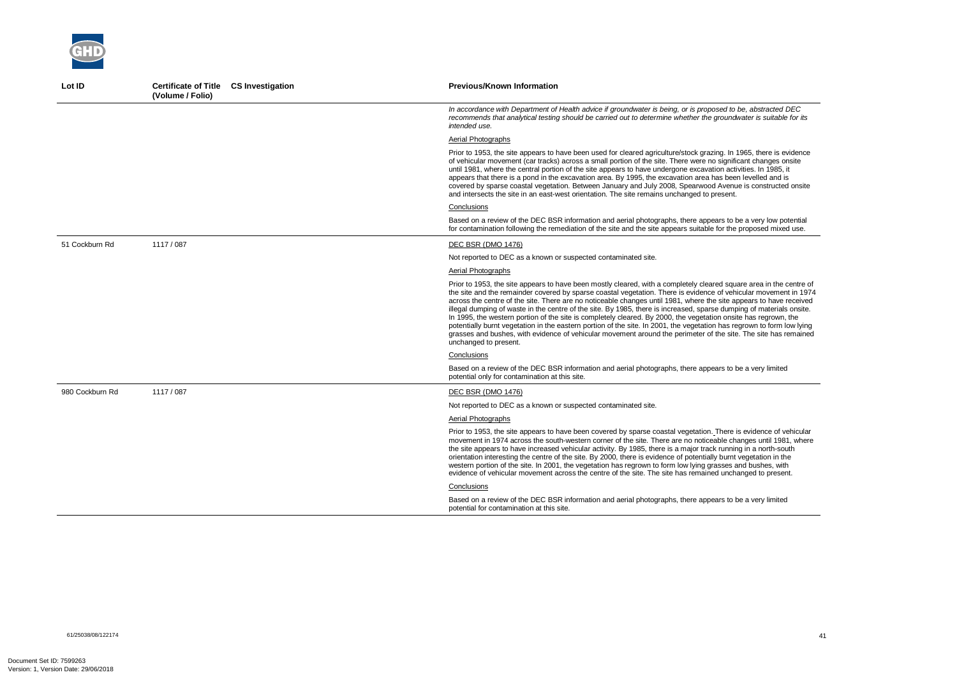| Lot ID          | <b>Certificate of Title CS Investigation</b><br>(Volume / Folio) | <b>Previous/Known Information</b>                                                                                                                                                                                                                                                                                                                                                                                                                                                                                                                                                                                                                                                                                                                                                                                                                                              |
|-----------------|------------------------------------------------------------------|--------------------------------------------------------------------------------------------------------------------------------------------------------------------------------------------------------------------------------------------------------------------------------------------------------------------------------------------------------------------------------------------------------------------------------------------------------------------------------------------------------------------------------------------------------------------------------------------------------------------------------------------------------------------------------------------------------------------------------------------------------------------------------------------------------------------------------------------------------------------------------|
|                 |                                                                  | In accordance with Department of Health advice if groundwater is being, or is proposed to be, abstracted DEC<br>recommends that analytical testing should be carried out to determine whether the groundwater is suitable for its<br>intended use.                                                                                                                                                                                                                                                                                                                                                                                                                                                                                                                                                                                                                             |
|                 |                                                                  | Aerial Photographs                                                                                                                                                                                                                                                                                                                                                                                                                                                                                                                                                                                                                                                                                                                                                                                                                                                             |
|                 |                                                                  | Prior to 1953, the site appears to have been used for cleared agriculture/stock grazing. In 1965, there is evidence<br>of vehicular movement (car tracks) across a small portion of the site. There were no significant changes onsite<br>until 1981, where the central portion of the site appears to have undergone excavation activities. In 1985, it<br>appears that there is a pond in the excavation area. By 1995, the excavation area has been levelled and is<br>covered by sparse coastal vegetation. Between January and July 2008, Spearwood Avenue is constructed onsite<br>and intersects the site in an east-west orientation. The site remains unchanged to present.                                                                                                                                                                                           |
|                 |                                                                  | Conclusions                                                                                                                                                                                                                                                                                                                                                                                                                                                                                                                                                                                                                                                                                                                                                                                                                                                                    |
|                 |                                                                  | Based on a review of the DEC BSR information and aerial photographs, there appears to be a very low potential<br>for contamination following the remediation of the site and the site appears suitable for the proposed mixed use.                                                                                                                                                                                                                                                                                                                                                                                                                                                                                                                                                                                                                                             |
| 51 Cockburn Rd  | 1117 / 087                                                       | <b>DEC BSR (DMO 1476)</b>                                                                                                                                                                                                                                                                                                                                                                                                                                                                                                                                                                                                                                                                                                                                                                                                                                                      |
|                 |                                                                  | Not reported to DEC as a known or suspected contaminated site.                                                                                                                                                                                                                                                                                                                                                                                                                                                                                                                                                                                                                                                                                                                                                                                                                 |
|                 |                                                                  | Aerial Photographs                                                                                                                                                                                                                                                                                                                                                                                                                                                                                                                                                                                                                                                                                                                                                                                                                                                             |
|                 |                                                                  | Prior to 1953, the site appears to have been mostly cleared, with a completely cleared square area in the centre of<br>the site and the remainder covered by sparse coastal vegetation. There is evidence of vehicular movement in 1974<br>across the centre of the site. There are no noticeable changes until 1981, where the site appears to have received<br>illegal dumping of waste in the centre of the site. By 1985, there is increased, sparse dumping of materials onsite.<br>In 1995, the western portion of the site is completely cleared. By 2000, the vegetation onsite has regrown, the<br>potentially burnt vegetation in the eastern portion of the site. In 2001, the vegetation has regrown to form low lying<br>grasses and bushes, with evidence of vehicular movement around the perimeter of the site. The site has remained<br>unchanged to present. |
|                 |                                                                  | Conclusions                                                                                                                                                                                                                                                                                                                                                                                                                                                                                                                                                                                                                                                                                                                                                                                                                                                                    |
|                 |                                                                  | Based on a review of the DEC BSR information and aerial photographs, there appears to be a very limited<br>potential only for contamination at this site.                                                                                                                                                                                                                                                                                                                                                                                                                                                                                                                                                                                                                                                                                                                      |
| 980 Cockburn Rd | 1117 / 087                                                       | DEC BSR (DMO 1476)                                                                                                                                                                                                                                                                                                                                                                                                                                                                                                                                                                                                                                                                                                                                                                                                                                                             |
|                 |                                                                  | Not reported to DEC as a known or suspected contaminated site.                                                                                                                                                                                                                                                                                                                                                                                                                                                                                                                                                                                                                                                                                                                                                                                                                 |
|                 |                                                                  | Aerial Photographs                                                                                                                                                                                                                                                                                                                                                                                                                                                                                                                                                                                                                                                                                                                                                                                                                                                             |
|                 |                                                                  | Prior to 1953, the site appears to have been covered by sparse coastal vegetation. There is evidence of vehicular<br>movement in 1974 across the south-western corner of the site. There are no noticeable changes until 1981, where<br>the site appears to have increased vehicular activity. By 1985, there is a major track running in a north-south<br>orientation interesting the centre of the site. By 2000, there is evidence of potentially burnt vegetation in the<br>western portion of the site. In 2001, the vegetation has regrown to form low lying grasses and bushes, with<br>evidence of vehicular movement across the centre of the site. The site has remained unchanged to present.                                                                                                                                                                       |
|                 |                                                                  | Conclusions                                                                                                                                                                                                                                                                                                                                                                                                                                                                                                                                                                                                                                                                                                                                                                                                                                                                    |
|                 |                                                                  | Based on a review of the DEC BSR information and aerial photographs, there appears to be a very limited<br>potential for contamination at this site.                                                                                                                                                                                                                                                                                                                                                                                                                                                                                                                                                                                                                                                                                                                           |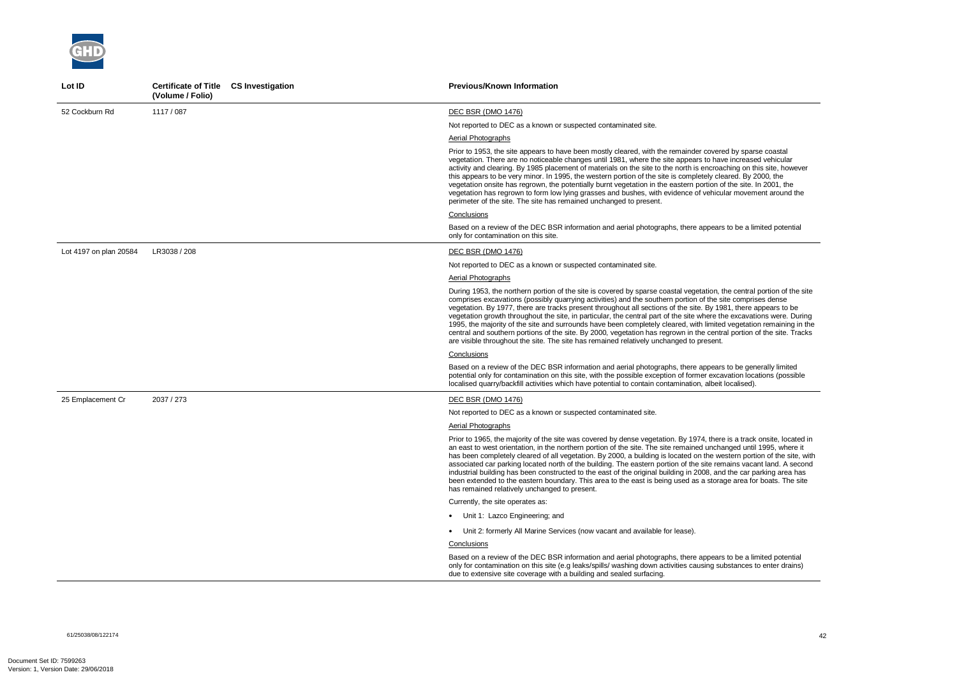61/25038/08/122174 42



| Lot ID                 | Certificate of Title CS Investigation<br>(Volume / Folio) | <b>Previous/Known Information</b>                                                                                                                                                                                                                                                                                                                                                                                                                                                                                                                                                                                                                                                                                                                                                                                           |
|------------------------|-----------------------------------------------------------|-----------------------------------------------------------------------------------------------------------------------------------------------------------------------------------------------------------------------------------------------------------------------------------------------------------------------------------------------------------------------------------------------------------------------------------------------------------------------------------------------------------------------------------------------------------------------------------------------------------------------------------------------------------------------------------------------------------------------------------------------------------------------------------------------------------------------------|
| 52 Cockburn Rd         | 1117 / 087                                                | <b>DEC BSR (DMO 1476)</b>                                                                                                                                                                                                                                                                                                                                                                                                                                                                                                                                                                                                                                                                                                                                                                                                   |
|                        |                                                           | Not reported to DEC as a known or suspected contaminated site.                                                                                                                                                                                                                                                                                                                                                                                                                                                                                                                                                                                                                                                                                                                                                              |
|                        |                                                           | Aerial Photographs                                                                                                                                                                                                                                                                                                                                                                                                                                                                                                                                                                                                                                                                                                                                                                                                          |
|                        |                                                           | Prior to 1953, the site appears to have been mostly cleared, with the remainder covered by sparse coastal<br>vegetation. There are no noticeable changes until 1981, where the site appears to have increased vehicular<br>activity and clearing. By 1985 placement of materials on the site to the north is encroaching on this site, however<br>this appears to be very minor. In 1995, the western portion of the site is completely cleared. By 2000, the<br>vegetation onsite has regrown, the potentially burnt vegetation in the eastern portion of the site. In 2001, the<br>vegetation has regrown to form low lying grasses and bushes, with evidence of vehicular movement around the<br>perimeter of the site. The site has remained unchanged to present.                                                      |
|                        |                                                           | Conclusions                                                                                                                                                                                                                                                                                                                                                                                                                                                                                                                                                                                                                                                                                                                                                                                                                 |
|                        |                                                           | Based on a review of the DEC BSR information and aerial photographs, there appears to be a limited potential<br>only for contamination on this site.                                                                                                                                                                                                                                                                                                                                                                                                                                                                                                                                                                                                                                                                        |
| Lot 4197 on plan 20584 | LR3038 / 208                                              | DEC BSR (DMO 1476)                                                                                                                                                                                                                                                                                                                                                                                                                                                                                                                                                                                                                                                                                                                                                                                                          |
|                        |                                                           | Not reported to DEC as a known or suspected contaminated site.                                                                                                                                                                                                                                                                                                                                                                                                                                                                                                                                                                                                                                                                                                                                                              |
|                        |                                                           | <b>Aerial Photographs</b>                                                                                                                                                                                                                                                                                                                                                                                                                                                                                                                                                                                                                                                                                                                                                                                                   |
|                        |                                                           | During 1953, the northern portion of the site is covered by sparse coastal vegetation, the central portion of the site<br>comprises excavations (possibly quarrying activities) and the southern portion of the site comprises dense<br>vegetation. By 1977, there are tracks present throughout all sections of the site. By 1981, there appears to be<br>vegetation growth throughout the site, in particular, the central part of the site where the excavations were. During<br>1995, the majority of the site and surrounds have been completely cleared, with limited vegetation remaining in the<br>central and southern portions of the site. By 2000, vegetation has regrown in the central portion of the site. Tracks<br>are visible throughout the site. The site has remained relatively unchanged to present. |
|                        |                                                           | Conclusions                                                                                                                                                                                                                                                                                                                                                                                                                                                                                                                                                                                                                                                                                                                                                                                                                 |
|                        |                                                           | Based on a review of the DEC BSR information and aerial photographs, there appears to be generally limited<br>potential only for contamination on this site, with the possible exception of former excavation locations (possible<br>localised quarry/backfill activities which have potential to contain contamination, albeit localised).                                                                                                                                                                                                                                                                                                                                                                                                                                                                                 |
| 25 Emplacement Cr      | 2037 / 273                                                | DEC BSR (DMO 1476)                                                                                                                                                                                                                                                                                                                                                                                                                                                                                                                                                                                                                                                                                                                                                                                                          |
|                        |                                                           | Not reported to DEC as a known or suspected contaminated site.                                                                                                                                                                                                                                                                                                                                                                                                                                                                                                                                                                                                                                                                                                                                                              |
|                        |                                                           | Aerial Photographs                                                                                                                                                                                                                                                                                                                                                                                                                                                                                                                                                                                                                                                                                                                                                                                                          |
|                        |                                                           | Prior to 1965, the majority of the site was covered by dense vegetation. By 1974, there is a track onsite, located in<br>an east to west orientation, in the northern portion of the site. The site remained unchanged until 1995, where it<br>has been completely cleared of all vegetation. By 2000, a building is located on the western portion of the site, with<br>associated car parking located north of the building. The eastern portion of the site remains vacant land. A second<br>industrial building has been constructed to the east of the original building in 2008, and the car parking area has<br>been extended to the eastern boundary. This area to the east is being used as a storage area for boats. The site<br>has remained relatively unchanged to present.                                    |
|                        |                                                           | Currently, the site operates as:                                                                                                                                                                                                                                                                                                                                                                                                                                                                                                                                                                                                                                                                                                                                                                                            |
|                        |                                                           | • Unit 1: Lazco Engineering; and                                                                                                                                                                                                                                                                                                                                                                                                                                                                                                                                                                                                                                                                                                                                                                                            |
|                        |                                                           | • Unit 2: formerly All Marine Services (now vacant and available for lease).                                                                                                                                                                                                                                                                                                                                                                                                                                                                                                                                                                                                                                                                                                                                                |
|                        |                                                           | <b>Conclusions</b>                                                                                                                                                                                                                                                                                                                                                                                                                                                                                                                                                                                                                                                                                                                                                                                                          |
|                        |                                                           | Based on a review of the DEC BSR information and aerial photographs, there appears to be a limited potential<br>only for contamination on this site (e.g leaks/spills/ washing down activities causing substances to enter drains)<br>due to extensive site coverage with a building and sealed surfacing.                                                                                                                                                                                                                                                                                                                                                                                                                                                                                                                  |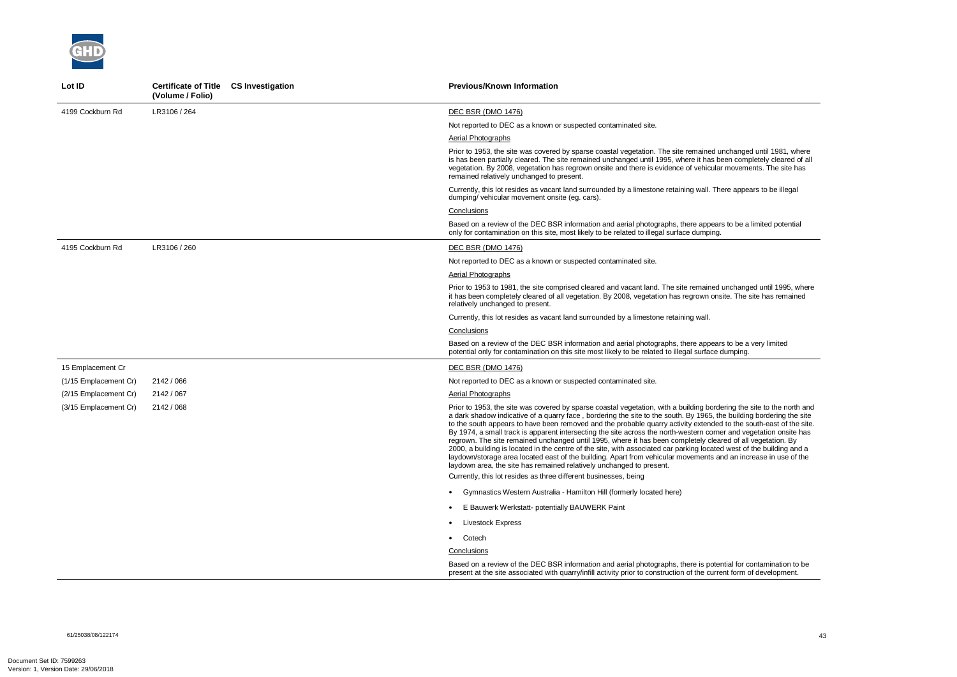61/25038/08/122174 43



| Lot ID                | Certificate of Title CS Investigation<br>(Volume / Folio) | <b>Previous/Known Information</b>                                                                                                                                                                                                                                                                                                                                                                                                                                                                                                                                                                                                                                                                                                                                                                                                                                                                                            |
|-----------------------|-----------------------------------------------------------|------------------------------------------------------------------------------------------------------------------------------------------------------------------------------------------------------------------------------------------------------------------------------------------------------------------------------------------------------------------------------------------------------------------------------------------------------------------------------------------------------------------------------------------------------------------------------------------------------------------------------------------------------------------------------------------------------------------------------------------------------------------------------------------------------------------------------------------------------------------------------------------------------------------------------|
| 4199 Cockburn Rd      | LR3106 / 264                                              | <b>DEC BSR (DMO 1476)</b>                                                                                                                                                                                                                                                                                                                                                                                                                                                                                                                                                                                                                                                                                                                                                                                                                                                                                                    |
|                       |                                                           | Not reported to DEC as a known or suspected contaminated site.                                                                                                                                                                                                                                                                                                                                                                                                                                                                                                                                                                                                                                                                                                                                                                                                                                                               |
|                       |                                                           | Aerial Photographs                                                                                                                                                                                                                                                                                                                                                                                                                                                                                                                                                                                                                                                                                                                                                                                                                                                                                                           |
|                       |                                                           | Prior to 1953, the site was covered by sparse coastal vegetation. The site remained unchanged until 1981, where<br>is has been partially cleared. The site remained unchanged until 1995, where it has been completely cleared of all<br>vegetation. By 2008, vegetation has regrown onsite and there is evidence of vehicular movements. The site has<br>remained relatively unchanged to present.                                                                                                                                                                                                                                                                                                                                                                                                                                                                                                                          |
|                       |                                                           | Currently, this lot resides as vacant land surrounded by a limestone retaining wall. There appears to be illegal<br>dumping/vehicular movement onsite (eg. cars).                                                                                                                                                                                                                                                                                                                                                                                                                                                                                                                                                                                                                                                                                                                                                            |
|                       |                                                           | Conclusions                                                                                                                                                                                                                                                                                                                                                                                                                                                                                                                                                                                                                                                                                                                                                                                                                                                                                                                  |
|                       |                                                           | Based on a review of the DEC BSR information and aerial photographs, there appears to be a limited potential<br>only for contamination on this site, most likely to be related to illegal surface dumping.                                                                                                                                                                                                                                                                                                                                                                                                                                                                                                                                                                                                                                                                                                                   |
| 4195 Cockburn Rd      | LR3106 / 260                                              | <b>DEC BSR (DMO 1476)</b>                                                                                                                                                                                                                                                                                                                                                                                                                                                                                                                                                                                                                                                                                                                                                                                                                                                                                                    |
|                       |                                                           | Not reported to DEC as a known or suspected contaminated site.                                                                                                                                                                                                                                                                                                                                                                                                                                                                                                                                                                                                                                                                                                                                                                                                                                                               |
|                       |                                                           | Aerial Photographs                                                                                                                                                                                                                                                                                                                                                                                                                                                                                                                                                                                                                                                                                                                                                                                                                                                                                                           |
|                       |                                                           | Prior to 1953 to 1981, the site comprised cleared and vacant land. The site remained unchanged until 1995, where<br>it has been completely cleared of all vegetation. By 2008, vegetation has regrown onsite. The site has remained<br>relatively unchanged to present.                                                                                                                                                                                                                                                                                                                                                                                                                                                                                                                                                                                                                                                      |
|                       |                                                           | Currently, this lot resides as vacant land surrounded by a limestone retaining wall.                                                                                                                                                                                                                                                                                                                                                                                                                                                                                                                                                                                                                                                                                                                                                                                                                                         |
|                       |                                                           | Conclusions                                                                                                                                                                                                                                                                                                                                                                                                                                                                                                                                                                                                                                                                                                                                                                                                                                                                                                                  |
|                       |                                                           | Based on a review of the DEC BSR information and aerial photographs, there appears to be a very limited<br>potential only for contamination on this site most likely to be related to illegal surface dumping.                                                                                                                                                                                                                                                                                                                                                                                                                                                                                                                                                                                                                                                                                                               |
| 15 Emplacement Cr     |                                                           | <b>DEC BSR (DMO 1476)</b>                                                                                                                                                                                                                                                                                                                                                                                                                                                                                                                                                                                                                                                                                                                                                                                                                                                                                                    |
| (1/15 Emplacement Cr) | 2142 / 066                                                | Not reported to DEC as a known or suspected contaminated site.                                                                                                                                                                                                                                                                                                                                                                                                                                                                                                                                                                                                                                                                                                                                                                                                                                                               |
| (2/15 Emplacement Cr) | 2142 / 067                                                | Aerial Photographs                                                                                                                                                                                                                                                                                                                                                                                                                                                                                                                                                                                                                                                                                                                                                                                                                                                                                                           |
| (3/15 Emplacement Cr) | 2142 / 068                                                | Prior to 1953, the site was covered by sparse coastal vegetation, with a building bordering the site to the north and<br>a dark shadow indicative of a quarry face, bordering the site to the south. By 1965, the building bordering the site<br>to the south appears to have been removed and the probable quarry activity extended to the south-east of the site.<br>By 1974, a small track is apparent intersecting the site across the north-western corner and vegetation onsite has<br>regrown. The site remained unchanged until 1995, where it has been completely cleared of all vegetation. By<br>2000, a building is located in the centre of the site, with associated car parking located west of the building and a<br>laydown/storage area located east of the building. Apart from vehicular movements and an increase in use of the<br>laydown area, the site has remained relatively unchanged to present. |
|                       |                                                           | Currently, this lot resides as three different businesses, being                                                                                                                                                                                                                                                                                                                                                                                                                                                                                                                                                                                                                                                                                                                                                                                                                                                             |
|                       |                                                           | • Gymnastics Western Australia - Hamilton Hill (formerly located here)                                                                                                                                                                                                                                                                                                                                                                                                                                                                                                                                                                                                                                                                                                                                                                                                                                                       |
|                       |                                                           | E Bauwerk Werkstatt- potentially BAUWERK Paint                                                                                                                                                                                                                                                                                                                                                                                                                                                                                                                                                                                                                                                                                                                                                                                                                                                                               |
|                       |                                                           | Livestock Express                                                                                                                                                                                                                                                                                                                                                                                                                                                                                                                                                                                                                                                                                                                                                                                                                                                                                                            |
|                       |                                                           | • Cotech                                                                                                                                                                                                                                                                                                                                                                                                                                                                                                                                                                                                                                                                                                                                                                                                                                                                                                                     |
|                       |                                                           | Conclusions                                                                                                                                                                                                                                                                                                                                                                                                                                                                                                                                                                                                                                                                                                                                                                                                                                                                                                                  |
|                       |                                                           | Based on a review of the DEC BSR information and aerial photographs, there is potential for contamination to be<br>present at the site associated with quarry/infill activity prior to construction of the current form of development.                                                                                                                                                                                                                                                                                                                                                                                                                                                                                                                                                                                                                                                                                      |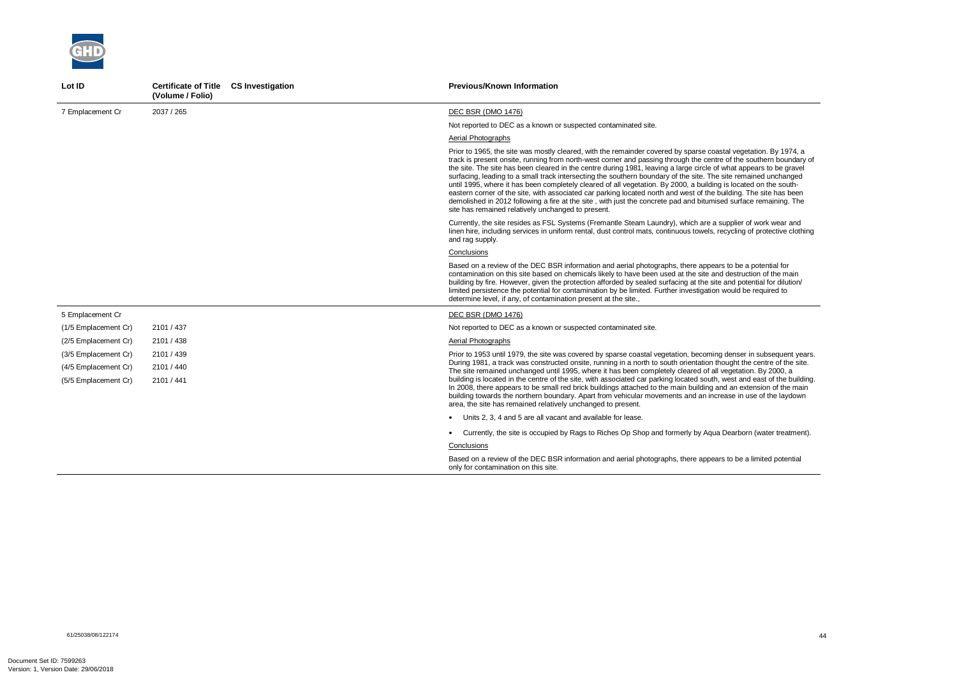

| Lot ID               | Certificate of Title CS Investigation<br>(Volume / Folio) | <b>Previous/Known Information</b>                                                                                                                                                                                                                                                                                                                                                                                                                                                                                                                                                                                                                                                                                                                                                                                                                                                                 |
|----------------------|-----------------------------------------------------------|---------------------------------------------------------------------------------------------------------------------------------------------------------------------------------------------------------------------------------------------------------------------------------------------------------------------------------------------------------------------------------------------------------------------------------------------------------------------------------------------------------------------------------------------------------------------------------------------------------------------------------------------------------------------------------------------------------------------------------------------------------------------------------------------------------------------------------------------------------------------------------------------------|
| 7 Emplacement Cr     | 2037 / 265                                                | DEC BSR (DMO 1476)                                                                                                                                                                                                                                                                                                                                                                                                                                                                                                                                                                                                                                                                                                                                                                                                                                                                                |
|                      |                                                           | Not reported to DEC as a known or suspected contaminated site.                                                                                                                                                                                                                                                                                                                                                                                                                                                                                                                                                                                                                                                                                                                                                                                                                                    |
|                      |                                                           | Aerial Photographs                                                                                                                                                                                                                                                                                                                                                                                                                                                                                                                                                                                                                                                                                                                                                                                                                                                                                |
|                      |                                                           | Prior to 1965, the site was mostly cleared, with the remainder covered by sparse coastal vegetation. By 1974, a<br>track is present onsite, running from north-west corner and passing through the centre of the southern boundary of<br>the site. The site has been cleared in the centre during 1981, leaving a large circle of what appears to be gravel<br>surfacing, leading to a small track intersecting the southern boundary of the site. The site remained unchanged<br>until 1995, where it has been completely cleared of all vegetation. By 2000, a building is located on the south-<br>eastern corner of the site, with associated car parking located north and west of the building. The site has been<br>demolished in 2012 following a fire at the site, with just the concrete pad and bitumised surface remaining. The<br>site has remained relatively unchanged to present. |
|                      |                                                           | Currently, the site resides as FSL Systems (Fremantle Steam Laundry), which are a supplier of work wear and<br>linen hire, including services in uniform rental, dust control mats, continuous towels, recycling of protective clothing<br>and rag supply.                                                                                                                                                                                                                                                                                                                                                                                                                                                                                                                                                                                                                                        |
|                      |                                                           | Conclusions                                                                                                                                                                                                                                                                                                                                                                                                                                                                                                                                                                                                                                                                                                                                                                                                                                                                                       |
|                      |                                                           | Based on a review of the DEC BSR information and aerial photographs, there appears to be a potential for<br>contamination on this site based on chemicals likely to have been used at the site and destruction of the main<br>building by fire. However, given the protection afforded by sealed surfacing at the site and potential for dilution/<br>limited persistence the potential for contamination by be limited. Further investigation would be required to<br>determine level, if any, of contamination present at the site.,                                                                                                                                                                                                                                                                                                                                                            |
| 5 Emplacement Cr     |                                                           | DEC BSR (DMO 1476)                                                                                                                                                                                                                                                                                                                                                                                                                                                                                                                                                                                                                                                                                                                                                                                                                                                                                |
| (1/5 Emplacement Cr) | 2101 / 437                                                | Not reported to DEC as a known or suspected contaminated site.                                                                                                                                                                                                                                                                                                                                                                                                                                                                                                                                                                                                                                                                                                                                                                                                                                    |
| (2/5 Emplacement Cr) | 2101 / 438                                                | Aerial Photographs                                                                                                                                                                                                                                                                                                                                                                                                                                                                                                                                                                                                                                                                                                                                                                                                                                                                                |
| (3/5 Emplacement Cr) | 2101 / 439                                                | Prior to 1953 until 1979, the site was covered by sparse coastal vegetation, becoming denser in subsequent years.                                                                                                                                                                                                                                                                                                                                                                                                                                                                                                                                                                                                                                                                                                                                                                                 |
| (4/5 Emplacement Cr) | 2101 / 440                                                | During 1981, a track was constructed onsite, running in a north to south orientation thought the centre of the site.<br>The site remained unchanged until 1995, where it has been completely cleared of all vegetation. By 2000, a                                                                                                                                                                                                                                                                                                                                                                                                                                                                                                                                                                                                                                                                |
| (5/5 Emplacement Cr) | 2101 / 441                                                | building is located in the centre of the site, with associated car parking located south, west and east of the building.<br>In 2008, there appears to be small red brick buildings attached to the main building and an extension of the main<br>building towards the northern boundary. Apart from vehicular movements and an increase in use of the laydown<br>area, the site has remained relatively unchanged to present.                                                                                                                                                                                                                                                                                                                                                                                                                                                                     |
|                      |                                                           | • Units 2, 3, 4 and 5 are all vacant and available for lease.                                                                                                                                                                                                                                                                                                                                                                                                                                                                                                                                                                                                                                                                                                                                                                                                                                     |
|                      |                                                           | Currently, the site is occupied by Rags to Riches Op Shop and formerly by Aqua Dearborn (water treatment).                                                                                                                                                                                                                                                                                                                                                                                                                                                                                                                                                                                                                                                                                                                                                                                        |
|                      |                                                           | Conclusions                                                                                                                                                                                                                                                                                                                                                                                                                                                                                                                                                                                                                                                                                                                                                                                                                                                                                       |
|                      |                                                           | Based on a review of the DEC BSR information and aerial photographs, there appears to be a limited potential<br>only for contamination on this site.                                                                                                                                                                                                                                                                                                                                                                                                                                                                                                                                                                                                                                                                                                                                              |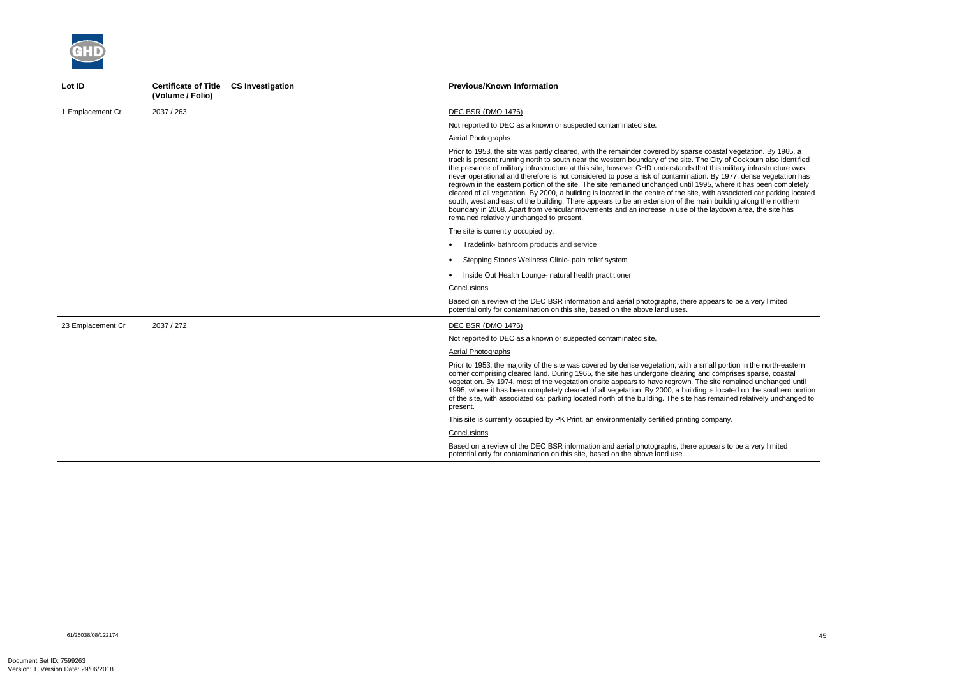

| Lot ID            | Certificate of Title CS Investigation<br>(Volume / Folio) | <b>Previous/Known Information</b>                                                                                                                                                                                                                                                                                                                                                                                                                                                                                                                                                                                                                                                                                                                                                                                                                                                                                                                                                                             |
|-------------------|-----------------------------------------------------------|---------------------------------------------------------------------------------------------------------------------------------------------------------------------------------------------------------------------------------------------------------------------------------------------------------------------------------------------------------------------------------------------------------------------------------------------------------------------------------------------------------------------------------------------------------------------------------------------------------------------------------------------------------------------------------------------------------------------------------------------------------------------------------------------------------------------------------------------------------------------------------------------------------------------------------------------------------------------------------------------------------------|
| 1 Emplacement Cr  | 2037 / 263                                                | DEC BSR (DMO 1476)                                                                                                                                                                                                                                                                                                                                                                                                                                                                                                                                                                                                                                                                                                                                                                                                                                                                                                                                                                                            |
|                   |                                                           | Not reported to DEC as a known or suspected contaminated site.                                                                                                                                                                                                                                                                                                                                                                                                                                                                                                                                                                                                                                                                                                                                                                                                                                                                                                                                                |
|                   |                                                           | Aerial Photographs                                                                                                                                                                                                                                                                                                                                                                                                                                                                                                                                                                                                                                                                                                                                                                                                                                                                                                                                                                                            |
|                   |                                                           | Prior to 1953, the site was partly cleared, with the remainder covered by sparse coastal vegetation. By 1965, a<br>track is present running north to south near the western boundary of the site. The City of Cockburn also identified<br>the presence of military infrastructure at this site, however GHD understands that this military infrastructure was<br>never operational and therefore is not considered to pose a risk of contamination. By 1977, dense vegetation has<br>regrown in the eastern portion of the site. The site remained unchanged until 1995, where it has been completely<br>cleared of all vegetation. By 2000, a building is located in the centre of the site, with associated car parking located<br>south, west and east of the building. There appears to be an extension of the main building along the northern<br>boundary in 2008. Apart from vehicular movements and an increase in use of the laydown area, the site has<br>remained relatively unchanged to present. |
|                   |                                                           | The site is currently occupied by:                                                                                                                                                                                                                                                                                                                                                                                                                                                                                                                                                                                                                                                                                                                                                                                                                                                                                                                                                                            |
|                   |                                                           | • Tradelink- bathroom products and service                                                                                                                                                                                                                                                                                                                                                                                                                                                                                                                                                                                                                                                                                                                                                                                                                                                                                                                                                                    |
|                   |                                                           | Stepping Stones Wellness Clinic- pain relief system                                                                                                                                                                                                                                                                                                                                                                                                                                                                                                                                                                                                                                                                                                                                                                                                                                                                                                                                                           |
|                   |                                                           | Inside Out Health Lounge- natural health practitioner                                                                                                                                                                                                                                                                                                                                                                                                                                                                                                                                                                                                                                                                                                                                                                                                                                                                                                                                                         |
|                   |                                                           | Conclusions                                                                                                                                                                                                                                                                                                                                                                                                                                                                                                                                                                                                                                                                                                                                                                                                                                                                                                                                                                                                   |
|                   |                                                           | Based on a review of the DEC BSR information and aerial photographs, there appears to be a very limited<br>potential only for contamination on this site, based on the above land uses.                                                                                                                                                                                                                                                                                                                                                                                                                                                                                                                                                                                                                                                                                                                                                                                                                       |
| 23 Emplacement Cr | 2037 / 272                                                | DEC BSR (DMO 1476)                                                                                                                                                                                                                                                                                                                                                                                                                                                                                                                                                                                                                                                                                                                                                                                                                                                                                                                                                                                            |
|                   |                                                           | Not reported to DEC as a known or suspected contaminated site.                                                                                                                                                                                                                                                                                                                                                                                                                                                                                                                                                                                                                                                                                                                                                                                                                                                                                                                                                |
|                   |                                                           | Aerial Photographs                                                                                                                                                                                                                                                                                                                                                                                                                                                                                                                                                                                                                                                                                                                                                                                                                                                                                                                                                                                            |
|                   |                                                           | Prior to 1953, the majority of the site was covered by dense vegetation, with a small portion in the north-eastern<br>corner comprising cleared land. During 1965, the site has undergone clearing and comprises sparse, coastal<br>vegetation. By 1974, most of the vegetation onsite appears to have regrown. The site remained unchanged until<br>1995, where it has been completely cleared of all vegetation. By 2000, a building is located on the southern portion<br>of the site, with associated car parking located north of the building. The site has remained relatively unchanged to<br>present.                                                                                                                                                                                                                                                                                                                                                                                                |
|                   |                                                           | This site is currently occupied by PK Print, an environmentally certified printing company.                                                                                                                                                                                                                                                                                                                                                                                                                                                                                                                                                                                                                                                                                                                                                                                                                                                                                                                   |
|                   |                                                           | Conclusions                                                                                                                                                                                                                                                                                                                                                                                                                                                                                                                                                                                                                                                                                                                                                                                                                                                                                                                                                                                                   |
|                   |                                                           | Based on a review of the DEC BSR information and aerial photographs, there appears to be a very limited<br>potential only for contamination on this site, based on the above land use.                                                                                                                                                                                                                                                                                                                                                                                                                                                                                                                                                                                                                                                                                                                                                                                                                        |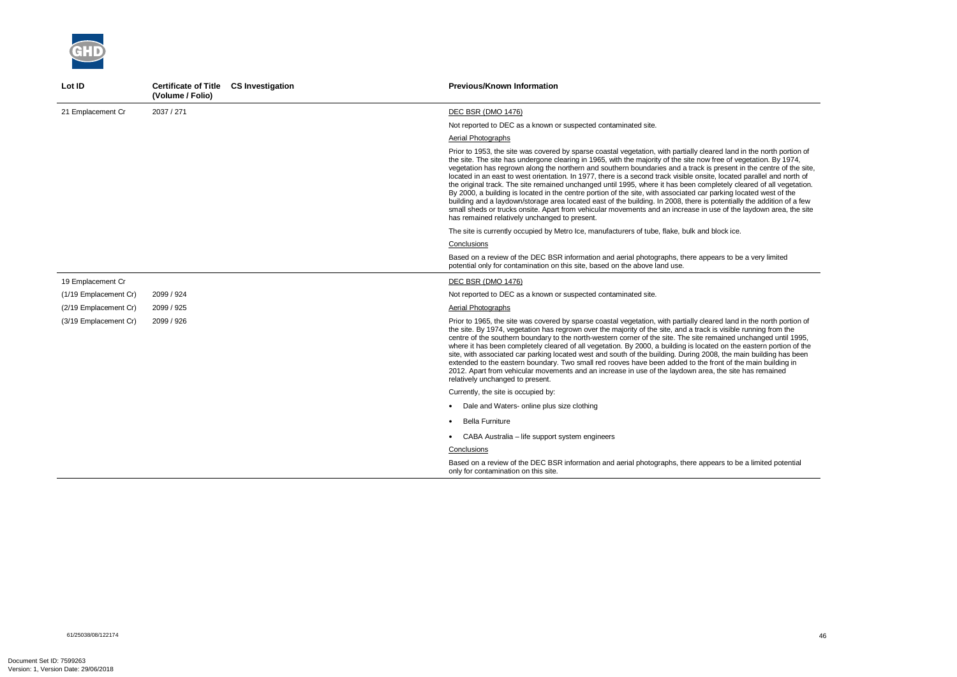

| Lot ID                | Certificate of Title CS Investigation<br>(Volume / Folio) | <b>Previous/Known Information</b>                                                                                                                                                                                                                                                                                                                                                                                                                                                                                                                                                                                                                                                                                                                                                                                                                                                                                                                                                                                                      |
|-----------------------|-----------------------------------------------------------|----------------------------------------------------------------------------------------------------------------------------------------------------------------------------------------------------------------------------------------------------------------------------------------------------------------------------------------------------------------------------------------------------------------------------------------------------------------------------------------------------------------------------------------------------------------------------------------------------------------------------------------------------------------------------------------------------------------------------------------------------------------------------------------------------------------------------------------------------------------------------------------------------------------------------------------------------------------------------------------------------------------------------------------|
| 21 Emplacement Cr     | 2037 / 271                                                | <b>DEC BSR (DMO 1476)</b>                                                                                                                                                                                                                                                                                                                                                                                                                                                                                                                                                                                                                                                                                                                                                                                                                                                                                                                                                                                                              |
|                       |                                                           | Not reported to DEC as a known or suspected contaminated site.                                                                                                                                                                                                                                                                                                                                                                                                                                                                                                                                                                                                                                                                                                                                                                                                                                                                                                                                                                         |
|                       |                                                           | Aerial Photographs                                                                                                                                                                                                                                                                                                                                                                                                                                                                                                                                                                                                                                                                                                                                                                                                                                                                                                                                                                                                                     |
|                       |                                                           | Prior to 1953, the site was covered by sparse coastal vegetation, with partially cleared land in the north portion of<br>the site. The site has undergone clearing in 1965, with the majority of the site now free of vegetation. By 1974,<br>vegetation has regrown along the northern and southern boundaries and a track is present in the centre of the site,<br>located in an east to west orientation. In 1977, there is a second track visible onsite, located parallel and north of<br>the original track. The site remained unchanged until 1995, where it has been completely cleared of all vegetation.<br>By 2000, a building is located in the centre portion of the site, with associated car parking located west of the<br>building and a laydown/storage area located east of the building. In 2008, there is potentially the addition of a few<br>small sheds or trucks onsite. Apart from vehicular movements and an increase in use of the laydown area, the site<br>has remained relatively unchanged to present. |
|                       |                                                           | The site is currently occupied by Metro Ice, manufacturers of tube, flake, bulk and block ice.                                                                                                                                                                                                                                                                                                                                                                                                                                                                                                                                                                                                                                                                                                                                                                                                                                                                                                                                         |
|                       |                                                           | Conclusions                                                                                                                                                                                                                                                                                                                                                                                                                                                                                                                                                                                                                                                                                                                                                                                                                                                                                                                                                                                                                            |
|                       |                                                           | Based on a review of the DEC BSR information and aerial photographs, there appears to be a very limited<br>potential only for contamination on this site, based on the above land use.                                                                                                                                                                                                                                                                                                                                                                                                                                                                                                                                                                                                                                                                                                                                                                                                                                                 |
| 19 Emplacement Cr     |                                                           | DEC BSR (DMO 1476)                                                                                                                                                                                                                                                                                                                                                                                                                                                                                                                                                                                                                                                                                                                                                                                                                                                                                                                                                                                                                     |
| (1/19 Emplacement Cr) | 2099 / 924                                                | Not reported to DEC as a known or suspected contaminated site.                                                                                                                                                                                                                                                                                                                                                                                                                                                                                                                                                                                                                                                                                                                                                                                                                                                                                                                                                                         |
| (2/19 Emplacement Cr) | 2099 / 925                                                | Aerial Photographs                                                                                                                                                                                                                                                                                                                                                                                                                                                                                                                                                                                                                                                                                                                                                                                                                                                                                                                                                                                                                     |
| (3/19 Emplacement Cr) | 2099 / 926                                                | Prior to 1965, the site was covered by sparse coastal vegetation, with partially cleared land in the north portion of<br>the site. By 1974, vegetation has regrown over the majority of the site, and a track is visible running from the<br>centre of the southern boundary to the north-western corner of the site. The site remained unchanged until 1995,<br>where it has been completely cleared of all vegetation. By 2000, a building is located on the eastern portion of the<br>site, with associated car parking located west and south of the building. During 2008, the main building has been<br>extended to the eastern boundary. Two small red rooves have been added to the front of the main building in<br>2012. Apart from vehicular movements and an increase in use of the laydown area, the site has remained<br>relatively unchanged to present.                                                                                                                                                                |
|                       |                                                           | Currently, the site is occupied by:                                                                                                                                                                                                                                                                                                                                                                                                                                                                                                                                                                                                                                                                                                                                                                                                                                                                                                                                                                                                    |
|                       |                                                           | Dale and Waters- online plus size clothing                                                                                                                                                                                                                                                                                                                                                                                                                                                                                                                                                                                                                                                                                                                                                                                                                                                                                                                                                                                             |
|                       |                                                           | <b>Bella Furniture</b>                                                                                                                                                                                                                                                                                                                                                                                                                                                                                                                                                                                                                                                                                                                                                                                                                                                                                                                                                                                                                 |
|                       |                                                           | • CABA Australia – life support system engineers                                                                                                                                                                                                                                                                                                                                                                                                                                                                                                                                                                                                                                                                                                                                                                                                                                                                                                                                                                                       |
|                       |                                                           | Conclusions                                                                                                                                                                                                                                                                                                                                                                                                                                                                                                                                                                                                                                                                                                                                                                                                                                                                                                                                                                                                                            |
|                       |                                                           | Based on a review of the DEC BSR information and aerial photographs, there appears to be a limited potential<br>only for contamination on this site.                                                                                                                                                                                                                                                                                                                                                                                                                                                                                                                                                                                                                                                                                                                                                                                                                                                                                   |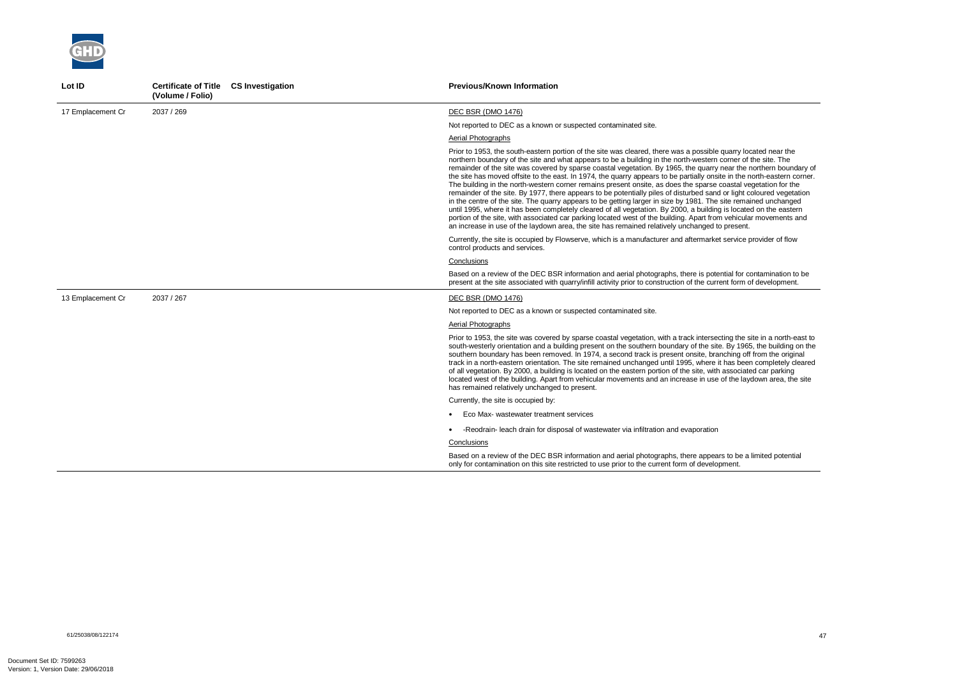

| Lot ID            | Certificate of Title CS Investigation<br>(Volume / Folio) | <b>Previous/Known Information</b>                                                                                                                                                                                                                                                                                                                                                                                                                                                                                                                                                                                                                                                                                                                                                                                                                                                                                                                                                                                                                                                                                                                                                       |
|-------------------|-----------------------------------------------------------|-----------------------------------------------------------------------------------------------------------------------------------------------------------------------------------------------------------------------------------------------------------------------------------------------------------------------------------------------------------------------------------------------------------------------------------------------------------------------------------------------------------------------------------------------------------------------------------------------------------------------------------------------------------------------------------------------------------------------------------------------------------------------------------------------------------------------------------------------------------------------------------------------------------------------------------------------------------------------------------------------------------------------------------------------------------------------------------------------------------------------------------------------------------------------------------------|
| 17 Emplacement Cr | 2037 / 269                                                | <b>DEC BSR (DMO 1476)</b>                                                                                                                                                                                                                                                                                                                                                                                                                                                                                                                                                                                                                                                                                                                                                                                                                                                                                                                                                                                                                                                                                                                                                               |
|                   |                                                           | Not reported to DEC as a known or suspected contaminated site.                                                                                                                                                                                                                                                                                                                                                                                                                                                                                                                                                                                                                                                                                                                                                                                                                                                                                                                                                                                                                                                                                                                          |
|                   |                                                           | Aerial Photographs                                                                                                                                                                                                                                                                                                                                                                                                                                                                                                                                                                                                                                                                                                                                                                                                                                                                                                                                                                                                                                                                                                                                                                      |
|                   |                                                           | Prior to 1953, the south-eastern portion of the site was cleared, there was a possible quarry located near the<br>northern boundary of the site and what appears to be a building in the north-western corner of the site. The<br>remainder of the site was covered by sparse coastal vegetation. By 1965, the quarry near the northern boundary of<br>the site has moved offsite to the east. In 1974, the quarry appears to be partially onsite in the north-eastern corner.<br>The building in the north-western corner remains present onsite, as does the sparse coastal vegetation for the<br>remainder of the site. By 1977, there appears to be potentially piles of disturbed sand or light coloured vegetation<br>in the centre of the site. The quarry appears to be getting larger in size by 1981. The site remained unchanged<br>until 1995, where it has been completely cleared of all vegetation. By 2000, a building is located on the eastern<br>portion of the site, with associated car parking located west of the building. Apart from vehicular movements and<br>an increase in use of the laydown area, the site has remained relatively unchanged to present. |
|                   |                                                           | Currently, the site is occupied by Flowserve, which is a manufacturer and aftermarket service provider of flow<br>control products and services.                                                                                                                                                                                                                                                                                                                                                                                                                                                                                                                                                                                                                                                                                                                                                                                                                                                                                                                                                                                                                                        |
|                   |                                                           | Conclusions                                                                                                                                                                                                                                                                                                                                                                                                                                                                                                                                                                                                                                                                                                                                                                                                                                                                                                                                                                                                                                                                                                                                                                             |
|                   |                                                           | Based on a review of the DEC BSR information and aerial photographs, there is potential for contamination to be<br>present at the site associated with quarry/infill activity prior to construction of the current form of development.                                                                                                                                                                                                                                                                                                                                                                                                                                                                                                                                                                                                                                                                                                                                                                                                                                                                                                                                                 |
| 13 Emplacement Cr | 2037 / 267                                                | DEC BSR (DMO 1476)                                                                                                                                                                                                                                                                                                                                                                                                                                                                                                                                                                                                                                                                                                                                                                                                                                                                                                                                                                                                                                                                                                                                                                      |
|                   |                                                           | Not reported to DEC as a known or suspected contaminated site.                                                                                                                                                                                                                                                                                                                                                                                                                                                                                                                                                                                                                                                                                                                                                                                                                                                                                                                                                                                                                                                                                                                          |
|                   |                                                           | Aerial Photographs                                                                                                                                                                                                                                                                                                                                                                                                                                                                                                                                                                                                                                                                                                                                                                                                                                                                                                                                                                                                                                                                                                                                                                      |
|                   |                                                           | Prior to 1953, the site was covered by sparse coastal vegetation, with a track intersecting the site in a north-east to<br>south-westerly orientation and a building present on the southern boundary of the site. By 1965, the building on the<br>southern boundary has been removed. In 1974, a second track is present onsite, branching off from the original<br>track in a north-eastern orientation. The site remained unchanged until 1995, where it has been completely cleared<br>of all vegetation. By 2000, a building is located on the eastern portion of the site, with associated car parking<br>located west of the building. Apart from vehicular movements and an increase in use of the laydown area, the site<br>has remained relatively unchanged to present.                                                                                                                                                                                                                                                                                                                                                                                                      |
|                   |                                                           | Currently, the site is occupied by:                                                                                                                                                                                                                                                                                                                                                                                                                                                                                                                                                                                                                                                                                                                                                                                                                                                                                                                                                                                                                                                                                                                                                     |
|                   |                                                           | Eco Max- wastewater treatment services                                                                                                                                                                                                                                                                                                                                                                                                                                                                                                                                                                                                                                                                                                                                                                                                                                                                                                                                                                                                                                                                                                                                                  |
|                   |                                                           | -Reodrain- leach drain for disposal of wastewater via infiltration and evaporation                                                                                                                                                                                                                                                                                                                                                                                                                                                                                                                                                                                                                                                                                                                                                                                                                                                                                                                                                                                                                                                                                                      |
|                   |                                                           | Conclusions                                                                                                                                                                                                                                                                                                                                                                                                                                                                                                                                                                                                                                                                                                                                                                                                                                                                                                                                                                                                                                                                                                                                                                             |
|                   |                                                           | Based on a review of the DEC BSR information and aerial photographs, there appears to be a limited potential<br>only for contamination on this site restricted to use prior to the current form of development.                                                                                                                                                                                                                                                                                                                                                                                                                                                                                                                                                                                                                                                                                                                                                                                                                                                                                                                                                                         |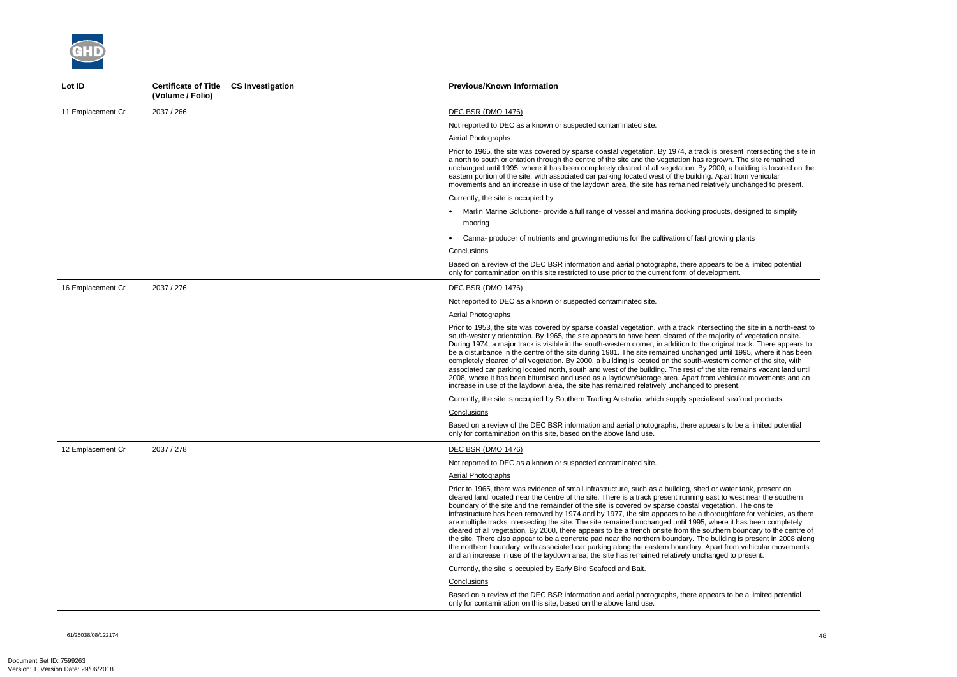61/25038/08/122174 48



| Lot ID            | Certificate of Title CS Investigation<br>(Volume / Folio) | <b>Previous/Known Information</b>                                                                                                                                                                                                                                                                                                                                                                                                                                                                                                                                                                                                                                                                                                                                                                                                                                                                                                                                                                                                                        |
|-------------------|-----------------------------------------------------------|----------------------------------------------------------------------------------------------------------------------------------------------------------------------------------------------------------------------------------------------------------------------------------------------------------------------------------------------------------------------------------------------------------------------------------------------------------------------------------------------------------------------------------------------------------------------------------------------------------------------------------------------------------------------------------------------------------------------------------------------------------------------------------------------------------------------------------------------------------------------------------------------------------------------------------------------------------------------------------------------------------------------------------------------------------|
| 11 Emplacement Cr | 2037 / 266                                                | <b>DEC BSR (DMO 1476)</b>                                                                                                                                                                                                                                                                                                                                                                                                                                                                                                                                                                                                                                                                                                                                                                                                                                                                                                                                                                                                                                |
|                   |                                                           | Not reported to DEC as a known or suspected contaminated site.                                                                                                                                                                                                                                                                                                                                                                                                                                                                                                                                                                                                                                                                                                                                                                                                                                                                                                                                                                                           |
|                   |                                                           | Aerial Photographs                                                                                                                                                                                                                                                                                                                                                                                                                                                                                                                                                                                                                                                                                                                                                                                                                                                                                                                                                                                                                                       |
|                   |                                                           | Prior to 1965, the site was covered by sparse coastal vegetation. By 1974, a track is present intersecting the site in<br>a north to south orientation through the centre of the site and the vegetation has regrown. The site remained<br>unchanged until 1995, where it has been completely cleared of all vegetation. By 2000, a building is located on the<br>eastern portion of the site, with associated car parking located west of the building. Apart from vehicular<br>movements and an increase in use of the laydown area, the site has remained relatively unchanged to present.                                                                                                                                                                                                                                                                                                                                                                                                                                                            |
|                   |                                                           | Currently, the site is occupied by:                                                                                                                                                                                                                                                                                                                                                                                                                                                                                                                                                                                                                                                                                                                                                                                                                                                                                                                                                                                                                      |
|                   |                                                           | • Marlin Marine Solutions- provide a full range of vessel and marina docking products, designed to simplify                                                                                                                                                                                                                                                                                                                                                                                                                                                                                                                                                                                                                                                                                                                                                                                                                                                                                                                                              |
|                   |                                                           | mooring                                                                                                                                                                                                                                                                                                                                                                                                                                                                                                                                                                                                                                                                                                                                                                                                                                                                                                                                                                                                                                                  |
|                   |                                                           | Canna- producer of nutrients and growing mediums for the cultivation of fast growing plants                                                                                                                                                                                                                                                                                                                                                                                                                                                                                                                                                                                                                                                                                                                                                                                                                                                                                                                                                              |
|                   |                                                           | Conclusions                                                                                                                                                                                                                                                                                                                                                                                                                                                                                                                                                                                                                                                                                                                                                                                                                                                                                                                                                                                                                                              |
|                   |                                                           | Based on a review of the DEC BSR information and aerial photographs, there appears to be a limited potential<br>only for contamination on this site restricted to use prior to the current form of development.                                                                                                                                                                                                                                                                                                                                                                                                                                                                                                                                                                                                                                                                                                                                                                                                                                          |
| 16 Emplacement Cr | 2037 / 276                                                | DEC BSR (DMO 1476)                                                                                                                                                                                                                                                                                                                                                                                                                                                                                                                                                                                                                                                                                                                                                                                                                                                                                                                                                                                                                                       |
|                   |                                                           | Not reported to DEC as a known or suspected contaminated site.                                                                                                                                                                                                                                                                                                                                                                                                                                                                                                                                                                                                                                                                                                                                                                                                                                                                                                                                                                                           |
|                   |                                                           | <b>Aerial Photographs</b>                                                                                                                                                                                                                                                                                                                                                                                                                                                                                                                                                                                                                                                                                                                                                                                                                                                                                                                                                                                                                                |
|                   |                                                           | Prior to 1953, the site was covered by sparse coastal vegetation, with a track intersecting the site in a north-east to<br>south-westerly orientation. By 1965, the site appears to have been cleared of the majority of vegetation onsite.<br>During 1974, a major track is visible in the south-western corner, in addition to the original track. There appears to<br>be a disturbance in the centre of the site during 1981. The site remained unchanged until 1995, where it has been<br>completely cleared of all vegetation. By 2000, a building is located on the south-western corner of the site, with<br>associated car parking located north, south and west of the building. The rest of the site remains vacant land until<br>2008, where it has been bitumised and used as a laydown/storage area. Apart from vehicular movements and an<br>increase in use of the laydown area, the site has remained relatively unchanged to present.                                                                                                   |
|                   |                                                           | Currently, the site is occupied by Southern Trading Australia, which supply specialised seafood products.                                                                                                                                                                                                                                                                                                                                                                                                                                                                                                                                                                                                                                                                                                                                                                                                                                                                                                                                                |
|                   |                                                           | Conclusions                                                                                                                                                                                                                                                                                                                                                                                                                                                                                                                                                                                                                                                                                                                                                                                                                                                                                                                                                                                                                                              |
|                   |                                                           | Based on a review of the DEC BSR information and aerial photographs, there appears to be a limited potential<br>only for contamination on this site, based on the above land use.                                                                                                                                                                                                                                                                                                                                                                                                                                                                                                                                                                                                                                                                                                                                                                                                                                                                        |
| 12 Emplacement Cr | 2037 / 278                                                | DEC BSR (DMO 1476)                                                                                                                                                                                                                                                                                                                                                                                                                                                                                                                                                                                                                                                                                                                                                                                                                                                                                                                                                                                                                                       |
|                   |                                                           | Not reported to DEC as a known or suspected contaminated site.                                                                                                                                                                                                                                                                                                                                                                                                                                                                                                                                                                                                                                                                                                                                                                                                                                                                                                                                                                                           |
|                   |                                                           | <b>Aerial Photographs</b>                                                                                                                                                                                                                                                                                                                                                                                                                                                                                                                                                                                                                                                                                                                                                                                                                                                                                                                                                                                                                                |
|                   |                                                           | Prior to 1965, there was evidence of small infrastructure, such as a building, shed or water tank, present on<br>cleared land located near the centre of the site. There is a track present running east to west near the southern<br>boundary of the site and the remainder of the site is covered by sparse coastal vegetation. The onsite<br>infrastructure has been removed by 1974 and by 1977, the site appears to be a thoroughfare for vehicles, as there<br>are multiple tracks intersecting the site. The site remained unchanged until 1995, where it has been completely<br>cleared of all vegetation. By 2000, there appears to be a trench onsite from the southern boundary to the centre of<br>the site. There also appear to be a concrete pad near the northern boundary. The building is present in 2008 along<br>the northern boundary, with associated car parking along the eastern boundary. Apart from vehicular movements<br>and an increase in use of the laydown area, the site has remained relatively unchanged to present. |
|                   |                                                           | Currently, the site is occupied by Early Bird Seafood and Bait.                                                                                                                                                                                                                                                                                                                                                                                                                                                                                                                                                                                                                                                                                                                                                                                                                                                                                                                                                                                          |
|                   |                                                           | Conclusions                                                                                                                                                                                                                                                                                                                                                                                                                                                                                                                                                                                                                                                                                                                                                                                                                                                                                                                                                                                                                                              |
|                   |                                                           | Based on a review of the DEC BSR information and aerial photographs, there appears to be a limited potential<br>only for contamination on this site, based on the above land use.                                                                                                                                                                                                                                                                                                                                                                                                                                                                                                                                                                                                                                                                                                                                                                                                                                                                        |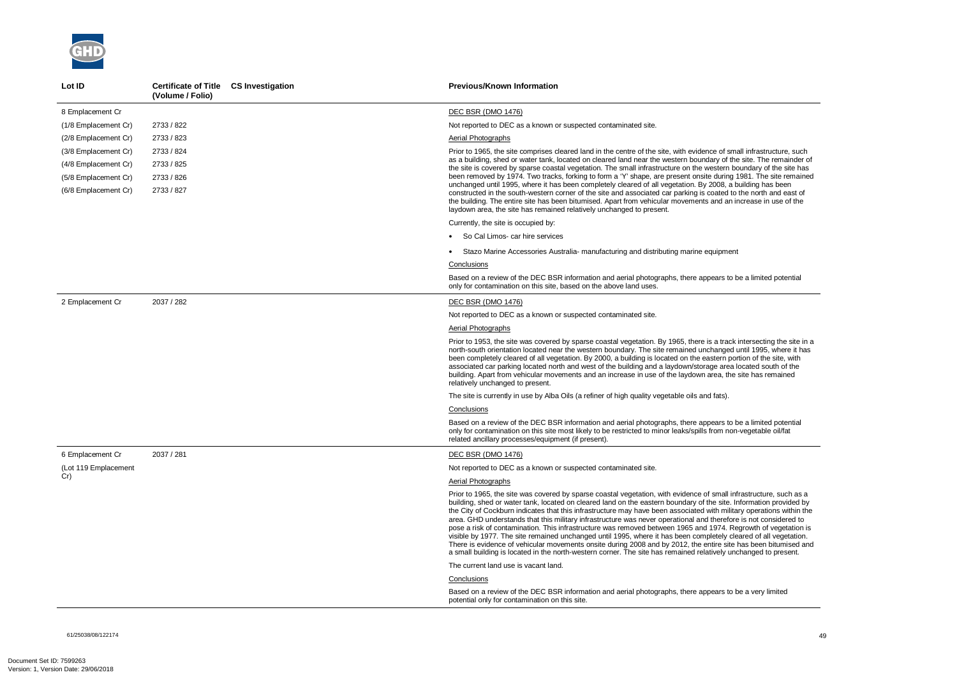61/25038/08/122174 49



| Lot ID               | Certificate of Title CS Investigation<br>(Volume / Folio) | <b>Previous/Known Information</b>                                                                                                                                                                                                                                                                                                                                                                                                                                                                                                                                                                                                                                                                                                                                                                                                                                                                                                                                |
|----------------------|-----------------------------------------------------------|------------------------------------------------------------------------------------------------------------------------------------------------------------------------------------------------------------------------------------------------------------------------------------------------------------------------------------------------------------------------------------------------------------------------------------------------------------------------------------------------------------------------------------------------------------------------------------------------------------------------------------------------------------------------------------------------------------------------------------------------------------------------------------------------------------------------------------------------------------------------------------------------------------------------------------------------------------------|
| 8 Emplacement Cr     |                                                           | <b>DEC BSR (DMO 1476)</b>                                                                                                                                                                                                                                                                                                                                                                                                                                                                                                                                                                                                                                                                                                                                                                                                                                                                                                                                        |
| (1/8 Emplacement Cr) | 2733 / 822                                                | Not reported to DEC as a known or suspected contaminated site.                                                                                                                                                                                                                                                                                                                                                                                                                                                                                                                                                                                                                                                                                                                                                                                                                                                                                                   |
| (2/8 Emplacement Cr) | 2733 / 823                                                | Aerial Photographs                                                                                                                                                                                                                                                                                                                                                                                                                                                                                                                                                                                                                                                                                                                                                                                                                                                                                                                                               |
| (3/8 Emplacement Cr) | 2733 / 824                                                | Prior to 1965, the site comprises cleared land in the centre of the site, with evidence of small infrastructure, such                                                                                                                                                                                                                                                                                                                                                                                                                                                                                                                                                                                                                                                                                                                                                                                                                                            |
| (4/8 Emplacement Cr) | 2733 / 825                                                | as a building, shed or water tank, located on cleared land near the western boundary of the site. The remainder of<br>the site is covered by sparse coastal vegetation. The small infrastructure on the western boundary of the site has                                                                                                                                                                                                                                                                                                                                                                                                                                                                                                                                                                                                                                                                                                                         |
| (5/8 Emplacement Cr) | 2733 / 826                                                | been removed by 1974. Two tracks, forking to form a 'Y' shape, are present onsite during 1981. The site remained                                                                                                                                                                                                                                                                                                                                                                                                                                                                                                                                                                                                                                                                                                                                                                                                                                                 |
| (6/8 Emplacement Cr) | 2733 / 827                                                | unchanged until 1995, where it has been completely cleared of all vegetation. By 2008, a building has been<br>constructed in the south-western corner of the site and associated car parking is coated to the north and east of<br>the building. The entire site has been bitumised. Apart from vehicular movements and an increase in use of the<br>laydown area, the site has remained relatively unchanged to present.                                                                                                                                                                                                                                                                                                                                                                                                                                                                                                                                        |
|                      |                                                           | Currently, the site is occupied by:                                                                                                                                                                                                                                                                                                                                                                                                                                                                                                                                                                                                                                                                                                                                                                                                                                                                                                                              |
|                      |                                                           | • So Cal Limos- car hire services                                                                                                                                                                                                                                                                                                                                                                                                                                                                                                                                                                                                                                                                                                                                                                                                                                                                                                                                |
|                      |                                                           | • Stazo Marine Accessories Australia- manufacturing and distributing marine equipment                                                                                                                                                                                                                                                                                                                                                                                                                                                                                                                                                                                                                                                                                                                                                                                                                                                                            |
|                      |                                                           | <b>Conclusions</b>                                                                                                                                                                                                                                                                                                                                                                                                                                                                                                                                                                                                                                                                                                                                                                                                                                                                                                                                               |
|                      |                                                           | Based on a review of the DEC BSR information and aerial photographs, there appears to be a limited potential<br>only for contamination on this site, based on the above land uses.                                                                                                                                                                                                                                                                                                                                                                                                                                                                                                                                                                                                                                                                                                                                                                               |
| 2 Emplacement Cr     | 2037 / 282                                                | <b>DEC BSR (DMO 1476)</b>                                                                                                                                                                                                                                                                                                                                                                                                                                                                                                                                                                                                                                                                                                                                                                                                                                                                                                                                        |
|                      |                                                           | Not reported to DEC as a known or suspected contaminated site.                                                                                                                                                                                                                                                                                                                                                                                                                                                                                                                                                                                                                                                                                                                                                                                                                                                                                                   |
|                      |                                                           | <b>Aerial Photographs</b>                                                                                                                                                                                                                                                                                                                                                                                                                                                                                                                                                                                                                                                                                                                                                                                                                                                                                                                                        |
|                      |                                                           | Prior to 1953, the site was covered by sparse coastal vegetation. By 1965, there is a track intersecting the site in a<br>north-south orientation located near the western boundary. The site remained unchanged until 1995, where it has<br>been completely cleared of all vegetation. By 2000, a building is located on the eastern portion of the site, with<br>associated car parking located north and west of the building and a laydown/storage area located south of the<br>building. Apart from vehicular movements and an increase in use of the laydown area, the site has remained<br>relatively unchanged to present.                                                                                                                                                                                                                                                                                                                               |
|                      |                                                           | The site is currently in use by Alba Oils (a refiner of high quality vegetable oils and fats).                                                                                                                                                                                                                                                                                                                                                                                                                                                                                                                                                                                                                                                                                                                                                                                                                                                                   |
|                      |                                                           | Conclusions                                                                                                                                                                                                                                                                                                                                                                                                                                                                                                                                                                                                                                                                                                                                                                                                                                                                                                                                                      |
|                      |                                                           | Based on a review of the DEC BSR information and aerial photographs, there appears to be a limited potential<br>only for contamination on this site most likely to be restricted to minor leaks/spills from non-vegetable oil/fat<br>related ancillary processes/equipment (if present).                                                                                                                                                                                                                                                                                                                                                                                                                                                                                                                                                                                                                                                                         |
| 6 Emplacement Cr     | 2037 / 281                                                | <b>DEC BSR (DMO 1476)</b>                                                                                                                                                                                                                                                                                                                                                                                                                                                                                                                                                                                                                                                                                                                                                                                                                                                                                                                                        |
| (Lot 119 Emplacement |                                                           | Not reported to DEC as a known or suspected contaminated site.                                                                                                                                                                                                                                                                                                                                                                                                                                                                                                                                                                                                                                                                                                                                                                                                                                                                                                   |
| Cr)                  |                                                           | <b>Aerial Photographs</b>                                                                                                                                                                                                                                                                                                                                                                                                                                                                                                                                                                                                                                                                                                                                                                                                                                                                                                                                        |
|                      |                                                           | Prior to 1965, the site was covered by sparse coastal vegetation, with evidence of small infrastructure, such as a<br>building, shed or water tank, located on cleared land on the eastern boundary of the site. Information provided by<br>the City of Cockburn indicates that this infrastructure may have been associated with military operations within the<br>area. GHD understands that this military infrastructure was never operational and therefore is not considered to<br>pose a risk of contamination. This infrastructure was removed between 1965 and 1974. Regrowth of vegetation is<br>visible by 1977. The site remained unchanged until 1995, where it has been completely cleared of all vegetation.<br>There is evidence of vehicular movements onsite during 2008 and by 2012, the entire site has been bitumised and<br>a small building is located in the north-western corner. The site has remained relatively unchanged to present. |
|                      |                                                           | The current land use is vacant land.                                                                                                                                                                                                                                                                                                                                                                                                                                                                                                                                                                                                                                                                                                                                                                                                                                                                                                                             |
|                      |                                                           | Conclusions                                                                                                                                                                                                                                                                                                                                                                                                                                                                                                                                                                                                                                                                                                                                                                                                                                                                                                                                                      |
|                      |                                                           | Based on a review of the DEC BSR information and aerial photographs, there appears to be a very limited<br>potential only for contamination on this site.                                                                                                                                                                                                                                                                                                                                                                                                                                                                                                                                                                                                                                                                                                                                                                                                        |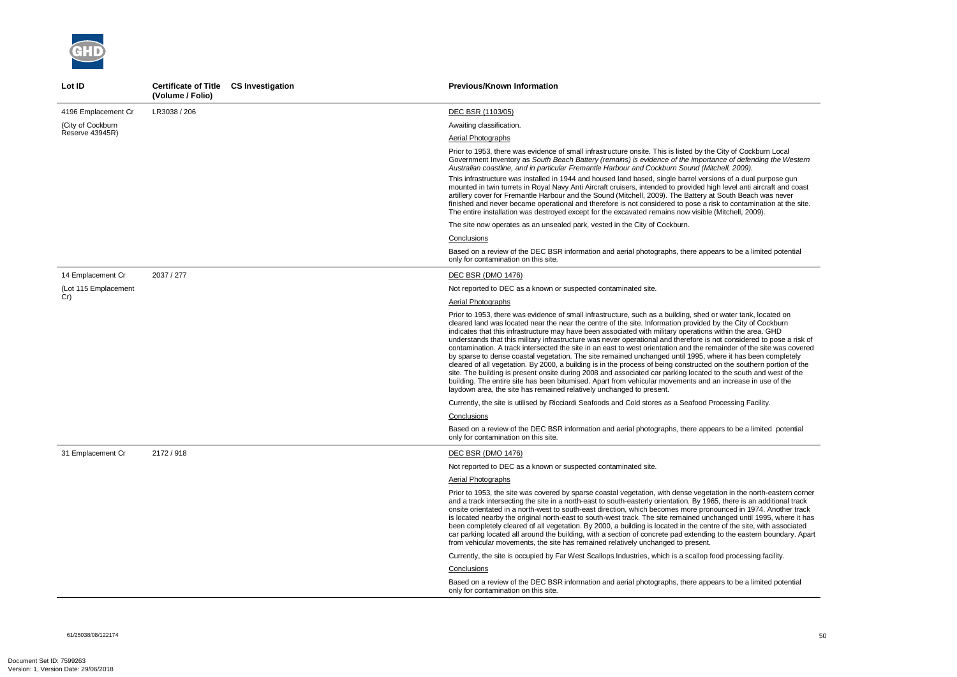ity of Cockburn Local Government Inventory as *South Beach Battery (remains) is evidence of the importance of defending the Western Australian coastline, and in particular Fremantle Harbour and Cockburn Sound (Mitchell, 2009).* 

s of a dual purpose gun level anti aircraft and coast outh Beach was never to contamination at the site. itchell, 2009).

to be a limited potential

vater tank, located on the City of Cockburn thin the area. GHD considered to pose a risk of inder of the site was covered by space to dense completely. the southern portion of the the south and west of the increase in use of the

cessing Facility.

to be a limited potential

on in the north-eastern corner there is an additional track nced in 1974. Another track nged until 1995, where it has of the site. with associated o the eastern boundary. Apart

d processing facility.

to be a limited potential



| Lot ID               | Certificate of Title CS Investigation<br>(Volume / Folio) | <b>Previous/Known Information</b>                                                                                                                                                                                                                                                                                                                                                                                                                                                                                                                                                                                                                                                                                                                                                                                                                                                                                               |
|----------------------|-----------------------------------------------------------|---------------------------------------------------------------------------------------------------------------------------------------------------------------------------------------------------------------------------------------------------------------------------------------------------------------------------------------------------------------------------------------------------------------------------------------------------------------------------------------------------------------------------------------------------------------------------------------------------------------------------------------------------------------------------------------------------------------------------------------------------------------------------------------------------------------------------------------------------------------------------------------------------------------------------------|
| 4196 Emplacement Cr  | LR3038 / 206                                              | DEC BSR (1103/05)                                                                                                                                                                                                                                                                                                                                                                                                                                                                                                                                                                                                                                                                                                                                                                                                                                                                                                               |
| (City of Cockburn    |                                                           | Awaiting classification.                                                                                                                                                                                                                                                                                                                                                                                                                                                                                                                                                                                                                                                                                                                                                                                                                                                                                                        |
| Reserve 43945R)      |                                                           | Aerial Photographs                                                                                                                                                                                                                                                                                                                                                                                                                                                                                                                                                                                                                                                                                                                                                                                                                                                                                                              |
|                      |                                                           | Prior to 1953, there was evidence of small infrastructure onsite. This is listed by the Cit<br>Government Inventory as South Beach Battery (remains) is evidence of the importance<br>Australian coastline, and in particular Fremantle Harbour and Cockburn Sound (Mitche                                                                                                                                                                                                                                                                                                                                                                                                                                                                                                                                                                                                                                                      |
|                      |                                                           | This infrastructure was installed in 1944 and housed land based, single barrel versions<br>mounted in twin turrets in Royal Navy Anti Aircraft cruisers, intended to provided high Id<br>artillery cover for Fremantle Harbour and the Sound (Mitchell, 2009). The Battery at So<br>finished and never became operational and therefore is not considered to pose a risk to<br>The entire installation was destroyed except for the excavated remains now visible (Mit                                                                                                                                                                                                                                                                                                                                                                                                                                                          |
|                      |                                                           | The site now operates as an unsealed park, vested in the City of Cockburn.                                                                                                                                                                                                                                                                                                                                                                                                                                                                                                                                                                                                                                                                                                                                                                                                                                                      |
|                      |                                                           | Conclusions                                                                                                                                                                                                                                                                                                                                                                                                                                                                                                                                                                                                                                                                                                                                                                                                                                                                                                                     |
|                      |                                                           | Based on a review of the DEC BSR information and aerial photographs, there appears<br>only for contamination on this site.                                                                                                                                                                                                                                                                                                                                                                                                                                                                                                                                                                                                                                                                                                                                                                                                      |
| 14 Emplacement Cr    | 2037 / 277                                                | <b>DEC BSR (DMO 1476)</b>                                                                                                                                                                                                                                                                                                                                                                                                                                                                                                                                                                                                                                                                                                                                                                                                                                                                                                       |
| (Lot 115 Emplacement |                                                           | Not reported to DEC as a known or suspected contaminated site.                                                                                                                                                                                                                                                                                                                                                                                                                                                                                                                                                                                                                                                                                                                                                                                                                                                                  |
| Cr)                  |                                                           | Aerial Photographs                                                                                                                                                                                                                                                                                                                                                                                                                                                                                                                                                                                                                                                                                                                                                                                                                                                                                                              |
|                      |                                                           | Prior to 1953, there was evidence of small infrastructure, such as a building, shed or w<br>cleared land was located near the near the centre of the site. Information provided by t<br>indicates that this infrastructure may have been associated with military operations with<br>understands that this military infrastructure was never operational and therefore is not<br>contamination. A track intersected the site in an east to west orientation and the remair<br>by sparse to dense coastal vegetation. The site remained unchanged until 1995, where<br>cleared of all vegetation. By 2000, a building is in the process of being constructed on t<br>site. The building is present onsite during 2008 and associated car parking located to th<br>building. The entire site has been bitumised. Apart from vehicular movements and an in<br>laydown area, the site has remained relatively unchanged to present. |
|                      |                                                           | Currently, the site is utilised by Ricciardi Seafoods and Cold stores as a Seafood Proce                                                                                                                                                                                                                                                                                                                                                                                                                                                                                                                                                                                                                                                                                                                                                                                                                                        |
|                      |                                                           | Conclusions                                                                                                                                                                                                                                                                                                                                                                                                                                                                                                                                                                                                                                                                                                                                                                                                                                                                                                                     |
|                      |                                                           | Based on a review of the DEC BSR information and aerial photographs, there appears<br>only for contamination on this site.                                                                                                                                                                                                                                                                                                                                                                                                                                                                                                                                                                                                                                                                                                                                                                                                      |
| 31 Emplacement Cr    | 2172 / 918                                                | <b>DEC BSR (DMO 1476)</b>                                                                                                                                                                                                                                                                                                                                                                                                                                                                                                                                                                                                                                                                                                                                                                                                                                                                                                       |
|                      |                                                           | Not reported to DEC as a known or suspected contaminated site.                                                                                                                                                                                                                                                                                                                                                                                                                                                                                                                                                                                                                                                                                                                                                                                                                                                                  |
|                      |                                                           | Aerial Photographs                                                                                                                                                                                                                                                                                                                                                                                                                                                                                                                                                                                                                                                                                                                                                                                                                                                                                                              |
|                      |                                                           | Prior to 1953, the site was covered by sparse coastal vegetation, with dense vegetation<br>and a track intersecting the site in a north-east to south-easterly orientation. By 1965, t<br>onsite orientated in a north-west to south-east direction, which becomes more pronoun<br>is located nearby the original north-east to south-west track. The site remained unchan<br>been completely cleared of all vegetation. By 2000, a building is located in the centre o<br>car parking located all around the building, with a section of concrete pad extending to<br>from vehicular movements, the site has remained relatively unchanged to present.                                                                                                                                                                                                                                                                         |
|                      |                                                           | Currently, the site is occupied by Far West Scallops Industries, which is a scallop food                                                                                                                                                                                                                                                                                                                                                                                                                                                                                                                                                                                                                                                                                                                                                                                                                                        |
|                      |                                                           | Conclusions                                                                                                                                                                                                                                                                                                                                                                                                                                                                                                                                                                                                                                                                                                                                                                                                                                                                                                                     |
|                      |                                                           | Based on a review of the DEC BSR information and aerial photographs, there appears<br>only for contamination on this site.                                                                                                                                                                                                                                                                                                                                                                                                                                                                                                                                                                                                                                                                                                                                                                                                      |

61/25038/08/122174<br>61/25038/08/122174